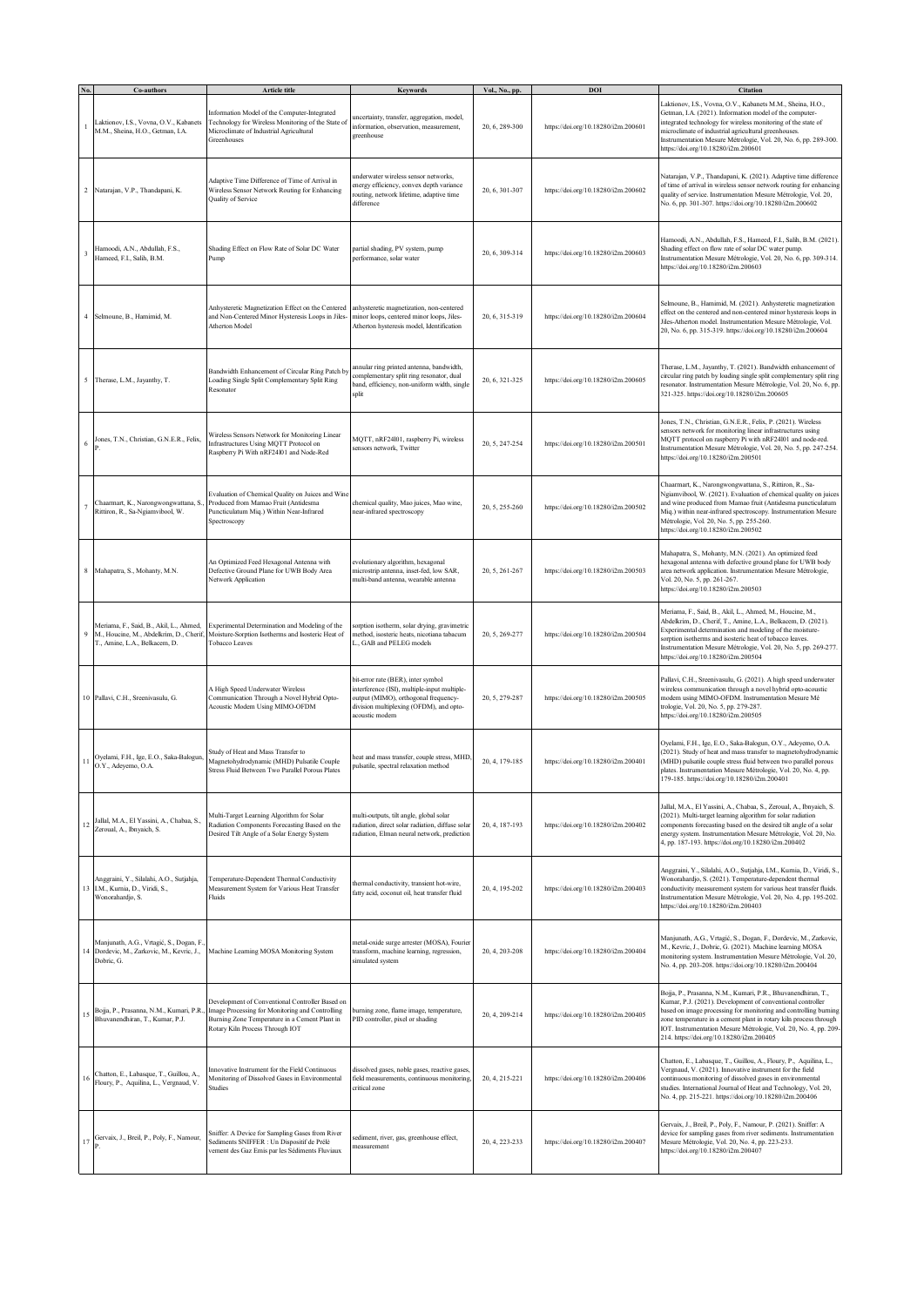|         | Co-authors                                                                                                          | <b>Article title</b>                                                                                                                                                                   | Keywords                                                                                                                                                                                | Vol., No., pp. | DOI                                 | <b>Citation</b>                                                                                                                                                                                                                                                                                                                                                                     |
|---------|---------------------------------------------------------------------------------------------------------------------|----------------------------------------------------------------------------------------------------------------------------------------------------------------------------------------|-----------------------------------------------------------------------------------------------------------------------------------------------------------------------------------------|----------------|-------------------------------------|-------------------------------------------------------------------------------------------------------------------------------------------------------------------------------------------------------------------------------------------------------------------------------------------------------------------------------------------------------------------------------------|
|         | Laktionov, I.S., Vovna, O.V., Kabanets<br>M.M., Sheina, H.O., Getman, I.A.                                          | Information Model of the Computer-Integrated<br>Technology for Wireless Monitoring of the State of<br>Microclimate of Industrial Agricultural<br>Greenhouses                           | uncertainty, transfer, aggregation, model,<br>information, observation, measurement,<br>greenhouse                                                                                      | 20, 6, 289-300 | https://doi.org/10.18280/i2m.200601 | Laktionov, I.S., Vovna, O.V., Kabanets M.M., Sheina, H.O.,<br>Getman, I.A. (2021). Information model of the computer-<br>integrated technology for wireless monitoring of the state of<br>microclimate of industrial agricultural greenhouses.<br>Instrumentation Mesure Métrologie, Vol. 20, No. 6, pp. 289-300.<br>https://doi.org/10.18280/i2m.200601                            |
|         | 2 Natarajan, V.P., Thandapani, K.                                                                                   | Adaptive Time Difference of Time of Arrival in<br>Wireless Sensor Network Routing for Enhancing<br>Quality of Service                                                                  | underwater wireless sensor networks,<br>energy efficiency, convex depth variance<br>routing, network lifetime, adaptive time<br>difference                                              | 20, 6, 301-307 | https://doi.org/10.18280/i2m.200602 | Natarajan, V.P., Thandapani, K. (2021). Adaptive time difference<br>of time of arrival in wireless sensor network routing for enhancing<br>quality of service. Instrumentation Mesure Métrologie, Vol. 20,<br>No. 6, pp. 301-307. https://doi.org/10.18280/i2m.200602                                                                                                               |
|         | Hamoodi, A.N., Abdullah, F.S.,<br>Hameed, F.I., Salih, B.M.                                                         | Shading Effect on Flow Rate of Solar DC Water<br>Pump                                                                                                                                  | partial shading, PV system, pump<br>performance, solar water                                                                                                                            | 20, 6, 309-314 | https://doi.org/10.18280/i2m.200603 | Hamoodi, A.N., Abdullah, F.S., Hameed, F.I., Salih, B.M. (2021).<br>Shading effect on flow rate of solar DC water pump.<br>Instrumentation Mesure Métrologie, Vol. 20, No. 6, pp. 309-314.<br>https://doi.org/10.18280/i2m.200603                                                                                                                                                   |
|         | 4 Selmoune, B., Hamimid, M.                                                                                         | Anhysteretic Magnetization Effect on the Centered<br>and Non-Centered Minor Hysteresis Loops in Jiles-<br>Atherton Model                                                               | anhysteretic magnetization, non-centered<br>minor loops, centered minor loops, Jiles-<br>Atherton hysteresis model, Identification                                                      | 20, 6, 315-319 | https://doi.org/10.18280/i2m.200604 | Selmoune, B., Hamimid, M. (2021). Anhysteretic magnetization<br>effect on the centered and non-centered minor hysteresis loops in<br>Jiles-Atherton model. Instrumentation Mesure Métrologie, Vol.<br>20, No. 6, pp. 315-319. https://doi.org/10.18280/i2m.200604                                                                                                                   |
|         | 5 Therase, L.M., Jayanthy, T.                                                                                       | Bandwidth Enhancement of Circular Ring Patch by<br>Loading Single Split Complementary Split Ring<br>Resonator                                                                          | annular ring printed antenna, bandwidth,<br>complementary split ring resonator, dual<br>band, efficiency, non-uniform width, single<br>split                                            | 20, 6, 321-325 | https://doi.org/10.18280/i2m.200605 | Therase, L.M., Jayanthy, T. (2021). Bandwidth enhancement of<br>circular ring patch by loading single split complementary split ring<br>resonator. Instrumentation Mesure Métrologie, Vol. 20, No. 6, pp.<br>321-325. https://doi.org/10.18280/i2m.200605                                                                                                                           |
| 6       | Jones, T.N., Christian, G.N.E.R., Felix,                                                                            | Wireless Sensors Network for Monitoring Linear<br>Infrastructures Using MQTT Protocol on<br>Raspberry Pi With nRF24101 and Node-Red                                                    | MQTT, nRF24l01, raspberry Pi, wireless<br>sensors network, Twitter                                                                                                                      | 20, 5, 247-254 | https://doi.org/10.18280/i2m.200501 | Jones, T.N., Christian, G.N.E.R., Felix, P. (2021). Wireless<br>sensors network for monitoring linear infrastructures using<br>MQTT protocol on raspberry Pi with nRF24101 and node-red.<br>Instrumentation Mesure Métrologie, Vol. 20, No. 5, pp. 247-254.<br>https://doi.org/10.18280/i2m.200501                                                                                  |
|         | Chaarmart, K., Narongwongwattana, S.<br>Rittiron, R., Sa-Ngiamvibool, W.                                            | Evaluation of Chemical Quality on Juices and Wine<br>Produced from Mamao Fruit (Antidesma<br>Puncticulatum Miq.) Within Near-Infrared<br>Spectroscopy                                  | chemical quality, Mao juices, Mao wine,<br>near-infrared spectroscopy                                                                                                                   | 20, 5, 255-260 | https://doi.org/10.18280/i2m.200502 | Chaarmart, K., Narongwongwattana, S., Rittiron, R., Sa-<br>Ngiamvibool, W. (2021). Evaluation of chemical quality on juices<br>and wine produced from Mamao fruit (Antidesma puncticulatum<br>Miq.) within near-infrared spectroscopy. Instrumentation Mesure<br>Métrologie, Vol. 20, No. 5, pp. 255-260.<br>https://doi.org/10.18280/i2m.200502                                    |
|         | 8 Mahapatra, S., Mohanty, M.N.                                                                                      | An Optimized Feed Hexagonal Antenna with<br>Defective Ground Plane for UWB Body Area<br>Network Application                                                                            | evolutionary algorithm, hexagonal<br>microstrip antenna, inset-fed, low SAR,<br>multi-band antenna, wearable antenna                                                                    | 20, 5, 261-267 | https://doi.org/10.18280/i2m.200503 | Mahapatra, S., Mohanty, M.N. (2021). An optimized feed<br>hexagonal antenna with defective ground plane for UWB body<br>area network application. Instrumentation Mesure Métrologie,<br>Vol. 20, No. 5, pp. 261-267.<br>https://doi.org/10.18280/i2m.200503                                                                                                                         |
| 9       | Meriama, F., Said, B., Akil, L., Ahmed,<br>M., Houcine, M., Abdelkrim, D., Cherif,<br>T., Amine, L.A., Belkacem, D. | Experimental Determination and Modeling of the<br>Moisture-Sorption Isotherms and Isosteric Heat of<br>Tobacco Leaves                                                                  | orption isotherm, solar drying, gravimetric<br>method, isosteric heats, nicotiana tabacum<br>L., GAB and PELEG models                                                                   | 20, 5, 269-277 | https://doi.org/10.18280/i2m.200504 | Meriama, F., Said, B., Akil, L., Ahmed, M., Houcine, M.,<br>Abdelkrim, D., Cherif, T., Amine, L.A., Belkacem, D. (2021).<br>Experimental determination and modeling of the moisture-<br>sorption isotherms and isosteric heat of tobacco leaves.<br>Instrumentation Mesure Métrologie, Vol. 20, No. 5, pp. 269-277.<br>https://doi.org/10.18280/i2m.200504                          |
|         | 10 Pallavi, C.H., Sreenivasulu, G.                                                                                  | A High Speed Underwater Wireless<br>Communication Through a Novel Hybrid Opto-<br>Acoustic Modem Using MIMO-OFDM                                                                       | bit-error rate (BER), inter symbol<br>interference (ISI), multiple-input multiple-<br>output (MIMO), orthogonal frequency-<br>division multiplexing (OFDM), and opto-<br>acoustic modem | 20, 5, 279-287 | https://doi.org/10.18280/i2m.200505 | Pallavi, C.H., Sreenivasulu, G. (2021). A high speed underwater<br>wireless communication through a novel hybrid opto-acoustic<br>modem using MIMO-OFDM. Instrumentation Mesure Mé<br>trologie, Vol. 20, No. 5, pp. 279-287.<br>https://doi.org/10.18280/i2m.200505                                                                                                                 |
| $^{11}$ | Oyelami, F.H., Ige, E.O., Saka-Balogun,<br>O.Y., Adeyemo, O.A.                                                      | Study of Heat and Mass Transfer to<br>Magnetohydrodynamic (MHD) Pulsatile Couple<br>Stress Fluid Between Two Parallel Porous Plates                                                    | heat and mass transfer, couple stress, MHD<br>pulsatile, spectral relaxation method                                                                                                     | 20, 4, 179-185 | https://doi.org/10.18280/i2m.200401 | Oyelami, F.H., Ige, E.O., Saka-Balogun, O.Y., Adeyemo, O.A.<br>(2021). Study of heat and mass transfer to magnetohydrodynamic<br>(MHD) pulsatile couple stress fluid between two parallel porous<br>plates. Instrumentation Mesure Métrologie, Vol. 20, No. 4, pp.<br>79-185. https://doi.org/10.18280/i2m.200401                                                                   |
| 12      | Jallal, M.A., El Yassini, A., Chabaa, S.,<br>Zeroual, A., Ibnyaich, S.                                              | Multi-Target Learning Algorithm for Solar<br>Radiation Components Forecasting Based on the<br>Desired Tilt Angle of a Solar Energy System                                              | multi-outputs, tilt angle, global solar<br>adiation, direct solar radiation, diffuse solar<br>radiation, Elman neural network, prediction                                               | 20, 4, 187-193 | https://doi.org/10.18280/i2m.200402 | Jallal, M.A., El Yassini, A., Chabaa, S., Zeroual, A., Ibnyaich, S.<br>(2021). Multi-target learning algorithm for solar radiation<br>components forecasting based on the desired tilt angle of a solar<br>energy system. Instrumentation Mesure Métrologie, Vol. 20, No.<br>4, pp. 187-193. https://doi.org/10.18280/i2m.200402                                                    |
|         | Anggraini, Y., Silalahi, A.O., Sutjahja,<br>13 I.M., Kurnia, D., Viridi, S.,<br>Wonorahardjo, S.                    | Temperature-Dependent Thermal Conductivity<br>Measurement System for Various Heat Transfer<br>Fluids                                                                                   | thermal conductivity, transient hot-wire,<br>fatty acid, coconut oil, heat transfer fluid                                                                                               | 20, 4, 195-202 | https://doi.org/10.18280/i2m.200403 | Anggraini, Y., Silalahi, A.O., Sutjahja, I.M., Kurnia, D., Viridi, S.,<br>Wonorahardjo, S. (2021). Temperature-dependent thermal<br>conductivity measurement system for various heat transfer fluids.<br>Instrumentation Mesure Métrologie, Vol. 20, No. 4, pp. 195-202.<br>https://doi.org/10.18280/i2m.200403                                                                     |
| 14      | Manjunath, A.G., Vrtagić, S., Dogan, F.,<br>Dordevic, M., Zarkovic, M., Kevric, J.,<br>Dobric, G.                   | Machine Learning MOSA Monitoring System                                                                                                                                                | metal-oxide surge arrester (MOSA), Fourier<br>transform, machine learning, regression,<br>simulated system                                                                              | 20, 4, 203-208 | https://doi.org/10.18280/i2m.200404 | Manjunath, A.G., Vrtagić, S., Dogan, F., Dordevic, M., Zarkovic,<br>M., Kevric, J., Dobric, G. (2021). Machine learning MOSA<br>monitoring system. Instrumentation Mesure Métrologie, Vol. 20,<br>No. 4, pp. 203-208. https://doi.org/10.18280/i2m.200404                                                                                                                           |
|         | 15 Bojja, P., Prasanna, N.M., Kumari, P.R.<br>Bhuvanendhiran, T., Kumar, P.J.                                       | Development of Conventional Controller Based on<br>Image Processing for Monitoring and Controlling<br>Burning Zone Temperature in a Cement Plant in<br>Rotary Kiln Process Through IOT | burning zone, flame image, temperature,<br>PID controller, pixel or shading                                                                                                             | 20, 4, 209-214 | https://doi.org/10.18280/i2m.200405 | Bojja, P., Prasanna, N.M., Kumari, P.R., Bhuvanendhiran, T.,<br>Kumar, P.J. (2021). Development of conventional controller<br>based on image processing for monitoring and controlling burning<br>zone temperature in a cement plant in rotary kiln process through<br>IOT. Instrumentation Mesure Métrologie, Vol. 20, No. 4, pp. 209-<br>214. https://doi.org/10.18280/i2m.200405 |
|         | 16 Chatton, E., Labasque, T., Guillou, A.,<br>Floury, P., Aquilina, L., Vergnaud, V.                                | Innovative Instrument for the Field Continuous<br>Monitoring of Dissolved Gases in Environmental<br>Studies                                                                            | dissolved gases, noble gases, reactive gases,<br>field measurements, continuous monitoring,<br>critical zone                                                                            | 20, 4, 215-221 | https://doi.org/10.18280/i2m.200406 | Chatton, E., Labasque, T., Guillou, A., Floury, P., Aquilina, L.,<br>Vergnaud, V. (2021). Innovative instrument for the field<br>continuous monitoring of dissolved gases in environmental<br>studies. International Journal of Heat and Technology, Vol. 20,<br>No. 4, pp. 215-221. https://doi.org/10.18280/i2m.200406                                                            |
|         | 17 Gervaix, J., Breil, P., Poly, F., Namour,                                                                        | Sniffer: A Device for Sampling Gases from River<br>Sediments SNIFFER : Un Dispositif de Prélè<br>vement des Gaz Emis par les Sédiments Fluviaux                                        | sediment, river, gas, greenhouse effect,<br>neasurement                                                                                                                                 | 20, 4, 223-233 | https://doi.org/10.18280/i2m.200407 | Gervaix, J., Breil, P., Poly, F., Namour, P. (2021). Sniffer: A<br>device for sampling gases from river sediments. Instrumentation<br>Mesure Métrologie, Vol. 20, No. 4, pp. 223-233.<br>https://doi.org/10.18280/i2m.200407                                                                                                                                                        |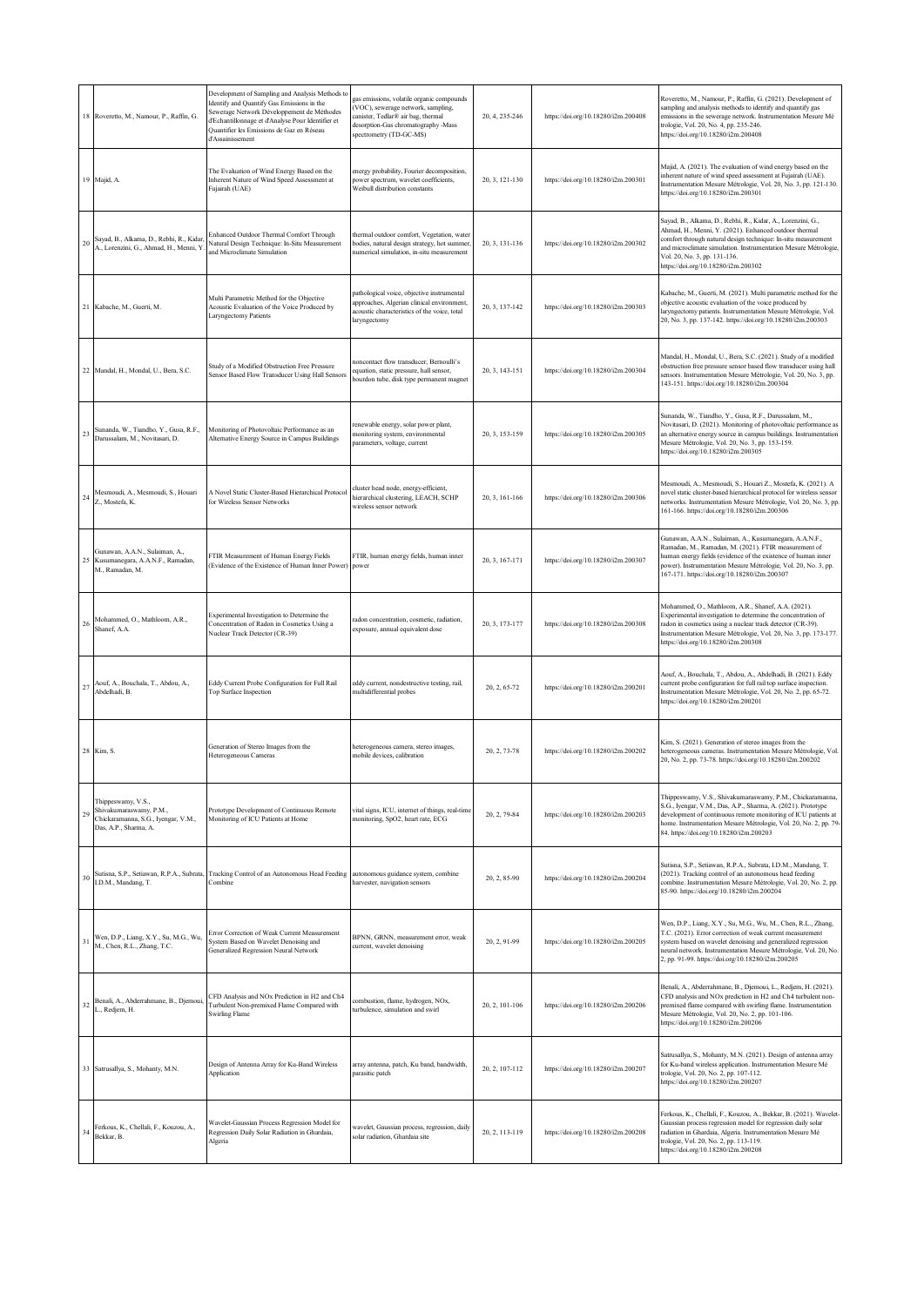|                | 18 Roveretto, M., Namour, P., Raffin, G.                                                                      | Development of Sampling and Analysis Methods to<br>Identify and Quantify Gas Emissions in the<br>Sewerage Network Développement de Méthodes<br>d'Echantillonnage et d'Analyse Pour Identifier et<br>Quantifier les Emissions de Gaz en Réseau<br>d'Assainissement | gas emissions, volatile organic compounds<br>VOC), sewerage network, sampling,<br>anister, Tedlar® air bag, thermal<br>desorption-Gas chromatography -Mass<br>spectrometry (TD-GC-MS) | 20, 4, 235-246 | https://doi.org/10.18280/i2m.200408 | Roveretto, M., Namour, P., Raffin, G. (2021). Development of<br>sampling and analysis methods to identify and quantify gas<br>emissions in the sewerage network. Instrumentation Mesure Mé<br>trologie, Vol. 20, No. 4, pp. 235-246.<br>https://doi.org/10.18280/i2m.200408                                                     |
|----------------|---------------------------------------------------------------------------------------------------------------|-------------------------------------------------------------------------------------------------------------------------------------------------------------------------------------------------------------------------------------------------------------------|---------------------------------------------------------------------------------------------------------------------------------------------------------------------------------------|----------------|-------------------------------------|---------------------------------------------------------------------------------------------------------------------------------------------------------------------------------------------------------------------------------------------------------------------------------------------------------------------------------|
|                | 19 Majid, A.                                                                                                  | The Evaluation of Wind Energy Based on the<br>Inherent Nature of Wind Speed Assessment at<br>Fujairah (UAE)                                                                                                                                                       | energy probability, Fourier decomposition,<br>power spectrum, wavelet coefficients,<br>Weibull distribution constants                                                                 | 20, 3, 121-130 | https://doi.org/10.18280/i2m.200301 | Majid, A. (2021). The evaluation of wind energy based on the<br>inherent nature of wind speed assessment at Fujairah (UAE).<br>Instrumentation Mesure Métrologie, Vol. 20, No. 3, pp. 121-130.<br>https://doi.org/10.18280/i2m.200301                                                                                           |
| 20             | Sayad, B., Alkama, D., Rebhi, R., Kidar<br>A., Lorenzini, G., Ahmad, H., Menni, Y                             | Enhanced Outdoor Thermal Comfort Through<br>Natural Design Technique: In-Situ Measurement<br>and Microclimate Simulation                                                                                                                                          | thermal outdoor comfort, Vegetation, water<br>bodies, natural design strategy, hot summer,<br>numerical simulation, in-situ measurement                                               | 20, 3, 131-136 | https://doi.org/10.18280/i2m.200302 | Sayad, B., Alkama, D., Rebhi, R., Kidar, A., Lorenzini, G.,<br>Ahmad, H., Menni, Y. (2021). Enhanced outdoor thermal<br>comfort through natural design technique: In-situ measurement<br>and microclimate simulation. Instrumentation Mesure Métrologie,<br>Vol. 20, No. 3, pp. 131-136.<br>https://doi.org/10.18280/i2m.200302 |
|                | 21 Kabache, M., Guerti, M.                                                                                    | Multi Parametric Method for the Objective<br>Acoustic Evaluation of the Voice Produced by<br>Laryngectomy Patients                                                                                                                                                | pathological voice, objective instrumental<br>approaches, Algerian clinical environment,<br>acoustic characteristics of the voice, total<br>laryngectomy                              | 20, 3, 137-142 | https://doi.org/10.18280/i2m.200303 | Kabache, M., Guerti, M. (2021). Multi parametric method for the<br>objective acoustic evaluation of the voice produced by<br>laryngectomy patients. Instrumentation Mesure Métrologie, Vol.<br>20, No. 3, pp. 137-142. https://doi.org/10.18280/i2m.200303                                                                      |
|                | 22 Mandal, H., Mondal, U., Bera, S.C.                                                                         | Study of a Modified Obstruction Free Pressure<br>Sensor Based Flow Transducer Using Hall Sensors                                                                                                                                                                  | noncontact flow transducer, Bernoulli's<br>equation, static pressure, hall sensor,<br>bourdon tube, disk type permanent magnet                                                        | 20, 3, 143-151 | https://doi.org/10.18280/i2m.200304 | Mandal, H., Mondal, U., Bera, S.C. (2021). Study of a modified<br>obstruction free pressure sensor based flow transducer using hall<br>sensors. Instrumentation Mesure Métrologie, Vol. 20, No. 3, pp.<br>143-151. https://doi.org/10.18280/i2m.200304                                                                          |
| 23             | Sunanda, W., Tiandho, Y., Gusa, R.F.,<br>Darussalam, M., Novitasari, D.                                       | Monitoring of Photovoltaic Performance as an<br>Alternative Energy Source in Campus Buildings                                                                                                                                                                     | renewable energy, solar power plant,<br>nonitoring system, environmental<br>parameters, voltage, current                                                                              | 20, 3, 153-159 | https://doi.org/10.18280/i2m.200305 | Sunanda, W., Tiandho, Y., Gusa, R.F., Darussalam, M.,<br>Novitasari, D. (2021). Monitoring of photovoltaic performance as<br>an alternative energy source in campus buildings. Instrumentation<br>Mesure Métrologie, Vol. 20, No. 3, pp. 153-159.<br>https://doi.org/10.18280/i2m.200305                                        |
| 24             | Mesmoudi, A., Mesmoudi, S., Houari<br>Z., Mostefa, K.                                                         | A Novel Static Cluster-Based Hierarchical Protocol<br>for Wireless Sensor Networks                                                                                                                                                                                | cluster head node, energy-efficient,<br>hierarchical clustering, LEACH, SCHP<br>wireless sensor network                                                                               | 20, 3, 161-166 | https://doi.org/10.18280/i2m.200306 | Mesmoudi, A., Mesmoudi, S., Houari Z., Mostefa, K. (2021). A<br>novel static cluster-based hierarchical protocol for wireless sensor<br>networks. Instrumentation Mesure Métrologie, Vol. 20, No. 3, pp.<br>161-166. https://doi.org/10.18280/i2m.200306                                                                        |
| 25             | Gunawan, A.A.N., Sulaiman, A.,<br>Kusumanegara, A.A.N.F., Ramadan,<br>M., Ramadan, M.                         | FTIR Measurement of Human Energy Fields<br>(Evidence of the Existence of Human Inner Power)                                                                                                                                                                       | FTIR, human energy fields, human inner<br>power                                                                                                                                       | 20, 3, 167-171 | https://doi.org/10.18280/i2m.200307 | Gunawan, A.A.N., Sulaiman, A., Kusumanegara, A.A.N.F.,<br>Ramadan, M., Ramadan, M. (2021). FTIR measurement of<br>human energy fields (evidence of the existence of human inner<br>power). Instrumentation Mesure Métrologie, Vol. 20, No. 3, pp.<br>167-171. https://doi.org/10.18280/i2m.200307                               |
| 26             | Mohammed, O., Mathloom, A.R.,<br>Shanef, A.A.                                                                 | Experimental Investigation to Determine the<br>Concentration of Radon in Cosmetics Using a<br>Nuclear Track Detector (CR-39)                                                                                                                                      | adon concentration, cosmetic, radiation,<br>xposure, annual equivalent dose                                                                                                           | 20, 3, 173-177 | https://doi.org/10.18280/i2m.200308 | Mohammed, O., Mathloom, A.R., Shanef, A.A. (2021).<br>Experimental investigation to determine the concentration of<br>radon in cosmetics using a nuclear track detector (CR-39).<br>Instrumentation Mesure Métrologie, Vol. 20, No. 3, pp. 173-177.<br>https://doi.org/10.18280/i2m.200308                                      |
| 27             | Aouf, A., Bouchala, T., Abdou, A.,<br>Abdelhadi, B.                                                           | Eddy Current Probe Configuration for Full Rail<br>Top Surface Inspection                                                                                                                                                                                          | eddy current, nondestructive testing, rail,<br>multidifferential probes                                                                                                               | 20, 2, 65-72   | https://doi.org/10.18280/i2m.200201 | Aouf, A., Bouchala, T., Abdou, A., Abdelhadi, B. (2021). Eddy<br>current probe configuration for full rail top surface inspection.<br>Instrumentation Mesure Métrologie, Vol. 20, No. 2, pp. 65-72.<br>https://doi.org/10.18280/i2m.200201                                                                                      |
| 28             | Kim, S.                                                                                                       | Generation of Stereo Images from the<br>Heterogeneous Cameras                                                                                                                                                                                                     | neterogeneous camera, stereo images,<br>mobile devices, calibration                                                                                                                   | 20, 2, 73-78   | https://doi.org/10.18280/i2m.200202 | Kim, S. (2021). Generation of stereo images from the<br>heterogeneous cameras. Instrumentation Mesure Métrologie, Vol.<br>20, No. 2, pp. 73-78. https://doi.org/10.18280/i2m.200202                                                                                                                                             |
| 29             | Thippeswamy, V.S.,<br>Shivakumaraswamy, P.M.,<br>Chickaramanna, S.G., Iyengar, V.M.,<br>Das, A.P., Sharma, A. | Prototype Development of Continuous Remote<br>Monitoring of ICU Patients at Home                                                                                                                                                                                  | vital signs, ICU, internet of things, real-time<br>nonitoring, SpO2, heart rate, ECG                                                                                                  | 20, 2, 79-84   | https://doi.org/10.18280/i2m.200203 | Thippeswamy, V.S., Shivakumaraswamy, P.M., Chickaramanna,<br>S.G., Iyengar, V.M., Das, A.P., Sharma, A. (2021). Prototype<br>development of continuous remote monitoring of ICU patients at<br>home. Instrumentation Mesure Métrologie, Vol. 20, No. 2, pp. 79-<br>84. https://doi.org/10.18280/i2m.200203                      |
| 30             | I.D.M., Mandang, T.                                                                                           | Sutisna, S.P., Setiawan, R.P.A., Subrata, Tracking Control of an Autonomous Head Feeding<br>Combine                                                                                                                                                               | autonomous guidance system, combine<br>harvester, navigation sensors                                                                                                                  | 20, 2, 85-90   | https://doi.org/10.18280/i2m.200204 | Sutisna, S.P., Setiawan, R.P.A., Subrata, I.D.M., Mandang, T.<br>(2021). Tracking control of an autonomous head feeding<br>combine. Instrumentation Mesure Métrologie, Vol. 20, No. 2, pp.<br>85-90. https://doi.org/10.18280/i2m.200204                                                                                        |
| $\overline{3}$ | Wen, D.P., Liang, X.Y., Su, M.G., Wu,<br>M., Chen, R.L., Zhang, T.C.                                          | Error Correction of Weak Current Measurement<br>System Based on Wavelet Denoising and<br>Generalized Regression Neural Network                                                                                                                                    | BPNN, GRNN, measurement error, weak<br>current, wavelet denoising                                                                                                                     | 20, 2, 91-99   | https://doi.org/10.18280/i2m.200205 | Wen, D.P., Liang, X.Y., Su, M.G., Wu, M., Chen, R.L., Zhang,<br>T.C. (2021). Error correction of weak current measurement<br>system based on wavelet denoising and generalized regression<br>neural network. Instrumentation Mesure Métrologie, Vol. 20, No.<br>2, pp. 91-99. https://doi.org/10.18280/i2m.200205               |
| 32             | Benali, A., Abderrahmane, B., Djemoui<br>L., Redjem, H.                                                       | CFD Analysis and NOx Prediction in H2 and Ch4<br>Turbulent Non-premixed Flame Compared with<br><b>Swirling Flame</b>                                                                                                                                              | combustion, flame, hydrogen, NOx,<br>turbulence, simulation and swirl                                                                                                                 | 20, 2, 101-106 | https://doi.org/10.18280/i2m.200206 | Benali, A., Abderrahmane, B., Djemoui, L., Redjem, H. (2021).<br>CFD analysis and NOx prediction in H2 and Ch4 turbulent non-<br>premixed flame compared with swirling flame. Instrumentation<br>Mesure Métrologie, Vol. 20, No. 2, pp. 101-106.<br>https://doi.org/10.18280/i2m.200206                                         |
|                | 33 Satrusallya, S., Mohanty, M.N.                                                                             | Design of Antenna Array for Ku-Band Wireless<br>Application                                                                                                                                                                                                       | array antenna, patch, Ku band, bandwidth,<br>parasitic patch                                                                                                                          | 20, 2, 107-112 | https://doi.org/10.18280/i2m.200207 | Satrusallya, S., Mohanty, M.N. (2021). Design of antenna array<br>for Ku-band wireless application. Instrumentation Mesure Mé<br>trologie, Vol. 20, No. 2, pp. 107-112.<br>https://doi.org/10.18280/i2m.200207                                                                                                                  |
| 34             | Ferkous, K., Chellali, F., Kouzou, A.,<br>Bekkar, B.                                                          | Wavelet-Gaussian Process Regression Model for<br>Regression Daily Solar Radiation in Ghardaia,<br>Algeria                                                                                                                                                         | wavelet, Gaussian process, regression, daily<br>solar radiation, Ghardaia site                                                                                                        | 20, 2, 113-119 | https://doi.org/10.18280/i2m.200208 | Ferkous, K., Chellali, F., Kouzou, A., Bekkar, B. (2021). Wavelet-<br>Gaussian process regression model for regression daily solar<br>radiation in Ghardaia, Algeria. Instrumentation Mesure Mé<br>trologie, Vol. 20, No. 2, pp. 113-119.<br>https://doi.org/10.18280/i2m.200208                                                |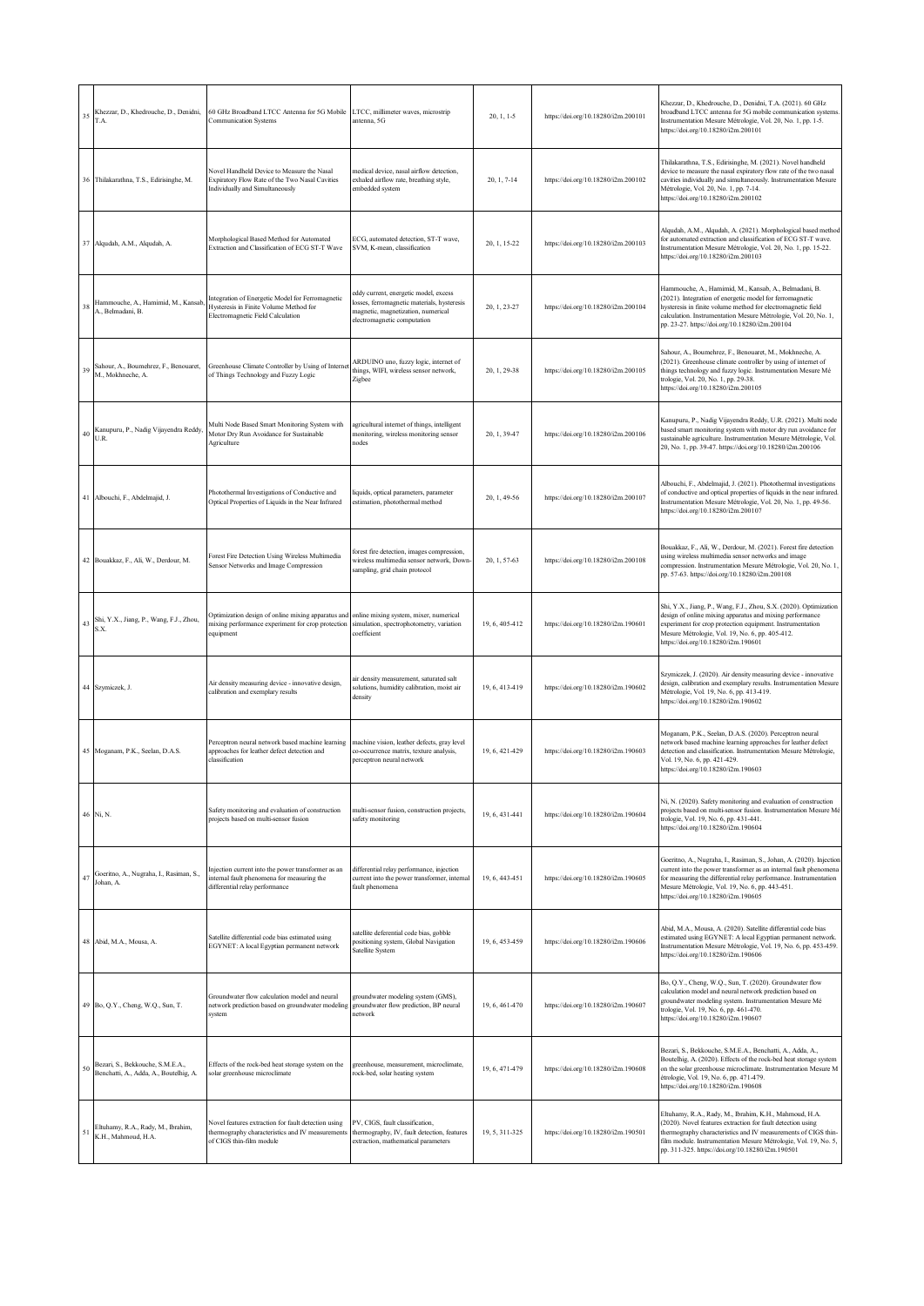| 35 | Khezzar, D., Khedrouche, D., Denidni,<br>T.A.                              | 60 GHz Broadband LTCC Antenna for 5G Mobile<br><b>Communication Systems</b>                                                         | LTCC, millimeter waves, microstrip<br>antenna, 5G                                                                                                         | $20, 1, 1-5$   | https://doi.org/10.18280/i2m.200101 | Khezzar, D., Khedrouche, D., Denidni, T.A. (2021). 60 GHz<br>broadband LTCC antenna for 5G mobile communication systems.<br>Instrumentation Mesure Métrologie, Vol. 20, No. 1, pp. 1-5.<br>https://doi.org/10.18280/i2m.200101                                                                                 |
|----|----------------------------------------------------------------------------|-------------------------------------------------------------------------------------------------------------------------------------|-----------------------------------------------------------------------------------------------------------------------------------------------------------|----------------|-------------------------------------|----------------------------------------------------------------------------------------------------------------------------------------------------------------------------------------------------------------------------------------------------------------------------------------------------------------|
|    | 36 Thilakarathna, T.S., Edirisinghe, M.                                    | Novel Handheld Device to Measure the Nasal<br>Expiratory Flow Rate of the Two Nasal Cavities<br>Individually and Simultaneously     | medical device, nasal airflow detection,<br>exhaled airflow rate, breathing style,<br>embedded system                                                     | 20, 1, 7-14    | https://doi.org/10.18280/i2m.200102 | Thilakarathna, T.S., Edirisinghe, M. (2021). Novel handheld<br>device to measure the nasal expiratory flow rate of the two nasal<br>cavities individually and simultaneously. Instrumentation Mesure<br>Métrologie, Vol. 20, No. 1, pp. 7-14.<br>https://doi.org/10.18280/i2m.200102                           |
|    | 37 Alqudah, A.M., Alqudah, A.                                              | Morphological Based Method for Automated<br>Extraction and Classification of ECG ST-T Wave                                          | ECG, automated detection, ST-T wave,<br>SVM, K-mean, classification                                                                                       | 20, 1, 15-22   | https://doi.org/10.18280/i2m.200103 | Alqudah, A.M., Alqudah, A. (2021). Morphological based method<br>for automated extraction and classification of ECG ST-T wave.<br>Instrumentation Mesure Métrologie, Vol. 20, No. 1, pp. 15-22.<br>https://doi.org/10.18280/i2m.200103                                                                         |
| 38 | Hammouche, A., Hamimid, M., Kansab<br>A., Belmadani, B.                    | Integration of Energetic Model for Ferromagnetic<br>Hysteresis in Finite Volume Method for<br>Electromagnetic Field Calculation     | eddy current, energetic model, excess<br>losses, ferromagnetic materials, hysteresis<br>nagnetic, magnetization, numerical<br>electromagnetic computation | 20, 1, 23-27   | https://doi.org/10.18280/i2m.200104 | Hammouche, A., Hamimid, M., Kansab, A., Belmadani, B.<br>(2021). Integration of energetic model for ferromagnetic<br>hysteresis in finite volume method for electromagnetic field<br>calculation. Instrumentation Mesure Métrologie, Vol. 20, No. 1,<br>pp. 23-27. https://doi.org/10.18280/i2m.200104         |
| 39 | Sahour, A., Boumehrez, F., Benouaret,<br>M., Mokhneche, A.                 | Greenhouse Climate Controller by Using of Interne<br>of Things Technology and Fuzzy Logic                                           | ARDUINO uno, fuzzy logic, internet of<br>things, WIFI, wireless sensor network,<br>Zigbee                                                                 | 20, 1, 29-38   | https://doi.org/10.18280/i2m.200105 | Sahour, A., Boumehrez, F., Benouaret, M., Mokhneche, A.<br>(2021). Greenhouse climate controller by using of internet of<br>things technology and fuzzy logic. Instrumentation Mesure Mé<br>trologie, Vol. 20, No. 1, pp. 29-38.<br>https://doi.org/10.18280/i2m.200105                                        |
| 40 | Kanupuru, P., Nadig Vijayendra Reddy,<br>U.R.                              | Multi Node Based Smart Monitoring System with<br>Motor Dry Run Avoidance for Sustainable<br>Agriculture                             | agricultural internet of things, intelligent<br>monitoring, wireless monitoring sensor<br>nodes                                                           | 20, 1, 39-47   | https://doi.org/10.18280/i2m.200106 | Kanupuru, P., Nadig Vijayendra Reddy, U.R. (2021). Multi node<br>based smart monitoring system with motor dry run avoidance for<br>sustainable agriculture. Instrumentation Mesure Métrologie, Vol.<br>20, No. 1, pp. 39-47. https://doi.org/10.18280/i2m.200106                                               |
|    | 41 Albouchi, F., Abdelmajid, J.                                            | Photothermal Investigations of Conductive and<br>Optical Properties of Liquids in the Near Infrared                                 | iquids, optical parameters, parameter<br>estimation, photothermal method                                                                                  | 20, 1, 49-56   | https://doi.org/10.18280/i2m.200107 | Albouchi, F., Abdelmajid, J. (2021). Photothermal investigations<br>of conductive and optical properties of liquids in the near infrared<br>Instrumentation Mesure Métrologie, Vol. 20, No. 1, pp. 49-56.<br>https://doi.org/10.18280/i2m.200107                                                               |
|    | 42 Bouakkaz, F., Ali, W., Derdour, M.                                      | Forest Fire Detection Using Wireless Multimedia<br>Sensor Networks and Image Compression                                            | forest fire detection, images compression,<br>wireless multimedia sensor network, Down-<br>sampling, grid chain protocol                                  | 20, 1, 57-63   | https://doi.org/10.18280/i2m.200108 | Bouakkaz, F., Ali, W., Derdour, M. (2021). Forest fire detection<br>using wireless multimedia sensor networks and image<br>compression. Instrumentation Mesure Métrologie, Vol. 20, No. 1,<br>pp. 57-63. https://doi.org/10.18280/i2m.200108                                                                   |
| 43 | Shi, Y.X., Jiang, P., Wang, F.J., Zhou,<br>S.X.                            | Optimization design of online mixing apparatus and<br>mixing performance experiment for crop protection<br>equipment                | online mixing system, mixer, numerical<br>simulation, spectrophotometry, variation<br>coefficient                                                         | 19, 6, 405-412 | https://doi.org/10.18280/i2m.190601 | Shi, Y.X., Jiang, P., Wang, F.J., Zhou, S.X. (2020). Optimization<br>design of online mixing apparatus and mixing performance<br>experiment for crop protection equipment. Instrumentation<br>Mesure Métrologie, Vol. 19, No. 6, pp. 405-412.<br>https://doi.org/10.18280/i2m.190601                           |
|    | 44 Szymiczek, J.                                                           | Air density measuring device - innovative design,<br>calibration and exemplary results                                              | air density measurement, saturated salt<br>solutions, humidity calibration, moist air<br>density                                                          | 19, 6, 413-419 | https://doi.org/10.18280/i2m.190602 | Szymiczek, J. (2020). Air density measuring device - innovative<br>design, calibration and exemplary results. Instrumentation Mesure<br>Métrologie, Vol. 19, No. 6, pp. 413-419.<br>https://doi.org/10.18280/i2m.190602                                                                                        |
|    | 45 Moganam, P.K., Seelan, D.A.S.                                           | Perceptron neural network based machine learning<br>approaches for leather defect detection and<br>classification                   | machine vision, leather defects, gray level<br>co-occurrence matrix, texture analysis,<br>perceptron neural network                                       | 19, 6, 421-429 | https://doi.org/10.18280/i2m.190603 | Moganam, P.K., Seelan, D.A.S. (2020). Perceptron neural<br>network based machine learning approaches for leather defect<br>detection and classification. Instrumentation Mesure Métrologie,<br>Vol. 19, No. 6, pp. 421-429.<br>https://doi.org/10.18280/i2m.190603                                             |
|    | 46 Ni, N.                                                                  | Safety monitoring and evaluation of construction<br>projects based on multi-sensor fusion                                           | multi-sensor fusion, construction projects,<br>safety monitoring                                                                                          | 19, 6, 431-441 | https://doi.org/10.18280/i2m.190604 | Ni, N. (2020). Safety monitoring and evaluation of construction<br>projects based on multi-sensor fusion. Instrumentation Mesure Mé<br>trologie, Vol. 19, No. 6, pp. 431-441.<br>https://doi.org/10.18280/i2m.190604                                                                                           |
| 47 | Goeritno, A., Nugraha, I., Rasiman, S.,<br>Johan, A.                       | Injection current into the power transformer as an<br>internal fault phenomena for measuring the<br>differential relay performance  | differential relay performance, injection<br>current into the power transformer, internal<br>fault phenomena                                              | 19, 6, 443-451 | https://doi.org/10.18280/i2m.190605 | Goeritno, A., Nugraha, I., Rasiman, S., Johan, A. (2020). Injection<br>current into the power transformer as an internal fault phenomena<br>for measuring the differential relay performance. Instrumentation<br>Mesure Métrologie, Vol. 19, No. 6, pp. 443-451.<br>https://doi.org/10.18280/i2m.190605        |
|    | 48 Abid, M.A., Mousa, A.                                                   | Satellite differential code bias estimated using<br>EGYNET: A local Egyptian permanent network                                      | satellite deferential code bias, gobble<br>positioning system, Global Navigation<br>Satellite System                                                      | 19, 6, 453-459 | https://doi.org/10.18280/i2m.190606 | Abid, M.A., Mousa, A. (2020). Satellite differential code bias<br>estimated using EGYNET: A local Egyptian permanent network.<br>Instrumentation Mesure Métrologie, Vol. 19, No. 6, pp. 453-459.<br>https://doi.org/10.18280/i2m.190606                                                                        |
|    | 49 Bo, Q.Y., Cheng, W.Q., Sun, T.                                          | Groundwater flow calculation model and neural<br>network prediction based on groundwater modeling<br>system                         | groundwater modeling system (GMS),<br>groundwater flow prediction, BP neural<br>network                                                                   | 19, 6, 461-470 | https://doi.org/10.18280/i2m.190607 | Bo, Q.Y., Cheng, W.Q., Sun, T. (2020). Groundwater flow<br>calculation model and neural network prediction based on<br>groundwater modeling system. Instrumentation Mesure Mé<br>trologie, Vol. 19, No. 6, pp. 461-470.<br>https://doi.org/10.18280/i2m.190607                                                 |
| 50 | Bezari, S., Bekkouche, S.M.E.A.,<br>Benchatti, A., Adda, A., Boutelhig, A. | Effects of the rock-bed heat storage system on the<br>solar greenhouse microclimate                                                 | greenhouse, measurement, microclimate,<br>rock-bed, solar heating system                                                                                  | 19, 6, 471-479 | https://doi.org/10.18280/i2m.190608 | Bezari, S., Bekkouche, S.M.E.A., Benchatti, A., Adda, A.,<br>Boutelhig, A. (2020). Effects of the rock-bed heat storage system<br>on the solar greenhouse microclimate. Instrumentation Mesure M<br>étrologie, Vol. 19, No. 6, pp. 471-479.<br>https://doi.org/10.18280/i2m.190608                             |
| 5  | Eltuhamy, R.A., Rady, M., Ibrahim,<br>K.H., Mahmoud, H.A.                  | Novel features extraction for fault detection using<br>thermography characteristics and IV measurements<br>of CIGS thin-film module | PV, CIGS, fault classification,<br>thermography, IV, fault detection, features<br>extraction, mathematical parameters                                     | 19, 5, 311-325 | https://doi.org/10.18280/i2m.190501 | Eltuhamy, R.A., Rady, M., Ibrahim, K.H., Mahmoud, H.A.<br>(2020). Novel features extraction for fault detection using<br>thermography characteristics and IV measurements of CIGS thin-<br>film module. Instrumentation Mesure Métrologie, Vol. 19, No. 5,<br>pp. 311-325. https://doi.org/10.18280/i2m.190501 |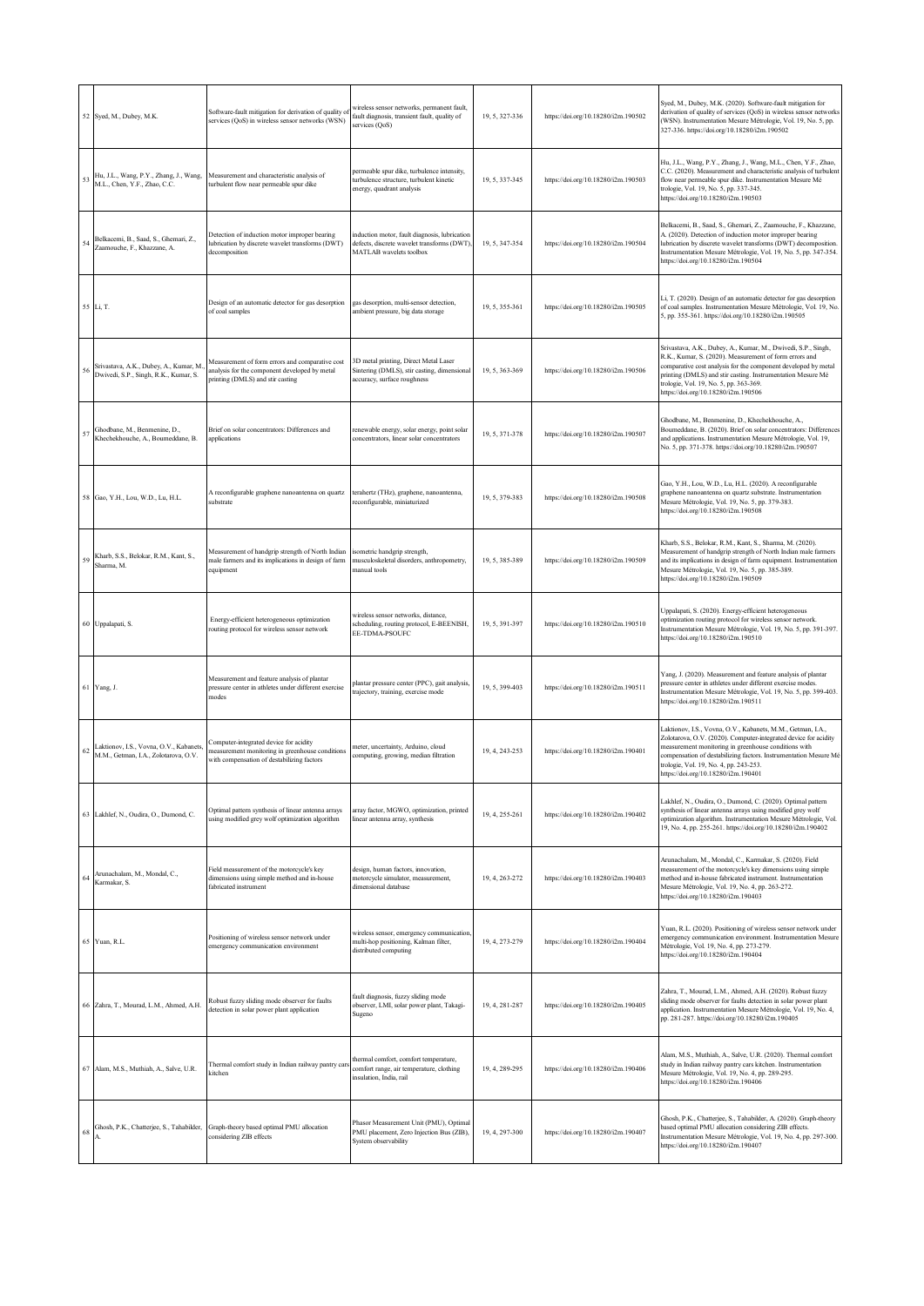|    | 52 Syed, M., Dubey, M.K.                                                        | Software-fault mitigation for derivation of quality o<br>services (QoS) in wireless sensor networks (WSN)                               | wireless sensor networks, permanent fault,<br>fault diagnosis, transient fault, quality of<br>services (QoS)            | 19, 5, 327-336 | https://doi.org/10.18280/i2m.190502 | Syed, M., Dubey, M.K. (2020). Software-fault mitigation for<br>derivation of quality of services (QoS) in wireless sensor networks<br>(WSN). Instrumentation Mesure Métrologie, Vol. 19, No. 5, pp.<br>327-336. https://doi.org/10.18280/i2m.190502                                                                                         |
|----|---------------------------------------------------------------------------------|-----------------------------------------------------------------------------------------------------------------------------------------|-------------------------------------------------------------------------------------------------------------------------|----------------|-------------------------------------|---------------------------------------------------------------------------------------------------------------------------------------------------------------------------------------------------------------------------------------------------------------------------------------------------------------------------------------------|
| 53 | Hu, J.L., Wang, P.Y., Zhang, J., Wang,<br>M.L., Chen, Y.F., Zhao, C.C.          | Measurement and characteristic analysis of<br>turbulent flow near permeable spur dike                                                   | permeable spur dike, turbulence intensity,<br>turbulence structure, turbulent kinetic<br>energy, quadrant analysis      | 19, 5, 337-345 | https://doi.org/10.18280/i2m.190503 | Hu, J.L., Wang, P.Y., Zhang, J., Wang, M.L., Chen, Y.F., Zhao,<br>C.C. (2020). Measurement and characteristic analysis of turbulent<br>flow near permeable spur dike. Instrumentation Mesure Mé<br>trologie, Vol. 19, No. 5, pp. 337-345.<br>https://doi.org/10.18280/i2m.190503                                                            |
| 54 | Belkacemi, B., Saad, S., Ghemari, Z.,<br>Zaamouche, F., Khazzane, A.            | Detection of induction motor improper bearing<br>lubrication by discrete wavelet transforms (DWT)<br>decomposition                      | induction motor, fault diagnosis, lubrication<br>defects, discrete wavelet transforms (DWT),<br>MATLAB wavelets toolbox | 19, 5, 347-354 | https://doi.org/10.18280/i2m.190504 | Belkacemi, B., Saad, S., Ghemari, Z., Zaamouche, F., Khazzane,<br>A. (2020). Detection of induction motor improper bearing<br>lubrication by discrete wavelet transforms (DWT) decomposition.<br>Instrumentation Mesure Métrologie, Vol. 19, No. 5, pp. 347-354.<br>https://doi.org/10.18280/i2m.190504                                     |
|    | 55 Li, T.                                                                       | Design of an automatic detector for gas desorption<br>of coal samples                                                                   | gas desorption, multi-sensor detection,<br>ambient pressure, big data storage                                           | 19, 5, 355-361 | https://doi.org/10.18280/i2m.190505 | Li, T. (2020). Design of an automatic detector for gas desorption<br>of coal samples. Instrumentation Mesure Métrologie, Vol. 19, No.<br>5, pp. 355-361. https://doi.org/10.18280/i2m.190505                                                                                                                                                |
| 56 | Srivastava, A.K., Dubey, A., Kumar, M.<br>Dwivedi, S.P., Singh, R.K., Kumar, S. | Measurement of form errors and comparative cost<br>analysis for the component developed by metal<br>printing (DMLS) and stir casting    | 3D metal printing, Direct Metal Laser<br>Sintering (DMLS), stir casting, dimensional<br>accuracy, surface roughness     | 19, 5, 363-369 | https://doi.org/10.18280/i2m.190506 | Srivastava, A.K., Dubey, A., Kumar, M., Dwivedi, S.P., Singh,<br>R.K., Kumar, S. (2020). Measurement of form errors and<br>comparative cost analysis for the component developed by metal<br>printing (DMLS) and stir casting. Instrumentation Mesure Mé<br>trologie, Vol. 19, No. 5, pp. 363-369.<br>https://doi.org/10.18280/i2m.190506   |
| 57 | Ghodbane, M., Benmenine, D.,<br>Khechekhouche, A., Boumeddane, B.               | Brief on solar concentrators: Differences and<br>applications                                                                           | renewable energy, solar energy, point solar<br>concentrators, linear solar concentrators                                | 19, 5, 371-378 | https://doi.org/10.18280/i2m.190507 | Ghodbane, M., Benmenine, D., Khechekhouche, A.,<br>Boumeddane, B. (2020). Brief on solar concentrators: Differences<br>and applications. Instrumentation Mesure Métrologie, Vol. 19,<br>No. 5, pp. 371-378. https://doi.org/10.18280/i2m.190507                                                                                             |
|    | 58 Gao, Y.H., Lou, W.D., Lu, H.L.                                               | A reconfigurable graphene nanoantenna on quartz<br>substrate                                                                            | terahertz (THz), graphene, nanoantenna,<br>econfigurable, miniaturized                                                  | 19, 5, 379-383 | https://doi.org/10.18280/i2m.190508 | Gao, Y.H., Lou, W.D., Lu, H.L. (2020). A reconfigurable<br>graphene nanoantenna on quartz substrate. Instrumentation<br>Mesure Métrologie, Vol. 19, No. 5, pp. 379-383.<br>https://doi.org/10.18280/i2m.190508                                                                                                                              |
| 59 | Kharb, S.S., Belokar, R.M., Kant, S.,<br>Sharma, M.                             | Measurement of handgrip strength of North Indian<br>male farmers and its implications in design of farm<br>equipment                    | isometric handgrip strength,<br>musculoskeletal disorders, anthropometry,<br>manual tools                               | 19, 5, 385-389 | https://doi.org/10.18280/i2m.190509 | Kharb, S.S., Belokar, R.M., Kant, S., Sharma, M. (2020).<br>Measurement of handgrip strength of North Indian male farmers<br>and its implications in design of farm equipment. Instrumentation<br>Mesure Métrologie, Vol. 19, No. 5, pp. 385-389.<br>https://doi.org/10.18280/i2m.190509                                                    |
|    | 60 Uppalapati, S.                                                               | Energy-efficient heterogeneous optimization<br>routing protocol for wireless sensor network                                             | wireless sensor networks, distance,<br>scheduling, routing protocol, E-BEENISH,<br>EE-TDMA-PSOUFC                       | 19, 5, 391-397 | https://doi.org/10.18280/i2m.190510 | Uppalapati, S. (2020). Energy-efficient heterogeneous<br>optimization routing protocol for wireless sensor network.<br>Instrumentation Mesure Métrologie, Vol. 19, No. 5, pp. 391-397.<br>https://doi.org/10.18280/i2m.190510                                                                                                               |
|    | 61 Yang, J.                                                                     | Measurement and feature analysis of plantar<br>pressure center in athletes under different exercise<br>modes                            | plantar pressure center (PPC), gait analysis,<br>rajectory, training, exercise mode                                     | 19, 5, 399-403 | https://doi.org/10.18280/i2m.190511 | Yang, J. (2020). Measurement and feature analysis of plantar<br>pressure center in athletes under different exercise modes.<br>Instrumentation Mesure Métrologie, Vol. 19, No. 5, pp. 399-403.<br>https://doi.org/10.18280/i2m.190511                                                                                                       |
| 62 | Laktionov, I.S., Vovna, O.V., Kabanets,<br>M.M., Getman, I.A., Zolotarova, O.V. | Computer-integrated device for acidity<br>measurement monitoring in greenhouse conditions<br>with compensation of destabilizing factors | meter, uncertainty, Arduino, cloud<br>computing, growing, median filtration                                             | 19, 4, 243-253 | https://doi.org/10.18280/i2m.190401 | Laktionov, I.S., Vovna, O.V., Kabanets, M.M., Getman, I.A.,<br>Zolotarova, O.V. (2020). Computer-integrated device for acidity<br>measurement monitoring in greenhouse conditions with<br>compensation of destabilizing factors. Instrumentation Mesure Mé<br>trologie, Vol. 19, No. 4, pp. 243-253.<br>https://doi.org/10.18280/i2m.190401 |
|    | 63 Lakhlef, N., Oudira, O., Dumond, C.                                          | Optimal pattern synthesis of linear antenna arrays<br>using modified grey wolf optimization algorithm                                   | array factor, MGWO, optimization, printed<br>linear antenna array, synthesis                                            | 19, 4, 255-261 | https://doi.org/10.18280/i2m.190402 | Lakhlef, N., Oudira, O., Dumond, C. (2020). Optimal pattern<br>synthesis of linear antenna arrays using modified grey wolf<br>optimization algorithm. Instrumentation Mesure Métrologie, Vol.<br>19, No. 4, pp. 255-261. https://doi.org/10.18280/i2m.190402                                                                                |
| 64 | Arunachalam, M., Mondal, C.,<br>Karmakar, S.                                    | Field measurement of the motorcycle's key<br>dimensions using simple method and in-house<br>fabricated instrument                       | design, human factors, innovation,<br>notorcycle simulator, measurement,<br>dimensional database                        | 19, 4, 263-272 | https://doi.org/10.18280/i2m.190403 | Arunachalam, M., Mondal, C., Karmakar, S. (2020). Field<br>measurement of the motorcycle's key dimensions using simple<br>method and in-house fabricated instrument. Instrumentation<br>Mesure Métrologie, Vol. 19, No. 4, pp. 263-272.<br>https://doi.org/10.18280/i2m.190403                                                              |
|    | 65 Yuan, R.L.                                                                   | Positioning of wireless sensor network under<br>emergency communication environment                                                     | wireless sensor, emergency communication,<br>multi-hop positioning, Kalman filter,<br>distributed computing             | 19, 4, 273-279 | https://doi.org/10.18280/i2m.190404 | Yuan, R.L. (2020). Positioning of wireless sensor network under<br>emergency communication environment. Instrumentation Mesure<br>Métrologie, Vol. 19, No. 4, pp. 273-279.<br>https://doi.org/10.18280/i2m.190404                                                                                                                           |
|    | 66 Zahra, T., Mourad, L.M., Ahmed, A.H.                                         | Robust fuzzy sliding mode observer for faults<br>detection in solar power plant application                                             | fault diagnosis, fuzzy sliding mode<br>observer, LMI, solar power plant, Takagi-<br>Sugeno                              | 19, 4, 281-287 | https://doi.org/10.18280/i2m.190405 | Zahra, T., Mourad, L.M., Ahmed, A.H. (2020). Robust fuzzy<br>sliding mode observer for faults detection in solar power plant<br>application. Instrumentation Mesure Métrologie, Vol. 19, No. 4,<br>pp. 281-287. https://doi.org/10.18280/i2m.190405                                                                                         |
|    | 67 Alam, M.S., Muthiah, A., Salve, U.R.                                         | Thermal comfort study in Indian railway pantry cars<br>kitchen                                                                          | hermal comfort, comfort temperature,<br>comfort range, air temperature, clothing<br>insulation, India, rail             | 19, 4, 289-295 | https://doi.org/10.18280/i2m.190406 | Alam, M.S., Muthiah, A., Salve, U.R. (2020). Thermal comfort<br>study in Indian railway pantry cars kitchen. Instrumentation<br>Mesure Métrologie, Vol. 19, No. 4, pp. 289-295.<br>https://doi.org/10.18280/i2m.190406                                                                                                                      |
| 68 | Ghosh, P.K., Chatterjee, S., Tahabilder,                                        | Graph-theory based optimal PMU allocation<br>considering ZIB effects                                                                    | Phasor Measurement Unit (PMU), Optimal<br>PMU placement, Zero Injection Bus (ZIB),<br>System observability              | 19, 4, 297-300 | https://doi.org/10.18280/i2m.190407 | Ghosh, P.K., Chatterjee, S., Tahabilder, A. (2020). Graph-theory<br>based optimal PMU allocation considering ZIB effects.<br>Instrumentation Mesure Métrologie, Vol. 19, No. 4, pp. 297-300.<br>https://doi.org/10.18280/i2m.190407                                                                                                         |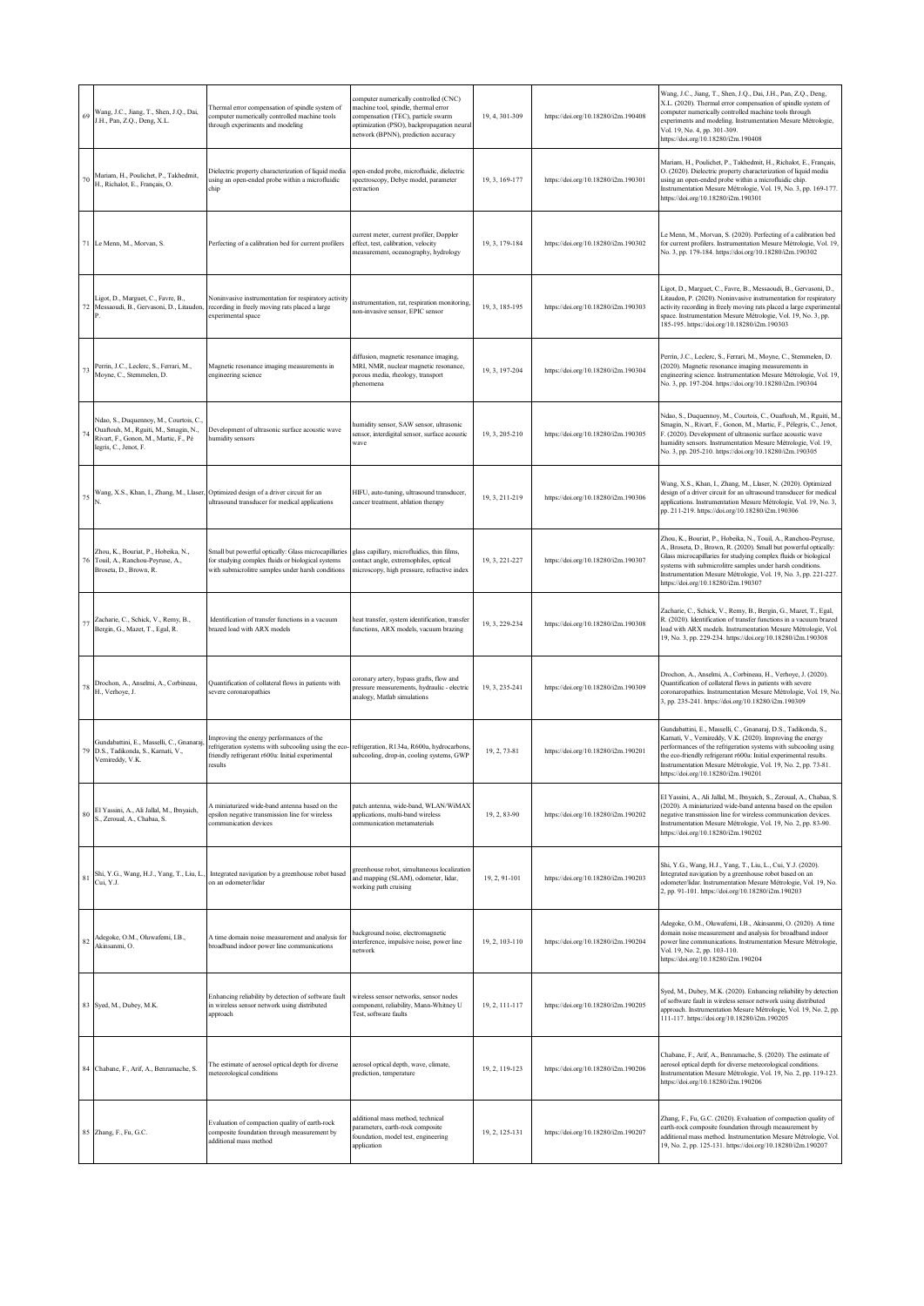| 69          | Wang, J.C., Jiang, T., Shen, J.Q., Dai,<br>J.H., Pan, Z.Q., Deng, X.L.                                                                            | Thermal error compensation of spindle system of<br>computer numerically controlled machine tools<br>through experiments and modeling                            | computer numerically controlled (CNC)<br>machine tool, spindle, thermal error<br>compensation (TEC), particle swarm<br>optimization (PSO), backpropagation neural<br>network (BPNN), prediction accuracy | 19, 4, 301-309 | https://doi.org/10.18280/i2m.190408 | Wang, J.C., Jiang, T., Shen, J.Q., Dai, J.H., Pan, Z.Q., Deng,<br>X.L. (2020). Thermal error compensation of spindle system of<br>computer numerically controlled machine tools through<br>experiments and modeling. Instrumentation Mesure Métrologie,<br>Vol. 19, No. 4, pp. 301-309.<br>https://doi.org/10.18280/i2m.190408                                                 |
|-------------|---------------------------------------------------------------------------------------------------------------------------------------------------|-----------------------------------------------------------------------------------------------------------------------------------------------------------------|----------------------------------------------------------------------------------------------------------------------------------------------------------------------------------------------------------|----------------|-------------------------------------|--------------------------------------------------------------------------------------------------------------------------------------------------------------------------------------------------------------------------------------------------------------------------------------------------------------------------------------------------------------------------------|
| 70          | Mariam, H., Poulichet, P., Takhedmit,<br>H., Richalot, E., Français, O.                                                                           | Dielectric property characterization of liquid media<br>using an open-ended probe within a microfluidic<br>chip                                                 | open-ended probe, microfluidic, dielectric<br>spectroscopy, Debye model, parameter<br>extraction                                                                                                         | 19, 3, 169-177 | https://doi.org/10.18280/i2m.190301 | Mariam, H., Poulichet, P., Takhedmit, H., Richalot, E., Français,<br>O. (2020). Dielectric property characterization of liquid media<br>using an open-ended probe within a microfluidic chip.<br>Instrumentation Mesure Métrologie, Vol. 19, No. 3, pp. 169-177.<br>https://doi.org/10.18280/i2m.190301                                                                        |
|             | 71 Le Menn, M., Morvan, S.                                                                                                                        | Perfecting of a calibration bed for current profilers                                                                                                           | current meter, current profiler, Doppler<br>effect, test, calibration, velocity<br>measurement, oceanography, hydrology                                                                                  | 19, 3, 179-184 | https://doi.org/10.18280/i2m.190302 | Le Menn, M., Morvan, S. (2020). Perfecting of a calibration bed<br>for current profilers. Instrumentation Mesure Métrologie, Vol. 19,<br>No. 3, pp. 179-184. https://doi.org/10.18280/i2m.190302                                                                                                                                                                               |
| 72          | Ligot, D., Marguet, C., Favre, B.,<br>Messaoudi, B., Gervasoni, D., Litaudon,                                                                     | Noninvasive instrumentation for respiratory activity<br>recording in freely moving rats placed a large<br>experimental space                                    | instrumentation, rat, respiration monitoring,<br>non-invasive sensor, EPIC sensor                                                                                                                        | 19, 3, 185-195 | https://doi.org/10.18280/i2m.190303 | Ligot, D., Marguet, C., Favre, B., Messaoudi, B., Gervasoni, D.,<br>Litaudon, P. (2020). Noninvasive instrumentation for respiratory<br>activity recording in freely moving rats placed a large experimental<br>space. Instrumentation Mesure Métrologie, Vol. 19, No. 3, pp.<br>185-195. https://doi.org/10.18280/i2m.190303                                                  |
| 73          | Perrin, J.C., Leclerc, S., Ferrari, M.,<br>Moyne, C., Stemmelen, D.                                                                               | Magnetic resonance imaging measurements in<br>engineering science                                                                                               | diffusion, magnetic resonance imaging,<br>MRI, NMR, nuclear magnetic resonance,<br>porous media, rheology, transport<br>ohenomena                                                                        | 19, 3, 197-204 | https://doi.org/10.18280/i2m.190304 | Perrin, J.C., Leclerc, S., Ferrari, M., Moyne, C., Stemmelen, D.<br>(2020). Magnetic resonance imaging measurements in<br>engineering science. Instrumentation Mesure Métrologie, Vol. 19,<br>No. 3, pp. 197-204. https://doi.org/10.18280/i2m.190304                                                                                                                          |
|             | Ndao, S., Duquennoy, M., Courtois, C.,<br>Ouaftouh, M., Rguiti, M., Smagin, N.,<br>Rivart, F., Gonon, M., Martic, F., Pé<br>legris, C., Jenot, F. | Development of ultrasonic surface acoustic wave<br>humidity sensors                                                                                             | humidity sensor, SAW sensor, ultrasonic<br>sensor, interdigital sensor, surface acoustic<br>wave                                                                                                         | 19, 3, 205-210 | https://doi.org/10.18280/i2m.190305 | Ndao, S., Duquennoy, M., Courtois, C., Ouaftouh, M., Rguiti, M.,<br>Smagin, N., Rivart, F., Gonon, M., Martic, F., Pélegris, C., Jenot,<br>F. (2020). Development of ultrasonic surface acoustic wave<br>humidity sensors. Instrumentation Mesure Métrologie, Vol. 19,<br>No. 3, pp. 205-210. https://doi.org/10.18280/i2m.190305                                              |
|             |                                                                                                                                                   | Wang, X.S., Khan, I., Zhang, M., Llaser, Optimized design of a driver circuit for an<br>ultrasound transducer for medical applications                          | HIFU, auto-tuning, ultrasound transducer,<br>cancer treatment, ablation therapy                                                                                                                          | 19, 3, 211-219 | https://doi.org/10.18280/i2m.190306 | Wang, X.S., Khan, I., Zhang, M., Llaser, N. (2020). Optimized<br>design of a driver circuit for an ultrasound transducer for medical<br>applications. Instrumentation Mesure Métrologie, Vol. 19, No. 3,<br>pp. 211-219. https://doi.org/10.18280/i2m.190306                                                                                                                   |
|             | Zhou, K., Bouriat, P., Hobeika, N.,<br>Touil, A., Ranchou-Peyruse, A.,<br>Broseta, D., Brown, R.                                                  | Small but powerful optically: Glass microcapillaries<br>for studying complex fluids or biological systems<br>with submicrolitre samples under harsh conditions  | glass capillary, microfluidics, thin films,<br>contact angle, extremophiles, optical<br>microscopy, high pressure, refractive index                                                                      | 19, 3, 221-227 | https://doi.org/10.18280/i2m.190307 | Zhou, K., Bouriat, P., Hobeika, N., Touil, A., Ranchou-Peyruse,<br>A., Broseta, D., Brown, R. (2020). Small but powerful optically:<br>Glass microcapillaries for studying complex fluids or biological<br>sytems with submicrolitre samples under harsh conditions.<br>Instrumentation Mesure Métrologie, Vol. 19, No. 3, pp. 221-227.<br>https://doi.org/10.18280/i2m.190307 |
| $7^{\circ}$ | Zacharie, C., Schick, V., Remy, B.,<br>Bergin, G., Mazet, T., Egal, R.                                                                            | Identification of transfer functions in a vacuum<br>brazed load with ARX models                                                                                 | heat transfer, system identification, transfer<br>functions, ARX models, vacuum brazing                                                                                                                  | 19, 3, 229-234 | https://doi.org/10.18280/i2m.190308 | Zacharie, C., Schick, V., Remy, B., Bergin, G., Mazet, T., Egal,<br>R. (2020). Identification of transfer functions in a vacuum brazed<br>load with ARX models. Instrumentation Mesure Métrologie, Vol.<br>19, No. 3, pp. 229-234. https://doi.org/10.18280/i2m.190308                                                                                                         |
|             | Drochon, A., Anselmi, A., Corbineau,<br>H., Verhoye, J.                                                                                           | Quantification of collateral flows in patients with<br>severe coronaropathies                                                                                   | coronary artery, bypass grafts, flow and<br>pressure measurements, hydraulic - electric<br>analogy, Matlab simulations                                                                                   | 19, 3, 235-241 | https://doi.org/10.18280/i2m.190309 | Drochon, A., Anselmi, A., Corbineau, H., Verhoye, J. (2020).<br>Quantification of collateral flows in patients with severe<br>coronaropathies. Instrumentation Mesure Métrologie, Vol. 19, No.<br>3, pp. 235-241. https://doi.org/10.18280/i2m.190309                                                                                                                          |
| 79          | Gundabattini, E., Masselli, C., Gnanaraj<br>D.S., Tadikonda, S., Karnati, V.,<br>Vemireddy, V.K.                                                  | Improving the energy performances of the<br>refrigeration systems with subcooling using the eco-<br>friendly refrigerant r600a: Initial experimental<br>results | refrigeration, R134a, R600a, hydrocarbons,<br>subcooling, drop-in, cooling systems, GWP                                                                                                                  | 19, 2, 73-81   | https://doi.org/10.18280/i2m.190201 | Gundabattini, E., Masselli, C., Gnanaraj, D.S., Tadikonda, S.,<br>Karnati, V., Vemireddy, V.K. (2020). Improving the energy<br>performances of the refrigeration systems with subcooling using<br>the eco-friendly refrigerant r600a: Initial experimental results.<br>Instrumentation Mesure Métrologie, Vol. 19, No. 2, pp. 73-81.<br>https://doi.org/10.18280/i2m.190201    |
| 80          | El Yassini, A., Ali Jallal, M., Ibnyaich,<br>S., Zeroual, A., Chabaa, S.                                                                          | A miniaturized wide-band antenna based on the<br>epsilon negative transmission line for wireless<br>communication devices                                       | patch antenna, wide-band, WLAN/WiMAX<br>applications, multi-band wireless<br>communication metamaterials                                                                                                 | 19, 2, 83-90   | https://doi.org/10.18280/i2m.190202 | El Yassini, A., Ali Jallal, M., Ibnyaich, S., Zeroual, A., Chabaa, S.<br>(2020). A miniaturized wide-band antenna based on the epsilon<br>negative transmission line for wireless communication devices.<br>Instrumentation Mesure Métrologie, Vol. 19, No. 2, pp. 83-90.<br>https://doi.org/10.18280/i2m.190202                                                               |
| 81          | Shi, Y.G., Wang, H.J., Yang, T., Liu, L.,<br>Cui, Y.J.                                                                                            | Integrated navigation by a greenhouse robot based<br>on an odometer/lidar                                                                                       | greenhouse robot, simultaneous localization<br>and mapping (SLAM), odometer, lidar,<br>working path cruising                                                                                             | 19, 2, 91-101  | https://doi.org/10.18280/i2m.190203 | Shi, Y.G., Wang, H.J., Yang, T., Liu, L., Cui, Y.J. (2020).<br>Integrated navigation by a greenhouse robot based on an<br>odometer/lidar. Instrumentation Mesure Métrologie, Vol. 19, No.<br>2, pp. 91-101. https://doi.org/10.18280/i2m.190203                                                                                                                                |
| $82\,$      | Adegoke, O.M., Oluwafemi, I.B.,<br>Akinsanmi, O.                                                                                                  | A time domain noise measurement and analysis for<br>broadband indoor power line communications                                                                  | background noise, electromagnetic<br>interference, impulsive noise, power line<br>network                                                                                                                | 19, 2, 103-110 | https://doi.org/10.18280/i2m.190204 | Adegoke, O.M., Oluwafemi, I.B., Akinsanmi, O. (2020). A time<br>domain noise measurement and analysis for broadband indoor<br>power line communications. Instrumentation Mesure Métrologie,<br>Vol. 19, No. 2, pp. 103-110.<br>https://doi.org/10.18280/i2m.190204                                                                                                             |
|             | 83 Syed, M., Dubey, M.K.                                                                                                                          | Enhancing reliability by detection of software fault<br>in wireless sensor network using distributed<br>approach                                                | wireless sensor networks, sensor nodes<br>component, reliability, Mann-Whitney U<br>Test, software faults                                                                                                | 19, 2, 111-117 | https://doi.org/10.18280/i2m.190205 | Syed, M., Dubey, M.K. (2020). Enhancing reliability by detection<br>of software fault in wireless sensor network using distributed<br>approach. Instrumentation Mesure Métrologie, Vol. 19, No. 2, pp.<br>111-117. https://doi.org/10.18280/i2m.190205                                                                                                                         |
|             | 84 Chabane, F., Arif, A., Benramache, S.                                                                                                          | The estimate of aerosol optical depth for diverse<br>meteorological conditions                                                                                  | aerosol optical depth, wave, climate,<br>prediction, temperature                                                                                                                                         | 19, 2, 119-123 | https://doi.org/10.18280/i2m.190206 | Chabane, F., Arif, A., Benramache, S. (2020). The estimate of<br>aerosol optical depth for diverse meteorological conditions.<br>Instrumentation Mesure Métrologie, Vol. 19, No. 2, pp. 119-123.<br>https://doi.org/10.18280/i2m.190206                                                                                                                                        |
|             | 85 Zhang, F., Fu, G.C.                                                                                                                            | Evaluation of compaction quality of earth-rock<br>omposite foundation through measurement by<br>dditional mass method                                           | additional mass method, technical<br>parameters, earth-rock composite<br>foundation, model test, engineering<br>application                                                                              | 19, 2, 125-131 | https://doi.org/10.18280/i2m.190207 | Zhang, F., Fu, G.C. (2020). Evaluation of compaction quality of<br>earth-rock composite foundation through measurement by<br>additional mass method. Instrumentation Mesure Métrologie, Vol.<br>19, No. 2, pp. 125-131. https://doi.org/10.18280/i2m.190207                                                                                                                    |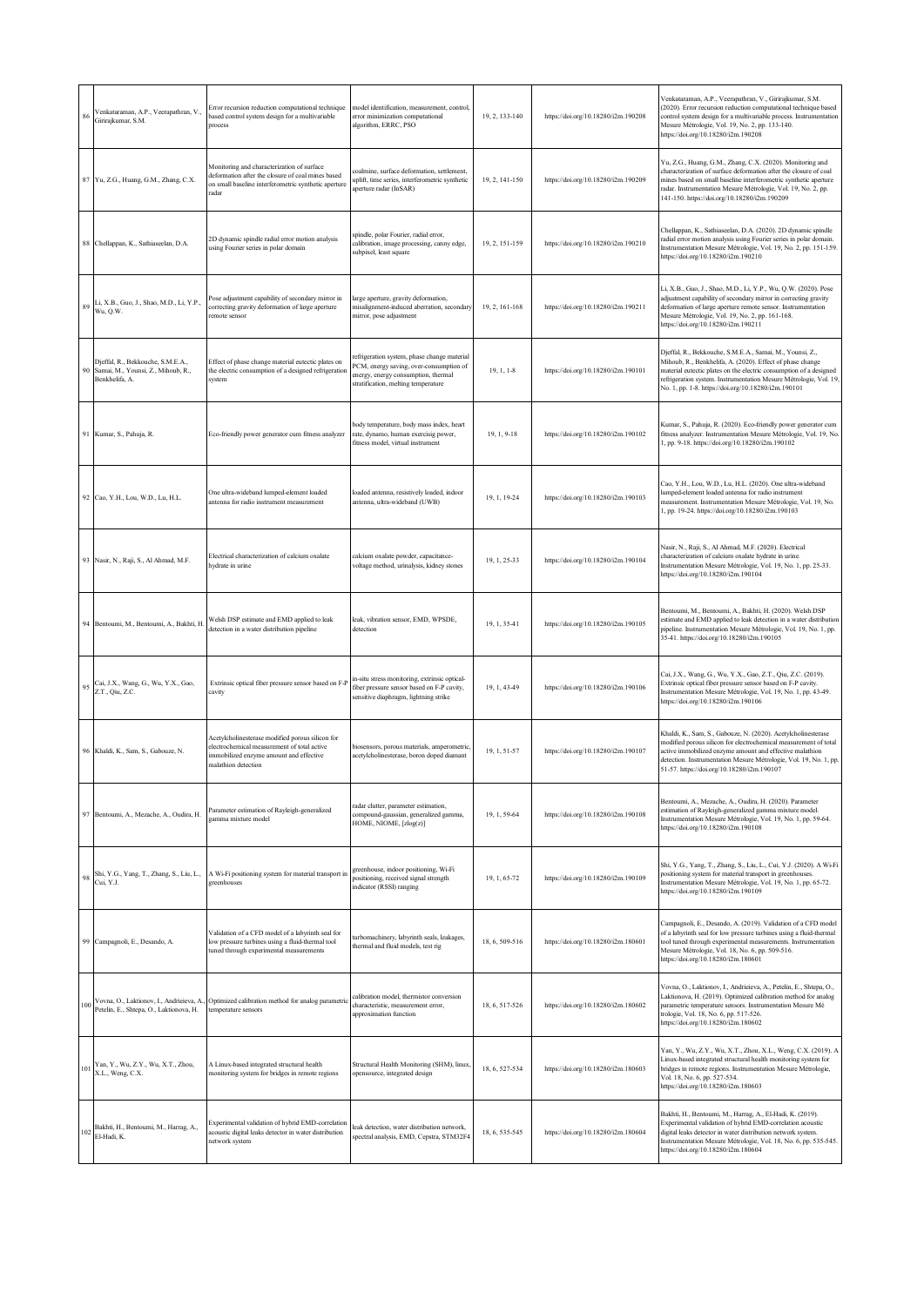| 86  | Venkataraman, A.P., Veerapathran, V.,<br>Girirajkumar, S.M.                                  | Error recursion reduction computational technique<br>based control system design for a multivariable<br>process                                                   | model identification, measurement, control,<br>error minimization computational<br>algorithm, ERRC, PSO                                                              | 19, 2, 133-140 | https://doi.org/10.18280/i2m.190208 | Venkataraman, A.P., Veerapathran, V., Girirajkumar, S.M.<br>(2020). Error recursion reduction computational technique based<br>control system design for a multivariable process. Instrumentation<br>Mesure Métrologie, Vol. 19, No. 2, pp. 133-140.<br>https://doi.org/10.18280/i2m.190208                             |
|-----|----------------------------------------------------------------------------------------------|-------------------------------------------------------------------------------------------------------------------------------------------------------------------|----------------------------------------------------------------------------------------------------------------------------------------------------------------------|----------------|-------------------------------------|-------------------------------------------------------------------------------------------------------------------------------------------------------------------------------------------------------------------------------------------------------------------------------------------------------------------------|
|     | 87 Yu, Z.G., Huang, G.M., Zhang, C.X.                                                        | Monitoring and characterization of surface<br>deformation after the closure of coal mines based<br>on small baseline interferometric synthetic aperture<br>radar  | coalmine, surface deformation, settlement,<br>uplift, time series, interferometric synthetic<br>aperture radar (InSAR)                                               | 19, 2, 141-150 | https://doi.org/10.18280/i2m.190209 | Yu, Z.G., Huang, G.M., Zhang, C.X. (2020). Monitoring and<br>characterization of surface deformation after the closure of coal<br>mines based on small baseline interferometric synthetic aperture<br>radar. Instrumentation Mesure Métrologie, Vol. 19, No. 2, pp.<br>141-150. https://doi.org/10.18280/i2m.190209     |
|     | 88 Chellappan, K., Sathiaseelan, D.A.                                                        | 2D dynamic spindle radial error motion analysis<br>using Fourier series in polar domain                                                                           | spindle, polar Fourier, radial error,<br>calibration, image processing, canny edge,<br>subpixel, least square                                                        | 19, 2, 151-159 | https://doi.org/10.18280/i2m.190210 | Chellappan, K., Sathiaseelan, D.A. (2020). 2D dynamic spindle<br>radial error motion analysis using Fourier series in polar domain.<br>Instrumentation Mesure Métrologie, Vol. 19, No. 2, pp. 151-159.<br>https://doi.org/10.18280/i2m.190210                                                                           |
| 89  | Li, X.B., Guo, J., Shao, M.D., Li, Y.P.,<br>Wu, Q.W.                                         | Pose adjustment capability of secondary mirror in<br>correcting gravity deformation of large aperture<br>emote sensor                                             | large aperture, gravity deformation,<br>misalignment-induced aberration, secondary<br>mirror, pose adjustment                                                        | 19, 2, 161-168 | https://doi.org/10.18280/i2m.190211 | Li, X.B., Guo, J., Shao, M.D., Li, Y.P., Wu, Q.W. (2020). Pose<br>adjustment capability of secondary mirror in correcting gravity<br>deformation of large aperture remote sensor. Instrumentation<br>Mesure Métrologie, Vol. 19, No. 2, pp. 161-168.<br>https://doi.org/10.18280/i2m.190211                             |
|     | Djeffal, R., Bekkouche, S.M.E.A.,<br>90 Samai, M., Younsi, Z., Mihoub, R.,<br>Benkhelifa, A. | Effect of phase change material eutectic plates on<br>the electric consumption of a designed refrigeration<br>system                                              | refrigeration system, phase change material<br>PCM, energy saving, over-consumption of<br>energy, energy consumption, thermal<br>stratification, melting temperature | 19, 1, 1-8     | https://doi.org/10.18280/i2m.190101 | Djeffal, R., Bekkouche, S.M.E.A., Samai, M., Younsi, Z.,<br>Mihoub, R., Benkhelifa, A. (2020). Effect of phase change<br>material eutectic plates on the electric consumption of a designed<br>refrigeration system. Instrumentation Mesure Métrologie, Vol. 19,<br>No. 1, pp. 1-8. https://doi.org/10.18280/i2m.190101 |
|     | 91 Kumar, S., Pahuja, R.                                                                     | Eco-friendly power generator cum fitness analyzer                                                                                                                 | body temperature, body mass index, heart<br>rate, dynamo, human exercisig power,<br>fitness model, virtual instrument                                                | 19, 1, 9-18    | https://doi.org/10.18280/i2m.190102 | Kumar, S., Pahuja, R. (2020). Eco-friendly power generator cum<br>fitness analyzer. Instrumentation Mesure Métrologie, Vol. 19, No.<br>1, pp. 9-18. https://doi.org/10.18280/i2m.190102                                                                                                                                 |
|     | 92 Cao, Y.H., Lou, W.D., Lu, H.L.                                                            | One ultra-wideband lumped-element loaded<br>antenna for radio instrument measurement                                                                              | loaded antenna, resistively loaded, indoor<br>antenna, ultra-wideband (UWB)                                                                                          | 19.1.19-24     | https://doi.org/10.18280/i2m.190103 | Cao, Y.H., Lou, W.D., Lu, H.L. (2020). One ultra-wideband<br>lumped-element loaded antenna for radio instrument<br>measurement. Instrumentation Mesure Métrologie, Vol. 19, No.<br>1, pp. 19-24. https://doi.org/10.18280/i2m.190103                                                                                    |
|     | 93 Nasir, N., Raji, S., Al Ahmad, M.F.                                                       | Electrical characterization of calcium oxalate<br>hydrate in urine                                                                                                | calcium oxalate powder, capacitance-<br>voltage method, urinalysis, kidney stones                                                                                    | 19, 1, 25-33   | https://doi.org/10.18280/i2m.190104 | Nasir, N., Raji, S., Al Ahmad, M.F. (2020). Electrical<br>characterization of calcium oxalate hydrate in urine.<br>Instrumentation Mesure Métrologie, Vol. 19, No. 1, pp. 25-33.<br>https://doi.org/10.18280/i2m.190104                                                                                                 |
|     | 94 Bentoumi, M., Bentoumi, A., Bakhti, H                                                     | Welsh DSP estimate and EMD applied to leak<br>detection in a water distribution pipeline                                                                          | leak, vibration sensor, EMD, WPSDE,<br>detection                                                                                                                     | 19, 1, 35-41   | https://doi.org/10.18280/i2m.190105 | Bentoumi, M., Bentoumi, A., Bakhti, H. (2020). Welsh DSP<br>estimate and EMD applied to leak detection in a water distribution<br>pipeline. Instrumentation Mesure Métrologie, Vol. 19, No. 1, pp.<br>35-41. https://doi.org/10.18280/i2m.190105                                                                        |
|     | 95 Cai, J.X., Wang, G., Wu, Y.X., Gao,<br>Z.T., Qiu, Z.C.                                    | Extrinsic optical fiber pressure sensor based on F-P<br>cavity                                                                                                    | in-situ stress monitoring, extrinsic optical-<br>fiber pressure sensor based on F-P cavity,<br>sensitive diaphragm, lightning strike                                 | 19, 1, 43-49   | https://doi.org/10.18280/i2m.190106 | Cai, J.X., Wang, G., Wu, Y.X., Gao, Z.T., Qiu, Z.C. (2019).<br>Extrinsic optical fiber pressure sensor based on F-P cavity.<br>Instrumentation Mesure Métrologie, Vol. 19, No. 1, pp. 43-49.<br>https://doi.org/10.18280/i2m.190106                                                                                     |
|     | 96 Khaldi, K., Sam, S., Gabouze, N.                                                          | Acetylcholinesterase modified porous silicon for<br>electrochemical measurement of total active<br>immobilized enzyme amount and effective<br>malathion detection | biosensors, porous materials, amperometric,<br>acetylcholinesterase, boron doped diamant                                                                             | 19, 1, 51-57   | https://doi.org/10.18280/i2m.190107 | Khaldi, K., Sam, S., Gabouze, N. (2020). Acetylcholinesterase<br>modified porous silicon for electrochemical measurement of total<br>active immobilized enzyme amount and effective malathion<br>detection. Instrumentation Mesure Métrologie, Vol. 19, No. 1, pp.<br>51-57. https://doi.org/10.18280/i2m.190107        |
|     | 97 Bentoumi, A., Mezache, A., Oudira, H.                                                     | Parameter estimation of Rayleigh-generalized<br>gamma mixture model                                                                                               | radar clutter, parameter estimation,<br>compound-gaussian, generalized gamma,<br>HOME, NIOME, [zlog(z)]                                                              | 19, 1, 59-64   | https://doi.org/10.18280/i2m.190108 | Bentoumi, A., Mezache, A., Oudira, H. (2020). Parameter<br>estimation of Rayleigh-generalized gamma mixture model.<br>Instrumentation Mesure Métrologie, Vol. 19, No. 1, pp. 59-64.<br>https://doi.org/10.18280/i2m.190108                                                                                              |
| 98  | Shi, Y.G., Yang, T., Zhang, S., Liu, L.,<br>Cui, Y.J.                                        | A Wi-Fi positioning system for material transport in<br>zreenhouses                                                                                               | greenhouse, indoor positioning, Wi-Fi<br>positioning, received signal strength<br>indicator (RSSI) ranging                                                           | 19, 1, 65-72   | https://doi.org/10.18280/i2m.190109 | Shi, Y.G., Yang, T., Zhang, S., Liu, L., Cui, Y.J. (2020). A Wi-Fi<br>positioning system for material transport in greenhouses.<br>Instrumentation Mesure Métrologie, Vol. 19, No. 1, pp. 65-72.<br>https://doi.org/10.18280/i2m.190109                                                                                 |
|     | 99 Campagnoli, E., Desando, A.                                                               | Validation of a CFD model of a labyrinth seal for<br>low pressure turbines using a fluid-thermal tool<br>tuned through experimental measurements                  | turbomachinery, labyrinth seals, leakages,<br>thermal and fluid models, test rig                                                                                     | 18, 6, 509-516 | https://doi.org/10.18280/i2m.180601 | Campagnoli, E., Desando, A. (2019). Validation of a CFD model<br>of a labyrinth seal for low pressure turbines using a fluid-thermal<br>tool tuned through experimental measurements. Instrumentation<br>Mesure Métrologie, Vol. 18, No. 6, pp. 509-516.<br>https://doi.org/10.18280/i2m.180601                         |
| 100 | Vovna, O., Laktionov, I., Andrieieva, A.<br>Petelin, E., Shtepa, O., Laktionova, H.          | Optimized calibration method for analog parametric<br>temperature sensors                                                                                         | calibration model, thermistor conversion<br>characteristic, measurement error,<br>approximation function                                                             | 18, 6, 517-526 | https://doi.org/10.18280/i2m.180602 | Vovna, O., Laktionov, I., Andrieieva, A., Petelin, E., Shtepa, O.,<br>Laktionova, H. (2019). Optimized calibration method for analog<br>parametric temperature sensors. Instrumentation Mesure Mé<br>trologie, Vol. 18, No. 6, pp. 517-526.<br>https://doi.org/10.18280/i2m.180602                                      |
| 101 | Yan, Y., Wu, Z.Y., Wu, X.T., Zhou,<br>X.L., Weng, C.X.                                       | A Linux-based integrated structural health<br>monitoring system for bridges in remote regions                                                                     | Structural Health Monitoring (SHM), linux<br>opensource, integrated design                                                                                           | 18, 6, 527-534 | https://doi.org/10.18280/i2m.180603 | Yan, Y., Wu, Z.Y., Wu, X.T., Zhou, X.L., Weng, C.X. (2019). A<br>Linux-based integrated structural health monitoring system for<br>bridges in remote regions. Instrumentation Mesure Métrologie,<br>Vol. 18, No. 6, pp. 527-534.<br>https://doi.org/10.18280/i2m.180603                                                 |
|     | 102 Bakhti, H., Bentoumi, M., Harrag, A.,<br>El-Hadi, K.                                     | Experimental validation of hybrid EMD-correlation<br>acoustic digital leaks detector in water distribution<br>network system                                      | leak detection, water distribution network,<br>spectral analysis, EMD, Cepstra, STM32F4                                                                              | 18, 6, 535-545 | https://doi.org/10.18280/i2m.180604 | Bakhti, H., Bentoumi, M., Harrag, A., El-Hadi, K. (2019).<br>Experimental validation of hybrid EMD-correlation acoustic<br>digital leaks detector in water distribution network system.<br>Instrumentation Mesure Métrologie, Vol. 18, No. 6, pp. 535-545.<br>https://doi.org/10.18280/i2m.180604                       |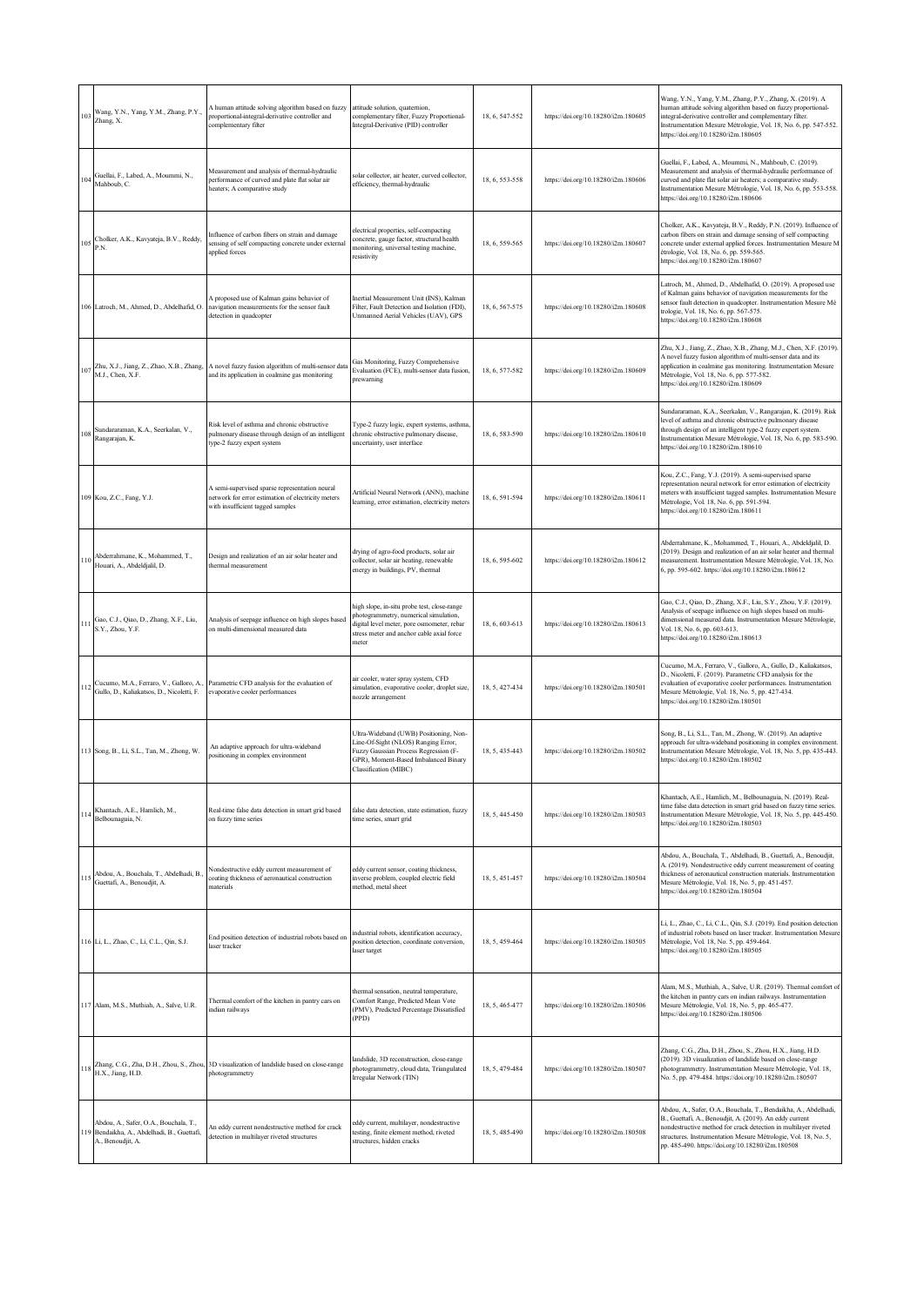| 103 | Wang, Y.N., Yang, Y.M., Zhang, P.Y.,<br>Zhang, X.                                                     | A human attitude solving algorithm based on fuzzy<br>proportional-integral-derivative controller and<br>complementary filter             | attitude solution, quaternion,<br>complementary filter, Fuzzy Proportional-<br>Integral-Derivative (PID) controller                                                                      | 18, 6, 547-552 | https://doi.org/10.18280/i2m.180605 | Wang, Y.N., Yang, Y.M., Zhang, P.Y., Zhang, X. (2019). A<br>human attitude solving algorithm based on fuzzy proportional-<br>integral-derivative controller and complementary filter.<br>Instrumentation Mesure Métrologie, Vol. 18, No. 6, pp. 547-552.<br>https://doi.org/10.18280/i2m.180605                     |
|-----|-------------------------------------------------------------------------------------------------------|------------------------------------------------------------------------------------------------------------------------------------------|------------------------------------------------------------------------------------------------------------------------------------------------------------------------------------------|----------------|-------------------------------------|---------------------------------------------------------------------------------------------------------------------------------------------------------------------------------------------------------------------------------------------------------------------------------------------------------------------|
| 104 | Guellai, F., Labed, A., Moummi, N.,<br>Mahboub, C.                                                    | Measurement and analysis of thermal-hydraulic<br>performance of curved and plate flat solar air<br>heaters; A comparative study          | solar collector, air heater, curved collector,<br>efficiency, thermal-hydraulic                                                                                                          | 18, 6, 553-558 | https://doi.org/10.18280/i2m.180606 | Guellai, F., Labed, A., Moummi, N., Mahboub, C. (2019).<br>Measurement and analysis of thermal-hydraulic performance of<br>curved and plate flat solar air heaters; a comparative study.<br>Instrumentation Mesure Métrologie, Vol. 18, No. 6, pp. 553-558.<br>https://doi.org/10.18280/i2m.180606                  |
| 105 | Cholker, A.K., Kavyateja, B.V., Reddy,<br>P.N.                                                        | Influence of carbon fibers on strain and damage<br>sensing of self compacting concrete under external<br>applied forces                  | electrical properties, self-compacting<br>concrete, gauge factor, structural health<br>monitoring, universal testing machine,<br>resistivity                                             | 18, 6, 559-565 | https://doi.org/10.18280/i2m.180607 | Cholker, A.K., Kavyateja, B.V., Reddy, P.N. (2019). Influence of<br>carbon fibers on strain and damage sensing of self compacting<br>concrete under external applied forces. Instrumentation Mesure M<br>étrologie, Vol. 18, No. 6, pp. 559-565.<br>https://doi.org/10.18280/i2m.180607                             |
|     | 106 Latroch, M., Ahmed, D., Abdelhafid, O.                                                            | A proposed use of Kalman gains behavior of<br>navigation measurements for the sensor fault<br>detection in quadcopter                    | Inertial Measurement Unit (INS), Kalman<br>Filter, Fault Detection and Isolation (FDI),<br>Unmanned Aerial Vehicles (UAV), GPS                                                           | 18, 6, 567-575 | https://doi.org/10.18280/i2m.180608 | Latroch, M., Ahmed, D., Abdelhafid, O. (2019). A proposed use<br>of Kalman gains behavior of navigation measurements for the<br>sensor fault detection in quadcopter. Instrumentation Mesure Mé<br>trologie, Vol. 18, No. 6, pp. 567-575.<br>https://doi.org/10.18280/i2m.180608                                    |
| 107 | Zhu, X.J., Jiang, Z., Zhao, X.B., Zhang,<br>M.J., Chen, X.F.                                          | A novel fuzzy fusion algorithm of multi-sensor data<br>and its application in coalmine gas monitoring                                    | Gas Monitoring, Fuzzy Comprehensive<br>Evaluation (FCE), multi-sensor data fusion,<br><i>rewarning</i>                                                                                   | 18, 6, 577-582 | https://doi.org/10.18280/i2m.180609 | Zhu, X.J., Jiang, Z., Zhao, X.B., Zhang, M.J., Chen, X.F. (2019).<br>A novel fuzzy fusion algorithm of multi-sensor data and its<br>application in coalmine gas monitoring. Instrumentation Mesure<br>Métrologie, Vol. 18, No. 6, pp. 577-582.<br>https://doi.org/10.18280/i2m.180609                               |
| 108 | Sundararaman, K.A., Seerkalan, V.,<br>Rangarajan, K.                                                  | Risk level of asthma and chronic obstructive<br>pulmonary disease through design of an intelligent<br>type-2 fuzzy expert system         | Type-2 fuzzy logic, expert systems, asthma,<br>chronic obstructive pulmonary disease,<br>uncertainty, user interface                                                                     | 18, 6, 583-590 | https://doi.org/10.18280/i2m.180610 | Sundararaman, K.A., Seerkalan, V., Rangarajan, K. (2019). Risk<br>level of asthma and chronic obstructive pulmonary disease<br>through design of an intelligent type-2 fuzzy expert system.<br>Instrumentation Mesure Métrologie, Vol. 18, No. 6, pp. 583-590.<br>https://doi.org/10.18280/i2m.180610               |
|     | 109 Kou, Z.C., Fang, Y.J.                                                                             | A semi-supervised sparse representation neural<br>network for error estimation of electricity meters<br>with insufficient tagged samples | Artificial Neural Network (ANN), machine<br>learning, error estimation, electricity meters                                                                                               | 18, 6, 591-594 | https://doi.org/10.18280/i2m.180611 | Kou, Z.C., Fang, Y.J. (2019). A semi-supervised sparse<br>representation neural network for error estimation of electricity<br>meters with insufficient tagged samples. Instrumentation Mesure<br>Métrologie, Vol. 18, No. 6, pp. 591-594.<br>https://doi.org/10.18280/i2m.180611                                   |
| 110 | Abderrahmane, K., Mohammed, T.,<br>Houari, A., Abdeldjalil, D.                                        | Design and realization of an air solar heater and<br>thermal measurement                                                                 | drying of agro-food products, solar air<br>collector, solar air heating, renewable<br>energy in buildings, PV, thermal                                                                   | 18, 6, 595-602 | https://doi.org/10.18280/i2m.180612 | Abderrahmane, K., Mohammed, T., Houari, A., Abdeldjalil, D.<br>(2019). Design and realization of an air solar heater and thermal<br>measurement. Instrumentation Mesure Métrologie, Vol. 18, No.<br>6, pp. 595-602. https://doi.org/10.18280/i2m.180612                                                             |
|     | Gao, C.J., Qiao, D., Zhang, X.F., Liu,<br>S.Y., Zhou, Y.F.                                            | Analysis of seepage influence on high slopes based<br>on multi-dimensional measured data                                                 | high slope, in-situ probe test, close-range<br>photogrammetry, numerical simulation,<br>digital level meter, pore osmometer, rebar<br>stress meter and anchor cable axial force<br>meter | 18, 6, 603-613 | https://doi.org/10.18280/i2m.180613 | Gao, C.J., Qiao, D., Zhang, X.F., Liu, S.Y., Zhou, Y.F. (2019).<br>Analysis of seepage influence on high slopes based on multi-<br>dimensional measured data. Instrumentation Mesure Métrologie,<br>Vol. 18, No. 6, pp. 603-613.<br>https://doi.org/10.18280/i2m.180613                                             |
| 112 | Cucumo, M.A., Ferraro, V., Galloro, A.,<br>Gullo, D., Kaliakatsos, D., Nicoletti, F.                  | Parametric CFD analysis for the evaluation of<br>evaporative cooler performances                                                         | air cooler, water spray system, CFD<br>simulation, evaporative cooler, droplet size,<br>nozzle arrangement                                                                               | 18, 5, 427-434 | https://doi.org/10.18280/i2m.180501 | Cucumo, M.A., Ferraro, V., Galloro, A., Gullo, D., Kaliakatsos,<br>D., Nicoletti, F. (2019). Parametric CFD analysis for the<br>evaluation of evaporative cooler performances. Instrumentation<br>Mesure Métrologie, Vol. 18, No. 5, pp. 427-434.<br>https://doi.org/10.18280/i2m.180501                            |
|     | 113 Song, B., Li, S.L., Tan, M., Zhong, W.                                                            | An adaptive approach for ultra-wideband<br>positioning in complex environment                                                            | Ultra-Wideband (UWB) Positioning, Non-<br>Line-Of-Sight (NLOS) Ranging Error,<br>Fuzzy Gaussian Process Regression (F-<br>GPR), Moment-Based Imbalanced Binary<br>Classification (MIBC)  | 18, 5, 435-443 | https://doi.org/10.18280/i2m.180502 | Song, B., Li, S.L., Tan, M., Zhong, W. (2019). An adaptive<br>approach for ultra-wideband positioning in complex environment.<br>Instrumentation Mesure Métrologie, Vol. 18, No. 5, pp. 435-443.<br>https://doi.org/10.18280/i2m.180502                                                                             |
| 114 | Khantach, A.E., Hamlich, M.,<br>Belbounaguia, N.                                                      | Real-time false data detection in smart grid based<br>on fuzzy time series                                                               | false data detection, state estimation, fuzzy<br>time series, smart grid                                                                                                                 | 18, 5, 445-450 | https://doi.org/10.18280/i2m.180503 | Khantach, A.E., Hamlich, M., Belbounaguia, N. (2019). Real-<br>time false data detection in smart grid based on fuzzy time series.<br>Instrumentation Mesure Métrologie, Vol. 18, No. 5, pp. 445-450.<br>https://doi.org/10.18280/i2m.180503                                                                        |
| 115 | Abdou, A., Bouchala, T., Abdelhadi, B.,<br>Guettafi, A., Benoudjit, A.                                | Nondestructive eddy current measurement of<br>coating thickness of aeronautical construction<br>materials                                | eddy current sensor, coating thickness,<br>inverse problem, coupled electric field<br>method, metal sheet                                                                                | 18, 5, 451-457 | https://doi.org/10.18280/i2m.180504 | Abdou, A., Bouchala, T., Abdelhadi, B., Guettafi, A., Benoudjit,<br>A. (2019). Nondestructive eddy current measurement of coating<br>thickness of aeronautical construction materials. Instrumentation<br>Mesure Métrologie, Vol. 18, No. 5, pp. 451-457.<br>https://doi.org/10.18280/i2m.180504                    |
|     | 116 Li, L., Zhao, C., Li, C.L., Qin, S.J.                                                             | End position detection of industrial robots based on<br>laser tracker                                                                    | industrial robots, identification accuracy,<br>position detection, coordinate conversion,<br>laser target                                                                                | 18, 5, 459-464 | https://doi.org/10.18280/i2m.180505 | Li, L., Zhao, C., Li, C.L., Qin, S.J. (2019). End position detection<br>of industrial robots based on laser tracker. Instrumentation Mesure<br>Métrologie, Vol. 18, No. 5, pp. 459-464.<br>https://doi.org/10.18280/i2m.180505                                                                                      |
|     | 117 Alam, M.S., Muthiah, A., Salve, U.R.                                                              | Thermal comfort of the kitchen in pantry cars on<br>indian railways                                                                      | thermal sensation, neutral temperature,<br>Comfort Range, Predicted Mean Vote<br>(PMV), Predicted Percentage Dissatisfied<br>(PPD)                                                       | 18, 5, 465-477 | https://doi.org/10.18280/i2m.180506 | Alam, M.S., Muthiah, A., Salve, U.R. (2019). Thermal comfort of<br>the kitchen in pantry cars on indian railways. Instrumentation<br>Mesure Métrologie, Vol. 18, No. 5, pp. 465-477.<br>https://doi.org/10.18280/i2m.180506                                                                                         |
|     | H.X., Jiang, H.D.                                                                                     | Zhang, C.G., Zha, D.H., Zhou, S., Zhou, 3D visualization of landslide based on close-range<br>photogrammetry                             | landslide, 3D reconstruction, close-range<br>photogrammetry, cloud data, Triangulated<br>irregular Network (TIN)                                                                         | 18, 5, 479-484 | https://doi.org/10.18280/i2m.180507 | Zhang, C.G., Zha, D.H., Zhou, S., Zhou, H.X., Jiang, H.D.<br>(2019). 3D visualization of landslide based on close-range<br>photogrammetry. Instrumentation Mesure Métrologie, Vol. 18,<br>No. 5, pp. 479-484. https://doi.org/10.18280/i2m.180507                                                                   |
| 119 | Abdou, A., Safer, O.A., Bouchala, T.,<br>Bendaikha, A., Abdelhadi, B., Guettafi,<br>A., Benoudjit, A. | An eddy current nondestructive method for crack<br>detection in multilayer riveted structures                                            | eddy current, multilayer, nondestructive<br>testing, finite element method, riveted<br>structures, hidden cracks                                                                         | 18, 5, 485-490 | https://doi.org/10.18280/i2m.180508 | Abdou, A., Safer, O.A., Bouchala, T., Bendaikha, A., Abdelhadi,<br>B., Guettafi, A., Benoudjit, A. (2019). An eddy current<br>nondestructive method for crack detection in multilayer riveted<br>structures. Instrumentation Mesure Métrologie, Vol. 18, No. 5,<br>pp. 485-490. https://doi.org/10.18280/i2m.180508 |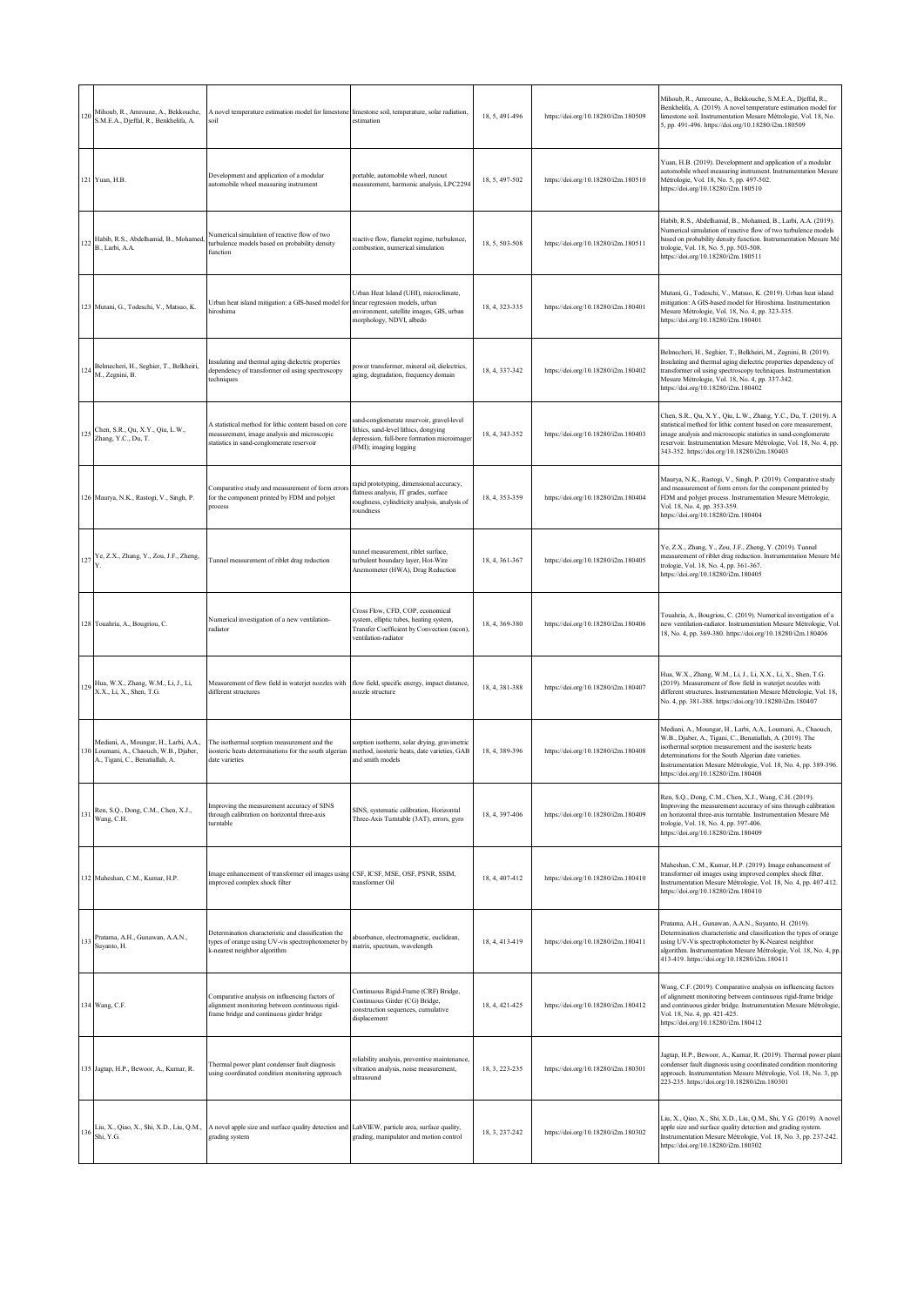| 120 | Mihoub, R., Amroune, A., Bekkouche,<br>S.M.E.A., Djeffal, R., Benkhelifa, A.                                         | A novel temperature estimation model for limestone limestone soil, temperature, solar radiation,<br>soil                                                 | estimation                                                                                                                                                  | 18, 5, 491-496 | https://doi.org/10.18280/i2m.180509 | Mihoub, R., Amroune, A., Bekkouche, S.M.E.A., Djeffal, R.,<br>Benkhelifa, A. (2019). A novel temperature estimation model for<br>limestone soil. Instrumentation Mesure Métrologie, Vol. 18, No.<br>5, pp. 491-496. https://doi.org/10.18280/i2m.180509                                                                                                 |
|-----|----------------------------------------------------------------------------------------------------------------------|----------------------------------------------------------------------------------------------------------------------------------------------------------|-------------------------------------------------------------------------------------------------------------------------------------------------------------|----------------|-------------------------------------|---------------------------------------------------------------------------------------------------------------------------------------------------------------------------------------------------------------------------------------------------------------------------------------------------------------------------------------------------------|
|     | 121 Yuan, H.B.                                                                                                       | Development and application of a modular<br>automobile wheel measuring instrument                                                                        | portable, automobile wheel, runout<br>measurement, harmonic analysis, LPC2294                                                                               | 18, 5, 497-502 | https://doi.org/10.18280/i2m.180510 | Yuan, H.B. (2019). Development and application of a modular<br>automobile wheel measuring instrument. Instrumentation Mesure<br>Métrologie, Vol. 18, No. 5, pp. 497-502.<br>https://doi.org/10.18280/i2m.180510                                                                                                                                         |
| 122 | Habib, R.S., Abdelhamid, B., Mohamed,<br>B., Larbi, A.A.                                                             | Numerical simulation of reactive flow of two<br>turbulence models based on probability density<br>function                                               | reactive flow, flamelet regime, turbulence,<br>combustion, numerical simulation                                                                             | 18, 5, 503-508 | https://doi.org/10.18280/i2m.180511 | Habib, R.S., Abdelhamid, B., Mohamed, B., Larbi, A.A. (2019).<br>Numerical simulation of reactive flow of two turbulence models<br>based on probability density function. Instrumentation Mesure Mé<br>trologie, Vol. 18, No. 5, pp. 503-508.<br>https://doi.org/10.18280/i2m.180511                                                                    |
|     | 123 Mutani, G., Todeschi, V., Matsuo, K.                                                                             | Urban heat island mitigation: a GIS-based model for<br>hiroshima                                                                                         | Urban Heat Island (UHI), microclimate,<br>linear regression models, urban<br>environment, satellite images, GIS, urban<br>norphology, NDVI, albedo          | 18, 4, 323-335 | https://doi.org/10.18280/i2m.180401 | Mutani, G., Todeschi, V., Matsuo, K. (2019). Urban heat island<br>mitigation: A GIS-based model for Hiroshima. Instrumentation<br>Mesure Métrologie, Vol. 18, No. 4, pp. 323-335.<br>https://doi.org/10.18280/i2m.180401                                                                                                                                |
| 124 | Belmecheri, H., Seghier, T., Belkheiri,<br>M., Zegnini, B.                                                           | Insulating and thermal aging dielectric properties<br>dependency of transformer oil using spectroscopy<br>techniques                                     | oower transformer, mineral oil, dielectrics,<br>aging, degradation, frequency domain                                                                        | 18, 4, 337-342 | https://doi.org/10.18280/i2m.180402 | Belmecheri, H., Seghier, T., Belkheiri, M., Zegnini, B. (2019).<br>Insulating and thermal aging dielectric properties dependency of<br>transformer oil using spectroscopy techniques. Instrumentation<br>Mesure Métrologie, Vol. 18, No. 4, pp. 337-342.<br>https://doi.org/10.18280/i2m.180402                                                         |
| 125 | Chen, S.R., Qu, X.Y., Qiu, L.W.,<br>Zhang, Y.C., Du, T.                                                              | A statistical method for lithic content based on core<br>measurement, image analysis and microscopic<br>statistics in sand-conglomerate reservoir        | sand-conglomerate reservoir, gravel-level<br>lithics, sand-level lithics, dongying<br>depression, full-bore formation microimager<br>(FMI); imaging logging | 18, 4, 343-352 | https://doi.org/10.18280/i2m.180403 | Chen, S.R., Qu, X.Y., Qiu, L.W., Zhang, Y.C., Du, T. (2019). A<br>statistical method for lithic content based on core measurement,<br>image analysis and microscopic statistics in sand-conglomerate<br>reservoir. Instrumentation Mesure Métrologie, Vol. 18, No. 4, pp.<br>343-352. https://doi.org/10.18280/i2m.180403                               |
|     | 126 Maurya, N.K., Rastogi, V., Singh, P.                                                                             | Comparative study and measurement of form errors<br>for the component printed by FDM and polyjet<br>process                                              | rapid prototyping, dimensional accuracy,<br>flatness analysis, IT grades, surface<br>oughness, cylindricity analysis, analysis of<br>oundness               | 18, 4, 353-359 | https://doi.org/10.18280/i2m.180404 | Maurya, N.K., Rastogi, V., Singh, P. (2019). Comparative study<br>and measurement of form errors for the component printed by<br>FDM and polyjet process. Instrumentation Mesure Métrologie,<br>Vol. 18, No. 4, pp. 353-359.<br>https://doi.org/10.18280/i2m.180404                                                                                     |
|     | 127 Ye, Z.X., Zhang, Y., Zou, J.F., Zheng,                                                                           | Tunnel measurement of riblet drag reduction                                                                                                              | tunnel measurement, riblet surface,<br>turbulent boundary laver. Hot-Wire<br>Anemometer (HWA), Drag Reduction                                               | 18, 4, 361-367 | https://doi.org/10.18280/i2m.180405 | Ye, Z.X., Zhang, Y., Zou, J.F., Zheng, Y. (2019). Tunnel<br>measurement of riblet drag reduction. Instrumentation Mesure Mé<br>trologie, Vol. 18, No. 4, pp. 361-367.<br>https://doi.org/10.18280/i2m.180405                                                                                                                                            |
|     | 128 Touahria, A., Bougriou, C.                                                                                       | Numerical investigation of a new ventilation-<br>radiator                                                                                                | Cross Flow, CFD, COP, economical<br>system, elliptic tubes, heating system,<br>Transfer Coefficient by Convection (acon),<br>ventilation-radiator           | 18, 4, 369-380 | https://doi.org/10.18280/i2m.180406 | Touahria, A., Bougriou, C. (2019). Numerical investigation of a<br>new ventilation-radiator. Instrumentation Mesure Métrologie, Vol<br>18, No. 4, pp. 369-380. https://doi.org/10.18280/i2m.180406                                                                                                                                                      |
| 129 | Hua, W.X., Zhang, W.M., Li, J., Li,<br>X.X., Li, X., Shen, T.G.                                                      | Measurement of flow field in waterjet nozzles with<br>different structures                                                                               | flow field, specific energy, impact distance,<br>nozzle structure                                                                                           | 18, 4, 381-388 | https://doi.org/10.18280/i2m.180407 | Hua, W.X., Zhang, W.M., Li, J., Li, X.X., Li, X., Shen, T.G.<br>(2019). Measurement of flow field in waterjet nozzles with<br>different structures. Instrumentation Mesure Métrologie, Vol. 18,<br>No. 4, pp. 381-388. https://doi.org/10.18280/i2m.180407                                                                                              |
|     | Mediani, A., Moungar, H., Larbi, A.A.,<br>130 Loumani, A., Chaouch, W.B., Djaber,<br>A., Tigani, C., Benatiallah, A. | The isothermal sorption measurement and the<br>isosteric heats determinations for the south algerian<br>date varieties                                   | sorption isotherm, solar drying, gravimetric<br>method, isosteric heats, date varieties, GAB<br>and smith models                                            | 18, 4, 389-396 | https://doi.org/10.18280/i2m.180408 | Mediani, A., Moungar, H., Larbi, A.A., Loumani, A., Chaouch,<br>W.B., Djaber, A., Tigani, C., Benatiallah, A. (2019). The<br>isothermal sorption measurement and the isosteric heats<br>determinations for the South Algerian date varieties.<br>Instrumentation Mesure Métrologie, Vol. 18, No. 4, pp. 389-396.<br>https://doi.org/10.18280/i2m.180408 |
| 131 | Ren, S.Q., Dong, C.M., Chen, X.J.,<br>Wang, C.H.                                                                     | Improving the measurement accuracy of SINS<br>through calibration on horizontal three-axis<br>turntable                                                  | SINS, systematic calibration, Horizontal<br>Three-Axis Turntable (3AT), errors, gyro                                                                        | 18, 4, 397-406 | https://doi.org/10.18280/i2m.180409 | Ren, S.Q., Dong, C.M., Chen, X.J., Wang, C.H. (2019).<br>Improving the measurement accuracy of sins through calibration<br>on horizontal three-axis turntable. Instrumentation Mesure Mé<br>trologie, Vol. 18, No. 4, pp. 397-406.<br>https://doi.org/10.18280/i2m.180409                                                                               |
|     | 132 Maheshan, C.M., Kumar, H.P.                                                                                      | Image enhancement of transformer oil images using CSF, ICSF, MSE, OSF, PSNR, SSIM,<br>improved complex shock filter                                      | transformer Oil                                                                                                                                             | 18, 4, 407-412 | https://doi.org/10.18280/i2m.180410 | Maheshan, C.M., Kumar, H.P. (2019). Image enhancement of<br>transformer oil images using improved complex shock filter.<br>Instrumentation Mesure Métrologie, Vol. 18, No. 4, pp. 407-412.<br>https://doi.org/10.18280/i2m.180410                                                                                                                       |
| 133 | Pratama, A.H., Gunawan, A.A.N.,<br>Suyanto, H.                                                                       | Determination characteristic and classification the<br>types of orange using UV-vis spectrophotometer by<br>k-nearest neighbor algorithm                 | absorbance, electromagnetic, euclidean,<br>matrix, spectrum, wavelength                                                                                     | 18, 4, 413-419 | https://doi.org/10.18280/i2m.180411 | Pratama, A.H., Gunawan, A.A.N., Suyanto, H. (2019).<br>Determination characteristic and classification the types of orange<br>using UV-Vis spectrophotometer by K-Nearest neighbor<br>algorithm. Instrumentation Mesure Métrologie, Vol. 18, No. 4, pp<br>413-419. https://doi.org/10.18280/i2m.180411                                                  |
|     | 134 Wang, C.F.                                                                                                       | Comparative analysis on influencing factors of<br>alignment monitoring between continuous rigid-<br>frame bridge and continuous girder bridge            | Continuous Rigid-Frame (CRF) Bridge,<br>Continuous Girder (CG) Bridge,<br>construction sequences, cumulative<br>displacement                                | 18, 4, 421-425 | https://doi.org/10.18280/i2m.180412 | Wang, C.F. (2019). Comparative analysis on influencing factors<br>of alignment monitoring between continuous rigid-frame bridge<br>and continuous girder bridge. Instrumentation Mesure Métrologie,<br>Vol. 18, No. 4, pp. 421-425.<br>https://doi.org/10.18280/i2m.180412                                                                              |
|     | 135 Jagtap, H.P., Bewoor, A., Kumar, R.                                                                              | Thermal power plant condenser fault diagnosis<br>using coordinated condition monitoring approach                                                         | eliability analysis, preventive maintenance,<br>vibration analysis, noise measurement,<br>ultrasound                                                        | 18, 3, 223-235 | https://doi.org/10.18280/i2m.180301 | Jagtap, H.P., Bewoor, A., Kumar, R. (2019). Thermal power plant<br>condenser fault diagnosis using coordinated condition monitoring<br>approach. Instrumentation Mesure Métrologie, Vol. 18, No. 3, pp.<br>223-235. https://doi.org/10.18280/i2m.180301                                                                                                 |
| 136 | Shi, Y.G.                                                                                                            | Liu, X., Qiao, X., Shi, X.D., Liu, Q.M., A novel apple size and surface quality detection and LabVIEW, particle area, surface quality,<br>grading system | grading, manipulator and motion control                                                                                                                     | 18, 3, 237-242 | https://doi.org/10.18280/i2m.180302 | Liu, X., Qiao, X., Shi, X.D., Liu, Q.M., Shi, Y.G. (2019). A novel<br>apple size and surface quality detection and grading system.<br>Instrumentation Mesure Métrologie, Vol. 18, No. 3, pp. 237-242.<br>https://doi.org/10.18280/i2m.180302                                                                                                            |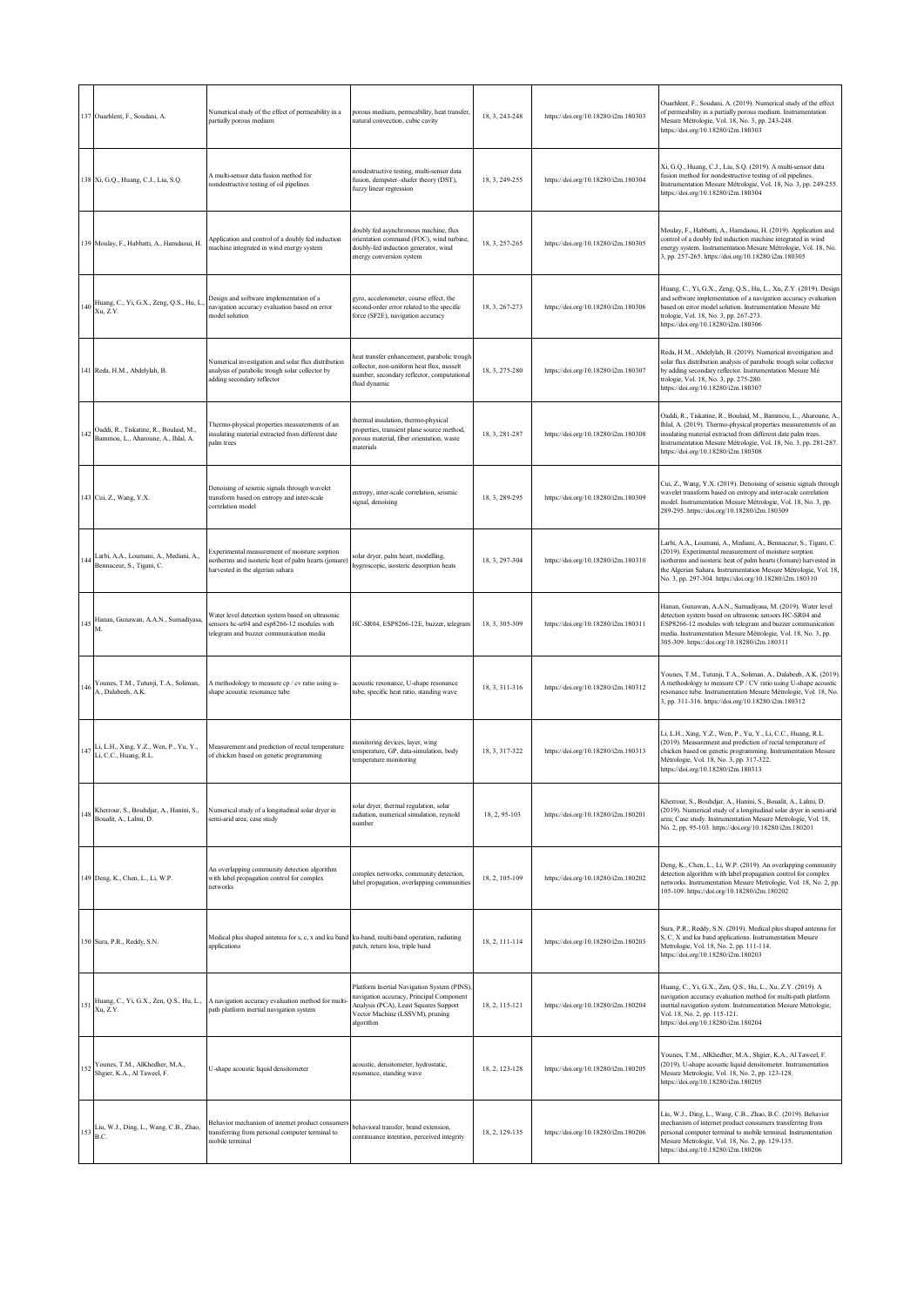|     | 137 Ouarhlent, F., Soudani, A.                                                | Numerical study of the effect of permeability in a<br>partially porous medium                                                              | porous medium, permeability, heat transfer,<br>natural convection, cubic cavity                                                                                                 | 18, 3, 243-248 | https://doi.org/10.18280/i2m.180303 | Ouarhlent, F., Soudani, A. (2019). Numerical study of the effect<br>of permeability in a partially porous medium. Instrumentation<br>Mesure Métrologie, Vol. 18, No. 3, pp. 243-248.<br>https://doi.org/10.18280/i2m.180303                                                                                                   |
|-----|-------------------------------------------------------------------------------|--------------------------------------------------------------------------------------------------------------------------------------------|---------------------------------------------------------------------------------------------------------------------------------------------------------------------------------|----------------|-------------------------------------|-------------------------------------------------------------------------------------------------------------------------------------------------------------------------------------------------------------------------------------------------------------------------------------------------------------------------------|
|     | 138 Xi, G.Q., Huang, C.J., Liu, S.Q.                                          | A multi-sensor data fusion method for<br>nondestructive testing of oil pipelines                                                           | nondestructive testing, multi-sensor data<br>fusion, dempster-shafer theory (DST),<br>fuzzy linear regression                                                                   | 18, 3, 249-255 | https://doi.org/10.18280/i2m.180304 | Xi, G.Q., Huang, C.J., Liu, S.Q. (2019). A multi-sensor data<br>fusion method for nondestructive testing of oil pipelines.<br>Instrumentation Mesure Métrologie, Vol. 18, No. 3, pp. 249-255.<br>https://doi.org/10.18280/i2m.180304                                                                                          |
|     | 139 Moulay, F., Habbatti, A., Hamdaoui, H.                                    | Application and control of a doubly fed induction<br>machine integrated in wind energy system                                              | doubly fed asynchronous machine, flux<br>orientation command (FOC), wind turbine,<br>doubly-fed induction generator, wind<br>energy conversion system                           | 18, 3, 257-265 | https://doi.org/10.18280/i2m.180305 | Moulay, F., Habbatti, A., Hamdaoui, H. (2019). Application and<br>control of a doubly fed induction machine integrated in wind<br>energy system. Instrumentation Mesure Métrologie, Vol. 18, No.<br>3, pp. 257-265. https://doi.org/10.18280/i2m.180305                                                                       |
| 140 | Huang, C., Yi, G.X., Zeng, Q.S., Hu, L.<br>Xu, Z.Y.                           | Design and software implementation of a<br>navigation accuracy evaluation based on error<br>nodel solution                                 | gyro, accelerometer, course effect, the<br>second-order error related to the specific<br>force (SF2E), navigation accuracy                                                      | 18, 3, 267-273 | https://doi.org/10.18280/i2m.180306 | Huang, C., Yi, G.X., Zeng, Q.S., Hu, L., Xu, Z.Y. (2019). Design<br>and software implementation of a navigation accuracy evaluation<br>based on error model solution. Instrumentation Mesure Mé<br>trologie, Vol. 18, No. 3, pp. 267-273.<br>https://doi.org/10.18280/i2m.180306                                              |
|     | 141 Reda, H.M., Abdelylah, B.                                                 | Numerical investigation and solar flux distribution<br>analysis of parabolic trough solar collector by<br>adding secondary reflector       | heat transfer enhancement, parabolic trough<br>collector, non-uniform heat flux, nusselt<br>number, secondary reflector, computational<br>fluid dynamic                         | 18, 3, 275-280 | https://doi.org/10.18280/i2m.180307 | Reda, H.M., Abdelylah, B. (2019). Numerical investigation and<br>solar flux distribution analysis of parabolic trough solar collector<br>by adding secondary reflector. Instrumentation Mesure Mé<br>trologie, Vol. 18, No. 3, pp. 275-280.<br>https://doi.org/10.18280/i2m.180307                                            |
| 142 | Oaddi, R., Tiskatine, R., Boulaid, M.,<br>Bammou, L., Aharoune, A., Ihlal, A. | Thermo-physical properties measurements of an<br>insulating material extracted from different date<br>palm trees                           | thermal insulation, thermo-physical<br>properties, transient plane source method,<br>porous material, fiber orientation, waste<br>materials                                     | 18, 3, 281-287 | https://doi.org/10.18280/i2m.180308 | Oaddi, R., Tiskatine, R., Boulaid, M., Bammou, L., Aharoune, A.,<br>Ihlal, A. (2019). Thermo-physical properties measurements of an<br>insulating material extracted from different date palm trees.<br>Instrumentation Mesure Métrologie, Vol. 18, No. 3, pp. 281-287<br>https://doi.org/10.18280/i2m.180308                 |
|     | 143 Cui, Z., Wang, Y.X.                                                       | Denoising of seismic signals through wavelet<br>ransform based on entropy and inter-scale<br>correlation model                             | entropy, inter-scale correlation, seismic<br>signal, denoising                                                                                                                  | 18, 3, 289-295 | https://doi.org/10.18280/i2m.180309 | Cui, Z., Wang, Y.X. (2019). Denoising of seismic signals through<br>wavelet transform based on entropy and inter-scale correlation<br>nodel. Instrumentation Mesure Métrologie, Vol. 18, No. 3, pp.<br>289-295. https://doi.org/10.18280/i2m.180309                                                                           |
| 144 | Larbi, A.A., Loumani, A., Mediani, A.,<br>Bennaceur, S., Tigani, C.           | Experimental measurement of moisture sorption<br>isotherms and isosteric heat of palm hearts (jomare)<br>harvested in the algerian sahara  | solar dryer, palm heart, modelling,<br>hygroscopic, isosteric desorption heats                                                                                                  | 18, 3, 297-304 | https://doi.org/10.18280/i2m.180310 | Larbi, A.A., Loumani, A., Mediani, A., Bennaceur, S., Tigani, C.<br>(2019). Experimental measurement of moisture sorption<br>isotherms and isosteric heat of palm hearts (Jomare) harvested in<br>the Algerian Sahara. Instrumentation Mesure Métrologie, Vol. 18,<br>No. 3, pp. 297-304. https://doi.org/10.18280/i2m.180310 |
| 145 | Hanan, Gunawan, A.A.N., Sumadiyasa,<br>M.                                     | Water level detection system based on ultrasonic<br>sensors hc-sr04 and esp8266-12 modules with<br>telegram and buzzer communication media | HC-SR04, ESP8266-12E, buzzer, telegram                                                                                                                                          | 18, 3, 305-309 | https://doi.org/10.18280/i2m.180311 | Hanan, Gunawan, A.A.N., Sumadiyasa, M. (2019). Water level<br>detection system based on ultrasonic sensors HC-SR04 and<br>ESP8266-12 modules with telegram and buzzer communication<br>media. Instrumentation Mesure Métrologie, Vol. 18, No. 3, pp.<br>305-309. https://doi.org/10.18280/i2m.180311                          |
| 146 | Younes, T.M., Tutunji, T.A., Soliman,<br>A., Dalabeeh, A.K.                   | A methodology to measure cp / cv ratio using u-<br>shape acoustic resonance tube                                                           | acoustic resonance, U-shape resonance<br>tube, specific heat ratio, standing wave                                                                                               | 18, 3, 311-316 | https://doi.org/10.18280/i2m.180312 | Younes, T.M., Tutunji, T.A., Soliman, A., Dalabeeh, A.K. (2019)<br>A methodology to measure CP / CV ratio using U-shape acoustic<br>esonance tube. Instrumentation Mesure Métrologie, Vol. 18, No.<br>3, pp. 311-316. https://doi.org/10.18280/i2m.180312                                                                     |
|     | $147$ Li, L.H., Xing, Y.Z., Wen, P., Yu, Y.,<br>Li, C.C., Huang, R.L.         | Measurement and prediction of rectal temperature<br>of chicken based on genetic programming                                                | monitoring devices, layer, wing<br>temperature, GP, data-simulation, body<br>temperature monitoring                                                                             | 18, 3, 317-322 | https://doi.org/10.18280/i2m.180313 | Li, L.H., Xing, Y.Z., Wen, P., Yu, Y., Li, C.C., Huang, R.L.<br>(2019). Measurement and prediction of rectal temperature of<br>chicken based on genetic programming. Instrumentation Mesure<br>Métrologie, Vol. 18, No. 3, pp. 317-322.<br>https://doi.org/10.18280/i2m.180313                                                |
| 148 | Kherrour, S., Bouhdjar, A., Hanini, S.,<br>Boualit, A., Lalmi, D.             | Numerical study of a longitudinal solar dryer in<br>semi-arid area; case study                                                             | solar dryer, thermal regulation, solar<br>radiation, numerical simulation, reynold<br>number                                                                                    | 18, 2, 95-103  | https://doi.org/10.18280/i2m.180201 | Kherrour, S., Bouhdjar, A., Hanini, S., Boualit, A., Lalmi, D.<br>(2019). Numerical study of a longitudinal solar dryer in semi-arid<br>area; Case study. Instrumentation Mesure Metrologie, Vol. 18,<br>No. 2, pp. 95-103. https://doi.org/10.18280/i2m.180201                                                               |
|     | 149 Deng, K., Chen, L., Li, W.P.                                              | An overlapping community detection algorithm<br>with label propagation control for complex<br>networks                                     | complex networks, community detection,<br>label propagation, overlapping communities                                                                                            | 18, 2, 105-109 | https://doi.org/10.18280/i2m.180202 | Deng, K., Chen, L., Li, W.P. (2019). An overlapping community<br>detection algorithm with label propagation control for complex<br>networks. Instrumentation Mesure Metrologie, Vol. 18, No. 2, pp.<br>105-109. https://doi.org/10.18280/i2m.180202                                                                           |
|     | 150 Sura, P.R., Reddy, S.N.                                                   | Medical plus shaped antenna for s, c, x and ku band ku-band, multi-band operation, radiating<br>applications                               | patch, return loss, triple band                                                                                                                                                 | 18, 2, 111-114 | https://doi.org/10.18280/i2m.180203 | Sura, P.R., Reddy, S.N. (2019). Medical plus shaped antenna for<br>S, C, X and ku band applications. Instrumentation Mesure<br>Metrologie, Vol. 18, No. 2, pp. 111-114.<br>https://doi.org/10.18280/i2m.180203                                                                                                                |
| 151 | Huang, C., Yi, G.X., Zen, Q.S., Hu, L.,<br>Xu, Z.Y.                           | A navigation accuracy evaluation method for multi-<br>path platform inertial navigation system                                             | Platform Inertial Navigation System (PINS)<br>navigation accuracy, Principal Component<br>Analysis (PCA), Least Squares Support<br>Vector Machine (LSSVM), pruning<br>algorithm | 18, 2, 115-121 | https://doi.org/10.18280/i2m.180204 | Huang, C., Yi, G.X., Zen, Q.S., Hu, L., Xu, Z.Y. (2019). A<br>navigation accuracy evaluation method for multi-path platform<br>inertial navigation system. Instrumentation Mesure Metrologie,<br>Vol. 18, No. 2, pp. 115-121.<br>https://doi.org/10.18280/i2m.180204                                                          |
| 152 | Younes, T.M., AlKhedher, M.A.,<br>Shgier, K.A., Al Taweel, F.                 | U-shape acoustic liquid densitometer                                                                                                       | acoustic, densitometer, hydrostatic,<br>resonance, standing wave                                                                                                                | 18, 2, 123-128 | https://doi.org/10.18280/i2m.180205 | Younes, T.M., AlKhedher, M.A., Shgier, K.A., Al Taweel, F.<br>(2019). U-shape acoustic liquid densitometer. Instrumentation<br>Mesure Metrologie, Vol. 18, No. 2, pp. 123-128.<br>https://doi.org/10.18280/i2m.180205                                                                                                         |
|     | 153 Liu, W.J., Ding, L., Wang, C.B., Zhao,<br>B.C.                            | Behavior mechanism of internet product consumers<br>transferring from personal computer terminal to<br>mobile terminal                     | behavioral transfer, brand extension,<br>continuance intention, perceived integrity                                                                                             | 18, 2, 129-135 | https://doi.org/10.18280/i2m.180206 | Liu, W.J., Ding, L., Wang, C.B., Zhao, B.C. (2019). Behavior<br>mechanism of internet product consumers transferring from<br>personal computer terminal to mobile terminal. Instrumentation<br>Mesure Metrologie, Vol. 18, No. 2, pp. 129-135.<br>https://doi.org/10.18280/i2m.180206                                         |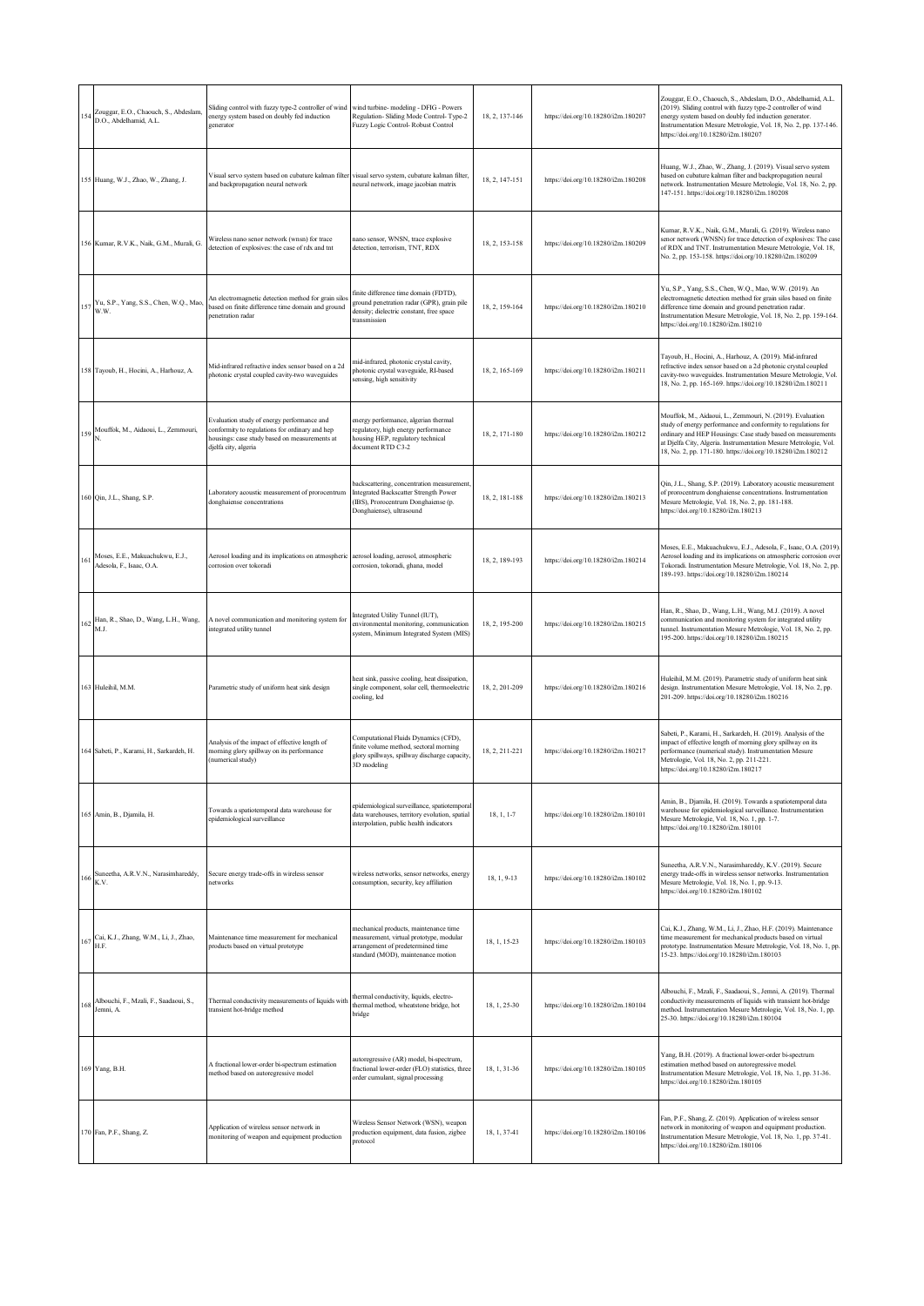|     | 154 Zouggar, E.O., Chaouch, S., Abdeslam, D.O., Abdelhamid, A.L. | Sliding control with fuzzy type-2 controller of wind<br>energy system based on doubly fed induction<br>generator                                                      | wind turbine- modeling - DFIG - Powers<br>Regulation-Sliding Mode Control-Type-2<br>Fuzzy Logic Control-Robust Control                                      | 18, 2, 137-146 | https://doi.org/10.18280/i2m.180207 | Zouggar, E.O., Chaouch, S., Abdeslam, D.O., Abdelhamid, A.L.<br>(2019). Sliding control with fuzzy type-2 controller of wind<br>energy system based on doubly fed induction generator.<br>Instrumentation Mesure Metrologie, Vol. 18, No. 2, pp. 137-146.<br>https://doi.org/10.18280/i2m.180207                             |
|-----|------------------------------------------------------------------|-----------------------------------------------------------------------------------------------------------------------------------------------------------------------|-------------------------------------------------------------------------------------------------------------------------------------------------------------|----------------|-------------------------------------|------------------------------------------------------------------------------------------------------------------------------------------------------------------------------------------------------------------------------------------------------------------------------------------------------------------------------|
|     | 155 Huang, W.J., Zhao, W., Zhang, J.                             | Visual servo system based on cubature kalman filter<br>and backpropagation neural network                                                                             | visual servo system, cubature kalman filter,<br>neural network, image jacobian matrix                                                                       | 18, 2, 147-151 | https://doi.org/10.18280/i2m.180208 | Huang, W.J., Zhao, W., Zhang, J. (2019). Visual servo system<br>based on cubature kalman filter and backpropagation neural<br>network. Instrumentation Mesure Metrologie, Vol. 18, No. 2, pp.<br>147-151. https://doi.org/10.18280/i2m.180208                                                                                |
|     | 156 Kumar, R.V.K., Naik, G.M., Murali, G.                        | Wireless nano senor network (wnsn) for trace<br>detection of explosives: the case of rdx and tnt                                                                      | nano sensor, WNSN, trace explosive<br>detection, terrorism, TNT, RDX                                                                                        | 18, 2, 153-158 | https://doi.org/10.18280/i2m.180209 | Kumar, R.V.K., Naik, G.M., Murali, G. (2019). Wireless nano<br>senor network (WNSN) for trace detection of explosives: The case<br>of RDX and TNT. Instrumentation Mesure Metrologie, Vol. 18,<br>No. 2, pp. 153-158. https://doi.org/10.18280/i2m.180209                                                                    |
|     | $Yu$ , S.P., Yang, S.S., Chen, W.Q., Mao,<br>W.W.                | An electromagnetic detection method for grain silo:<br>based on finite difference time domain and ground<br>penetration radar                                         | finite difference time domain (FDTD),<br>ground penetration radar (GPR), grain pile<br>density; dielectric constant, free space<br>transmission             | 18, 2, 159-164 | https://doi.org/10.18280/i2m.180210 | Yu, S.P., Yang, S.S., Chen, W.Q., Mao, W.W. (2019). An<br>electromagnetic detection method for grain silos based on finite<br>difference time domain and ground penetration radar.<br>Instrumentation Mesure Metrologie, Vol. 18, No. 2, pp. 159-164.<br>https://doi.org/10.18280/i2m.180210                                 |
|     | 158 Tayoub, H., Hocini, A., Harhouz, A.                          | Mid-infrared refractive index sensor based on a 2d<br>photonic crystal coupled cavity-two waveguides                                                                  | nid-infrared, photonic crystal cavity,<br>photonic crystal waveguide, RI-based<br>ensing, high sensitivity                                                  | 18, 2, 165-169 | https://doi.org/10.18280/i2m.180211 | Tayoub, H., Hocini, A., Harhouz, A. (2019). Mid-infrared<br>refractive index sensor based on a 2d photonic crystal coupled<br>cavity-two waveguides. Instrumentation Mesure Metrologie, Vol.<br>18, No. 2, pp. 165-169. https://doi.org/10.18280/i2m.180211                                                                  |
|     | 159 Mouffok, M., Aidaoui, L., Zemmouri,                          | Evaluation study of energy performance and<br>conformity to regulations for ordinary and hep<br>housings: case study based on measurements at<br>djelfa city, algeria | energy performance, algerian thermal<br>regulatory, high energy performance<br>housing HEP, regulatory technical<br>document RTD C3-2                       | 18, 2, 171-180 | https://doi.org/10.18280/i2m.180212 | Mouffok, M., Aidaoui, L., Zemmouri, N. (2019). Evaluation<br>study of energy performance and conformity to regulations for<br>ordinary and HEP Housings: Case study based on measurements<br>at Djelfa City, Algeria. Instrumentation Mesure Metrologie, Vol.<br>18, No. 2, pp. 171-180. https://doi.org/10.18280/i2m.180212 |
|     | 160 Qin, J.L., Shang, S.P.                                       | Laboratory acoustic measurement of prorocentrum<br>donghaiense concentrations                                                                                         | backscattering, concentration measurement<br>Integrated Backscatter Strength Power<br>IBS), Prorocentrum Donghaiense (p.<br>Donghaiense), ultrasound        | 18, 2, 181-188 | https://doi.org/10.18280/i2m.180213 | Qin, J.L., Shang, S.P. (2019). Laboratory acoustic measurement<br>of prorocentrum donghaiense concentrations. Instrumentation<br>Mesure Metrologie, Vol. 18, No. 2, pp. 181-188.<br>https://doi.org/10.18280/i2m.180213                                                                                                      |
|     | 161 Moses, E.E., Makuachukwu, E.J.,<br>Adesola, F., Isaac, O.A.  | Aerosol loading and its implications on atmospheric<br>corrosion over tokoradi                                                                                        | aerosol loading, aerosol, atmospheric<br>corrosion, tokoradi, ghana, model                                                                                  | 18, 2, 189-193 | https://doi.org/10.18280/i2m.180214 | Moses, E.E., Makuachukwu, E.J., Adesola, F., Isaac, O.A. (2019).<br>Aerosol loading and its implications on atmospheric corrosion over<br>Tokoradi. Instrumentation Mesure Metrologie, Vol. 18, No. 2, pp.<br>189-193. https://doi.org/10.18280/i2m.180214                                                                   |
|     | Han, R., Shao, D., Wang, L.H., Wang,<br>M.J.                     | A novel communication and monitoring system for<br>integrated utility tunnel                                                                                          | Integrated Utility Tunnel (IUT),<br>environmental monitoring, communication<br>system, Minimum Integrated System (MIS)                                      | 18, 2, 195-200 | https://doi.org/10.18280/i2m.180215 | Han, R., Shao, D., Wang, L.H., Wang, M.J. (2019). A novel<br>communication and monitoring system for integrated utility<br>tunnel. Instrumentation Mesure Metrologie, Vol. 18, No. 2, pp.<br>195-200. https://doi.org/10.18280/i2m.180215                                                                                    |
|     | 163 Huleihil, M.M.                                               | Parametric study of uniform heat sink design                                                                                                                          | heat sink, passive cooling, heat dissipation,<br>single component, solar cell, thermoelectric<br>ooling, led                                                | 18, 2, 201-209 | https://doi.org/10.18280/i2m.180216 | Huleihil, M.M. (2019). Parametric study of uniform heat sink<br>design. Instrumentation Mesure Metrologie, Vol. 18, No. 2, pp.<br>201-209. https://doi.org/10.18280/i2m.180216                                                                                                                                               |
|     | 164 Sabeti, P., Karami, H., Sarkardeh, H.                        | Analysis of the impact of effective length of<br>morning glory spillway on its performance<br>(numerical study)                                                       | Computational Fluids Dynamics (CFD),<br>finite volume method, sectoral morning<br>glory spillways, spillway discharge capacity,<br>3D modeling              | 18.2.211-221   | https://doi.org/10.18280/i2m.180217 | Sabeti, P., Karami, H., Sarkardeh, H. (2019). Analysis of the<br>impact of effective length of morning glory spillway on its<br>performance (numerical study). Instrumentation Mesure<br>Metrologie, Vol. 18, No. 2, pp. 211-221.<br>https://doi.org/10.18280/i2m.180217                                                     |
|     | 165 Amin, B., Djamila, H.                                        | Towards a spatiotemporal data warehouse for<br>epidemiological surveillance                                                                                           | epidemiological surveillance, spatiotemporal<br>data warehouses, territory evolution, spatial<br>interpolation, public health indicators                    | 18, 1, 1-7     | https://doi.org/10.18280/i2m.180101 | Amin, B., Djamila, H. (2019). Towards a spatiotemporal data<br>warehouse for epidemiological surveillance. Instrumentation<br>Mesure Metrologie, Vol. 18, No. 1, pp. 1-7.<br>https://doi.org/10.18280/i2m.180101                                                                                                             |
|     | 166 Suneetha, A.R.V.N., Narasimhareddy, K.V.                     | Secure energy trade-offs in wireless sensor<br>networks                                                                                                               | wireless networks, sensor networks, energy<br>consumption, security, key affiliation                                                                        | 18, 1, 9-13    | https://doi.org/10.18280/i2m.180102 | Suneetha, A.R.V.N., Narasimhareddy, K.V. (2019). Secure<br>energy trade-offs in wireless sensor networks. Instrumentation<br>Mesure Metrologie, Vol. 18, No. 1, pp. 9-13.<br>https://doi.org/10.18280/i2m.180102                                                                                                             |
|     | 167 Cai, K.J., Zhang, W.M., Li, J., Zhao, H.F.                   | Maintenance time measurement for mechanical<br>products based on virtual prototype                                                                                    | mechanical products, maintenance time<br>measurement, virtual prototype, modular<br>arrangement of predetermined time<br>standard (MOD), maintenance motion | 18, 1, 15-23   | https://doi.org/10.18280/i2m.180103 | Cai, K.J., Zhang, W.M., Li, J., Zhao, H.F. (2019). Maintenance<br>time measurement for mechanical products based on virtual<br>prototype. Instrumentation Mesure Metrologie, Vol. 18, No. 1, pp.<br>15-23. https://doi.org/10.18280/i2m.180103                                                                               |
| 168 | Albouchi, F., Mzali, F., Saadaoui, S.,<br>Jemni, A.              | Thermal conductivity measurements of liquids with<br>transient hot-bridge method                                                                                      | thermal conductivity, liquids, electro-<br>thermal method, wheatstone bridge, hot<br>bridge                                                                 | 18, 1, 25-30   | https://doi.org/10.18280/i2m.180104 | Albouchi, F., Mzali, F., Saadaoui, S., Jemni, A. (2019). Thermal<br>conductivity measurements of liquids with transient hot-bridge<br>method. Instrumentation Mesure Metrologie, Vol. 18, No. 1, pp.<br>25-30. https://doi.org/10.18280/i2m.180104                                                                           |
|     | 169 Yang, B.H.                                                   | A fractional lower-order bi-spectrum estimation<br>method based on autoregressive model                                                                               | autoregressive (AR) model, bi-spectrum,<br>fractional lower-order (FLO) statistics, three<br>order cumulant, signal processing                              | 18, 1, 31-36   | https://doi.org/10.18280/i2m.180105 | Yang, B.H. (2019). A fractional lower-order bi-spectrum<br>estimation method based on autoregressive model.<br>Instrumentation Mesure Metrologie, Vol. 18, No. 1, pp. 31-36.<br>https://doi.org/10.18280/i2m.180105                                                                                                          |
|     | 170 Fan, P.F., Shang, Z.                                         | Application of wireless sensor network in<br>monitoring of weapon and equipment production                                                                            | Wireless Sensor Network (WSN), weapon<br>production equipment, data fusion, zigbee<br>protocol                                                              | 18, 1, 37-41   | https://doi.org/10.18280/i2m.180106 | Fan, P.F., Shang, Z. (2019). Application of wireless sensor<br>network in monitoring of weapon and equipment production.<br>Instrumentation Mesure Metrologie, Vol. 18, No. 1, pp. 37-41.<br>https://doi.org/10.18280/i2m.180106                                                                                             |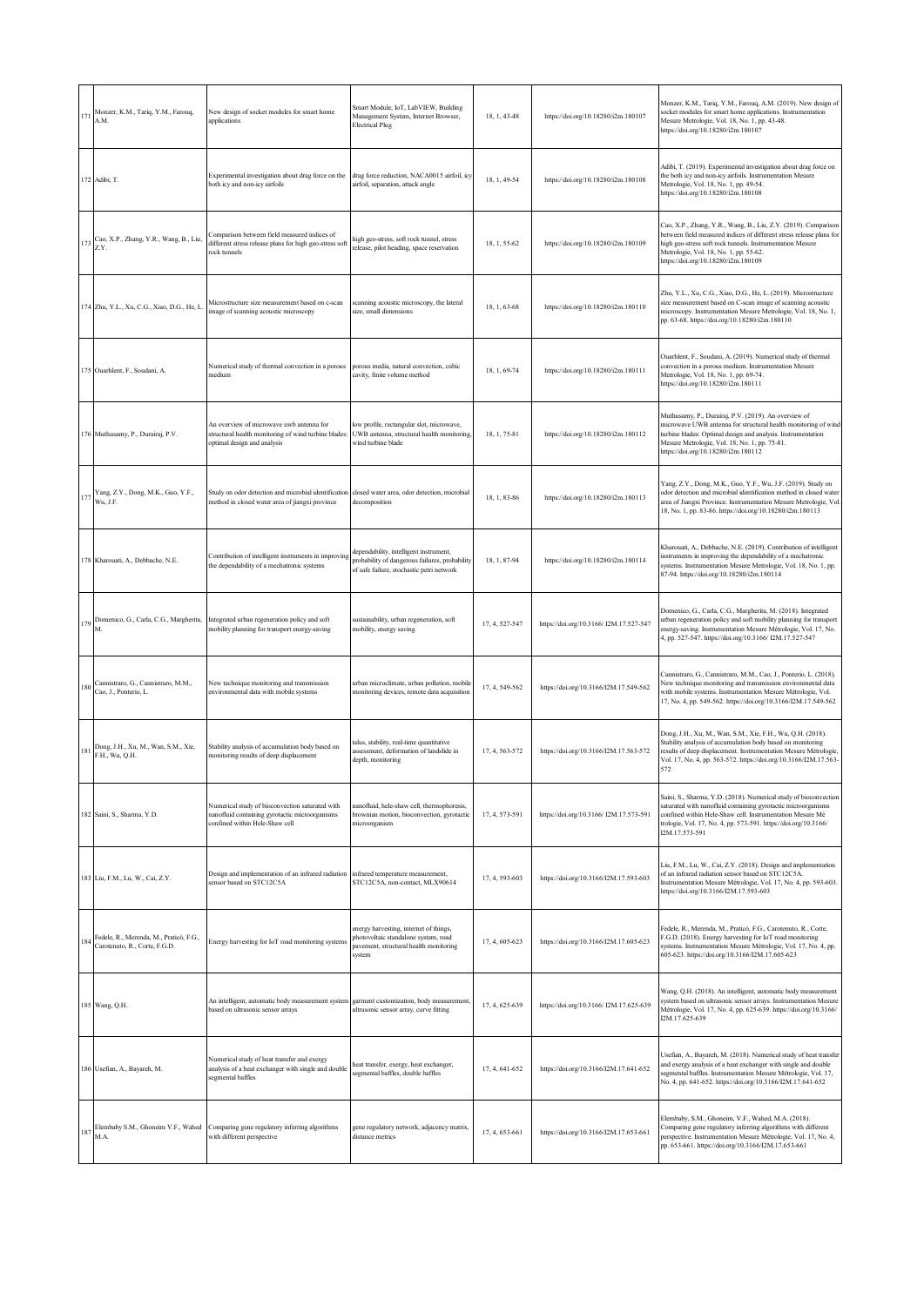|     | 171 Monzer, K.M., Tariq, Y.M., Farouq,<br>A.M.                                                         | New design of socket modules for smart home<br>applications                                                                         | Smart Module, IoT, LabVIEW, Building<br>Management System, Internet Browser,<br><b>Electrical Plug</b>                                | 18, 1, 43-48   | https://doi.org/10.18280/i2m.180107     | Monzer, K.M., Tariq, Y.M., Farouq, A.M. (2019). New design of<br>socket modules for smart home applications. Instrumentation<br>Mesure Metrologie, Vol. 18, No. 1, pp. 43-48.<br>https://doi.org/10.18280/i2m.180107                                                                 |
|-----|--------------------------------------------------------------------------------------------------------|-------------------------------------------------------------------------------------------------------------------------------------|---------------------------------------------------------------------------------------------------------------------------------------|----------------|-----------------------------------------|--------------------------------------------------------------------------------------------------------------------------------------------------------------------------------------------------------------------------------------------------------------------------------------|
|     | 172 Adibi, T.                                                                                          | Experimental investigation about drag force on the<br>both icy and non-icy airfoils                                                 | drag force reduction, NACA0015 airfoil, icy<br>airfoil, separation, attack angle                                                      | 18, 1, 49-54   | https://doi.org/10.18280/i2m.180108     | Adibi, T. (2019). Experimental investigation about drag force on<br>the both icy and non-icy airfoils. Instrumentation Mesure<br>Metrologie, Vol. 18, No. 1, pp. 49-54.<br>https://doi.org/10.18280/i2m.180108                                                                       |
|     | 173 Cao, X.P., Zhang, Y.R., Wang, B., Liu, Z.Y.                                                        | Comparison between field measured indices of<br>different stress release plans for high geo-stress soft<br>rock tunnels             | high geo-stress, soft rock tunnel, stress<br>release, pilot heading, space reservation                                                | 18, 1, 55-62   | https://doi.org/10.18280/i2m.180109     | Cao, X.P., Zhang, Y.R., Wang, B., Liu, Z.Y. (2019). Comparison<br>between field measured indices of different stress release plans for<br>high geo-stress soft rock tunnels. Instrumentation Mesure<br>Metrologie, Vol. 18, No. 1, pp. 55-62.<br>https://doi.org/10.18280/i2m.180109 |
|     | 174 Zhu, Y.L., Xu, C.G., Xiao, D.G., He, L.                                                            | Microstructure size measurement based on c-scan<br>image of scanning acoustic microscopy                                            | scanning acoustic microscopy, the lateral<br>size, small dimensions                                                                   | 18, 1, 63-68   | https://doi.org/10.18280/i2m.180110     | Zhu, Y.L., Xu, C.G., Xiao, D.G., He, L. (2019). Microstructure<br>size measurement based on C-scan image of scanning acoustic<br>microscopy. Instrumentation Mesure Metrologie, Vol. 18, No. 1,<br>pp. 63-68. https://doi.org/10.18280/i2m.180110                                    |
|     | 175 Ouarhlent, F., Soudani, A.                                                                         | Numerical study of thermal convection in a porous<br>medium                                                                         | porous media, natural convection, cubic<br>cavity, finite volume method                                                               | 18, 1, 69-74   | https://doi.org/10.18280/i2m.180111     | Ouarhlent, F., Soudani, A. (2019). Numerical study of thermal<br>convection in a porous medium. Instrumentation Mesure<br>Metrologie, Vol. 18, No. 1, pp. 69-74.<br>https://doi.org/10.18280/i2m.180111                                                                              |
|     | 176 Muthusamy, P., Durairaj, P.V.                                                                      | An overview of microwave uwb antenna for<br>structural health monitoring of wind turbine blades:<br>optimal design and analysis     | low profile, rectangular slot, microwave,<br>UWB antenna, structural health monitoring,<br>wind turbine blade                         | 18, 1, 75-81   | https://doi.org/10.18280/i2m.180112     | Muthusamy, P., Durairaj, P.V. (2019). An overview of<br>microwave UWB antenna for structural health monitoring of wind<br>turbine blades: Optimal design and analysis. Instrumentation<br>Mesure Metrologie, Vol. 18, No. 1, pp. 75-81.<br>https://doi.org/10.18280/i2m.180112       |
|     | $177\begin{array}{l}\text{Yang, Z.Y., Dong, M.K., Guo, Y.F.,}\\ \text{Wv. to }\end{array}$<br>Wu, J.F. | Study on odor detection and microbial identification<br>method in closed water area of jiangxi province                             | closed water area, odor detection, microbial<br>decomposition                                                                         | 18, 1, 83-86   | https://doi.org/10.18280/i2m.180113     | Yang, Z.Y., Dong, M.K., Guo, Y.F., Wu, J.F. (2019). Study on<br>odor detection and microbial identification method in closed water<br>area of Jiangxi Province. Instrumentation Mesure Metrologie, Vol.<br>18, No. 1, pp. 83-86. https://doi.org/10.18280/i2m.180113                 |
|     | 178 Kharouati, A., Debbache, N.E.                                                                      | Contribution of intelligent instruments in improving<br>the dependability of a mechatronic systems                                  | dependability, intelligent instrument,<br>probability of dangerous failures, probability<br>of safe failure, stochastic petri network | 18, 1, 87-94   | https://doi.org/10.18280/i2m.180114     | Kharouati, A., Debbache, N.E. (2019). Contribution of intelligent<br>instruments in improving the dependability of a mechatronic<br>systems. Instrumentation Mesure Metrologie, Vol. 18, No. 1, pp.<br>87-94. https://doi.org/10.18280/i2m.180114                                    |
|     | 179 Domenico, G., Carla, C.G., Margherita,<br>M.                                                       | Integrated urban regeneration policy and soft<br>mobility planning for transport energy-saving                                      | sustainability, urban regeneration, soft<br>mobility, energy saving                                                                   | 17, 4, 527-547 | https://doi.org/10.3166/12M.17.527-547  | Domenico, G., Carla, C.G., Margherita, M. (2018). Integrated<br>urban regeneration policy and soft mobility planning for transport<br>energy-saving. Instrumentation Mesure Métrologie, Vol. 17, No.<br>4, pp. 527-547. https://doi.org/10.3166/12M.17.527-547                       |
|     | 180 Cannistraro, G., Cannistraro, M.M., Cao, J., Ponterio, L.                                          | New technique monitoring and transmission<br>environmental data with mobile systems                                                 | urban microclimate, urban pollution, mobile<br>monitoring devices, remote data acquisition                                            | 17, 4, 549-562 | https://doi.org/10.3166/I2M.17.549-562  | Cannistraro, G., Cannistraro, M.M., Cao, J., Ponterio, L. (2018).<br>New technique monitoring and transmission environmental data<br>with mobile systems. Instrumentation Mesure Métrologie, Vol.<br>17, No. 4, pp. 549-562. https://doi.org/10.3166/I2M.17.549-562                  |
|     | 181 Dong, J.H., Xu, M., Wan, S.M., Xie,<br>F.H., Wu, Q.H.                                              | Stability analysis of accumulation body based on<br>monitoring results of deep displacement                                         | talus, stability, real-time quantitative<br>ssessment, deformation of landslide in<br>depth, monitoring                               | 17, 4, 563-572 | https://doi.org/10.3166/I2M.17.563-572  | Dong, J.H., Xu, M., Wan, S.M., Xie, F.H., Wu, Q.H. (2018).<br>Stability analysis of accumulation body based on monitoring<br>results of deep displacement. Instrumentation Mesure Métrologie,<br>Vol. 17, No. 4, pp. 563-572. https://doi.org/10.3166/I2M.17.563-<br>572             |
|     | 182 Saini, S., Sharma, Y.D.                                                                            | Numerical study of bioconvection saturated with<br>nanofluid containing gyrotactic microorganisms<br>confined within Hele-Shaw cell | nanofluid, hele-shaw cell, thermophoresis,<br>prownian motion, bioconvection, gyrotactic<br>microorganism                             | 17, 4, 573-591 | https://doi.org/10.3166/ I2M.17.573-591 | Saini, S., Sharma, Y.D. (2018). Numerical study of bioconvection<br>saturated with nanofluid containing gyrotactic microorganisms<br>confined within Hele-Shaw cell. Instrumentation Mesure Mé<br>trologie, Vol. 17, No. 4, pp. 573-591. https://doi.org/10.3166/<br>I2M.17.573-591  |
|     | 183 Liu, F.M., Lu, W., Cai, Z.Y.                                                                       | Design and implementation of an infrared radiation<br>sensor based on STC12C5A                                                      | infrared temperature measurement,<br>STC12C5A, non-contact, MLX90614                                                                  | 17, 4, 593-603 | https://doi.org/10.3166/I2M.17.593-603  | Liu, F.M., Lu, W., Cai, Z.Y. (2018). Design and implementation<br>of an infrared radiation sensor based on STC12C5A.<br>Instrumentation Mesure Métrologie, Vol. 17, No. 4, pp. 593-603.<br>https://doi.org/10.3166/I2M.17.593-603                                                    |
| 184 | Fedele, R., Merenda, M., Praticò, F.G.,<br>Carotenuto, R., Corte, F.G.D.                               | Energy harvesting for IoT road monitoring systems                                                                                   | energy harvesting, internet of things,<br>photovoltaic standalone system, road<br>pavement, structural health monitoring<br>system    | 17, 4, 605-623 | https://doi.org/10.3166/I2M.17.605-623  | Fedele, R., Merenda, M., Praticò, F.G., Carotenuto, R., Corte,<br>F.G.D. (2018). Energy harvesting for IoT road monitoring<br>systems. Instrumentation Mesure Métrologie, Vol. 17, No. 4, pp.<br>605-623. https://doi.org/10.3166/I2M.17.605-623                                     |
|     | 185 Wang, Q.H.                                                                                         | An intelligent, automatic body measurement system<br>based on ultrasonic sensor arrays                                              | garment customization, body measurement,<br>ultrasonic sensor array, curve fitting                                                    | 17, 4, 625-639 | https://doi.org/10.3166/12M.17.625-639  | Wang, Q.H. (2018). An intelligent, automatic body measurement<br>system based on ultrasonic sensor arrays. Instrumentation Mesure<br>Métrologie, Vol. 17, No. 4, pp. 625-639. https://doi.org/10.3166/<br>I2M.17.625-639                                                             |
|     | 186 Usefian, A., Bayareh, M.                                                                           | Numerical study of heat transfer and exergy<br>analysis of a heat exchanger with single and double<br>segmental baffles             | heat transfer, exergy, heat exchanger,<br>segmental baffles, double baffles                                                           | 17, 4, 641-652 | https://doi.org/10.3166/I2M.17.641-652  | Usefian, A., Bayareh, M. (2018). Numerical study of heat transfer<br>and exergy analysis of a heat exchanger with single and double<br>segmental baffles. Instrumentation Mesure Métrologie, Vol. 17,<br>No. 4, pp. 641-652. https://doi.org/10.3166/I2M.17.641-652                  |
|     | 187 Elembaby S.M., Ghoneim V.F., Wahed<br>M.A.                                                         | Comparing gene regulatory inferring algorithms<br>with different perspective                                                        | gene regulatory network, adjacency matrix,<br>distance metrics                                                                        | 17, 4, 653-661 | https://doi.org/10.3166/I2M.17.653-661  | Elembaby, S.M., Ghoneim, V.F., Wahed, M.A. (2018).<br>Comparing gene regulatory inferring algorithms with different<br>perspective. Instrumentation Mesure Métrologie, Vol. 17, No. 4,<br>pp. 653-661. https://doi.org/10.3166/I2M.17.653-661                                        |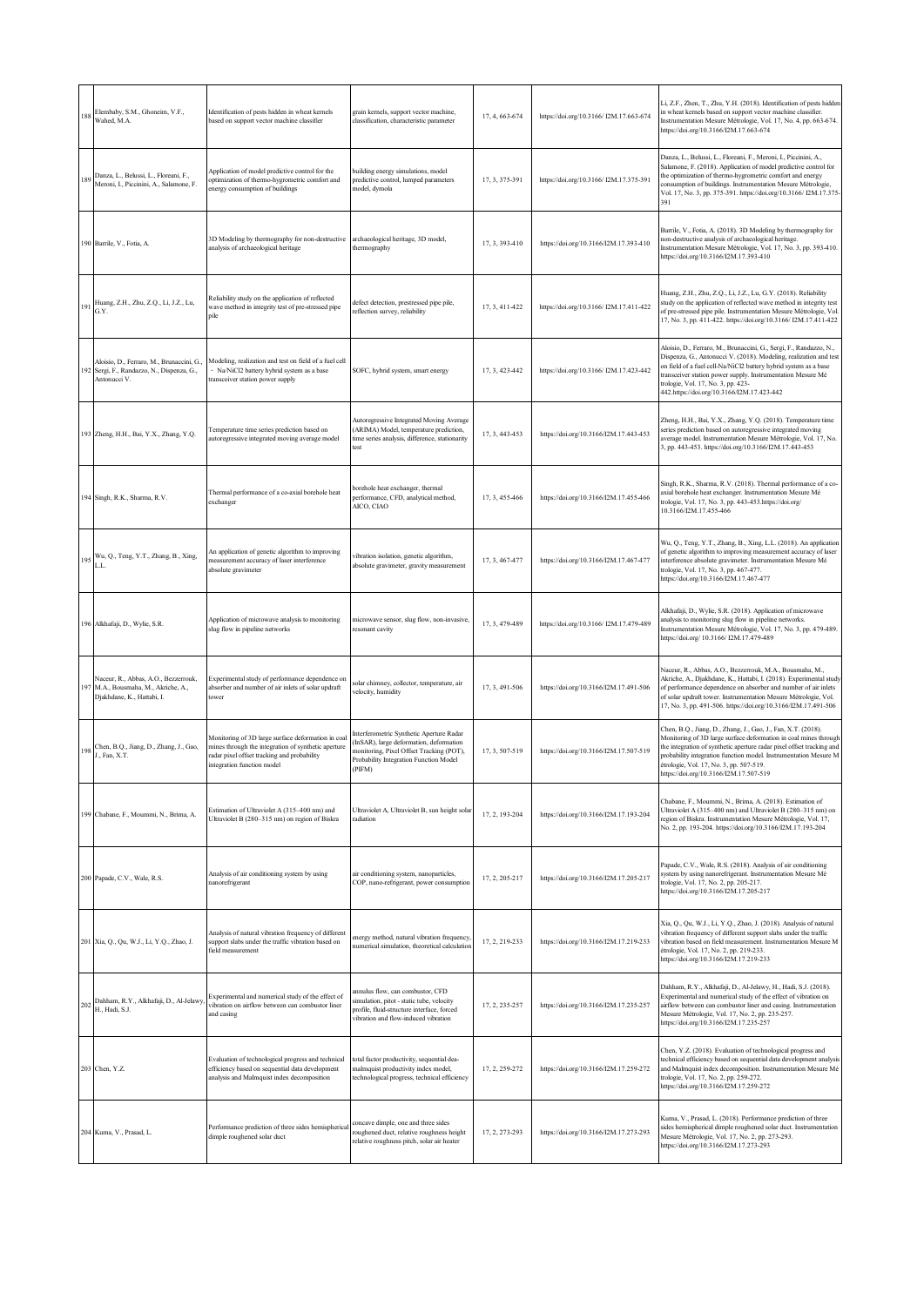| 188 | Elembaby, S.M., Ghoneim, V.F.,<br>Wahed, M.A.                                                              | Identification of pests hidden in wheat kernels<br>based on support vector machine classifier                                                                                          | grain kernels, support vector machine,<br>classification, characteristic parameter                                                                                                  | 17, 4, 663-674 | https://doi.org/10.3166/12M.17.663-674 | Li, Z.F., Zhen, T., Zhu, Y.H. (2018). Identification of pests hidden<br>in wheat kernels based on support vector machine classifier.<br>Instrumentation Mesure Métrologie, Vol. 17, No. 4, pp. 663-674.<br>https://doi.org/10.3166/I2M.17.663-674                                                                                                                  |
|-----|------------------------------------------------------------------------------------------------------------|----------------------------------------------------------------------------------------------------------------------------------------------------------------------------------------|-------------------------------------------------------------------------------------------------------------------------------------------------------------------------------------|----------------|----------------------------------------|--------------------------------------------------------------------------------------------------------------------------------------------------------------------------------------------------------------------------------------------------------------------------------------------------------------------------------------------------------------------|
| 189 | Danza, L., Belussi, L., Floreani, F.,<br>Meroni, I., Piccinini, A., Salamone, F.                           | Application of model predictive control for the<br>optimization of thermo-hygrometric comfort and<br>energy consumption of buildings                                                   | building energy simulations, model<br>predictive control, lumped parameters<br>model, dymola                                                                                        | 17, 3, 375-391 | https://doi.org/10.3166/12M.17.375-391 | Danza, L., Belussi, L., Floreani, F., Meroni, I., Piccinini, A.,<br>Salamone, F. (2018). Application of model predictive control for<br>the optimization of thermo-hygrometric comfort and energy<br>consumption of buildings. Instrumentation Mesure Métrologie,<br>Vol. 17, No. 3, pp. 375-391. https://doi.org/10.3166/12M.17.375-<br>391                       |
|     | 190 Barrile, V., Fotia, A.                                                                                 | 3D Modeling by thermography for non-destructive<br>analysis of archaeological heritage                                                                                                 | archaeological heritage, 3D model,<br>thermography                                                                                                                                  | 17, 3, 393-410 | https://doi.org/10.3166/I2M.17.393-410 | Barrile, V., Fotia, A. (2018). 3D Modeling by thermography for<br>non-destructive analysis of archaeological heritage.<br>Instrumentation Mesure Métrologie, Vol. 17, No. 3, pp. 393-410.<br>https://doi.org/10.3166/I2M.17.393-410                                                                                                                                |
| 191 | Huang, Z.H., Zhu, Z.Q., Li, J.Z., Lu,<br>G.Y.                                                              | Reliability study on the application of reflected<br>wave method in integrity test of pre-stressed pipe                                                                                | defect detection, prestressed pipe pile,<br>reflection survey, reliability                                                                                                          | 17, 3, 411-422 | https://doi.org/10.3166/12M.17.411-422 | Huang, Z.H., Zhu, Z.Q., Li, J.Z., Lu, G.Y. (2018). Reliability<br>study on the application of reflected wave method in integrity test<br>of pre-stressed pipe pile. Instrumentation Mesure Métrologie, Vol<br>17, No. 3, pp. 411-422. https://doi.org/10.3166/ I2M.17.411-422                                                                                      |
|     | Aloisio, D., Ferraro, M., Brunaccini, G.,<br>192 Sergi, F., Randazzo, N., Dispenza, G.,<br>Antonucci V.    | Modeling, realization and test on field of a fuel cell<br>- Na/NiCl2 battery hybrid system as a base<br>transceiver station power supply                                               | SOFC, hybrid system, smart energy                                                                                                                                                   | 17, 3, 423-442 | https://doi.org/10.3166/12M.17.423-442 | Aloisio, D., Ferraro, M., Brunaccini, G., Sergi, F., Randazzo, N.,<br>Dispenza, G., Antonucci V. (2018). Modeling, realization and test<br>on field of a fuel cell-Na/NiCl2 battery hybrid system as a base<br>transceiver station power supply. Instrumentation Mesure Mé<br>trologie, Vol. 17, No. 3, pp. 423-<br>442.https://doi.org/10.3166/I2M.17.423-442     |
|     | 193 Zheng, H.H., Bai, Y.X., Zhang, Y.Q.                                                                    | Temperature time series prediction based on<br>autoregressive integrated moving average model                                                                                          | Autoregressive Integrated Moving Average<br>(ARIMA) Model, temperature prediction,<br>time series analysis, difference, stationarity<br>test                                        | 17, 3, 443-453 | https://doi.org/10.3166/I2M.17.443-453 | Zheng, H.H., Bai, Y.X., Zhang, Y.Q. (2018). Temperature time<br>series prediction based on autoregressive integrated moving<br>average model. Instrumentation Mesure Métrologie, Vol. 17, No.<br>3, pp. 443-453. https://doi.org/10.3166/I2M.17.443-453                                                                                                            |
|     | 194 Singh, R.K., Sharma, R.V.                                                                              | Thermal performance of a co-axial borehole heat<br>exchanger                                                                                                                           | borehole heat exchanger, thermal<br>performance, CFD, analytical method,<br>AICO, CIAO                                                                                              | 17, 3, 455-466 | https://doi.org/10.3166/I2M.17.455-466 | Singh, R.K., Sharma, R.V. (2018). Thermal performance of a co-<br>axial borehole heat exchanger. Instrumentation Mesure Mé<br>trologie, Vol. 17, No. 3, pp. 443-453.https://doi.org/<br>10.3166/I2M.17.455-466                                                                                                                                                     |
| 195 | Wu, Q., Teng, Y.T., Zhang, B., Xing,<br>L.L.                                                               | An application of genetic algorithm to improving<br>measurement accuracy of laser interference<br>absolute gravimeter                                                                  | vibration isolation, genetic algorithm,<br>absolute gravimeter, gravity measurement                                                                                                 | 17, 3, 467-477 | https://doi.org/10.3166/I2M.17.467-477 | Wu, Q., Teng, Y.T., Zhang, B., Xing, L.L. (2018). An application<br>of genetic algorithm to improving measurement accuracy of laser<br>interference absolute gravimeter. Instrumentation Mesure Mé<br>trologie, Vol. 17, No. 3, pp. 467-477.<br>https://doi.org/10.3166/I2M.17.467-477                                                                             |
|     | 196 Alkhafaji, D., Wylie, S.R.                                                                             | Application of microwave analysis to monitoring<br>slug flow in pipeline networks                                                                                                      | microwave sensor, slug flow, non-invasive,<br>resonant cavity                                                                                                                       | 17, 3, 479-489 | https://doi.org/10.3166/12M.17.479-489 | Alkhafaji, D., Wylie, S.R. (2018). Application of microwave<br>analysis to monitoring slug flow in pipeline networks.<br>Instrumentation Mesure Métrologie, Vol. 17, No. 3, pp. 479-489.<br>https://doi.org/ 10.3166/12M.17.479-489                                                                                                                                |
|     | Naceur, R., Abbas, A.O., Bezzerrouk,<br>197 M.A., Bousmaha, M., Akriche, A.,<br>Djakhdane, K., Hattabi, I. | Experimental study of performance dependence on<br>absorber and number of air inlets of solar updraft<br>tower                                                                         | solar chimney, collector, temperature, air<br>velocity, humidity                                                                                                                    | 17, 3, 491-506 | https://doi.org/10.3166/I2M.17.491-506 | Naceur, R., Abbas, A.O., Bezzerrouk, M.A., Bousmaha, M.,<br>Akriche, A., Djakhdane, K., Hattabi, I. (2018). Experimental study<br>of performance dependence on absorber and number of air inlets<br>of solar updraft tower. Instrumentation Mesure Métrologie, Vol.<br>17, No. 3, pp. 491-506. https://doi.org/10.3166/I2M.17.491-506                              |
| 198 | Chen, B.Q., Jiang, D., Zhang, J., Gao,<br>J., Fan, X.T.                                                    | Monitoring of 3D large surface deformation in coal<br>mines through the integration of synthetic aperture<br>radar pixel offset tracking and probability<br>integration function model | Interferometric Synthetic Aperture Radar<br>(InSAR), large deformation, deformation<br>monitoring, Pixel Offset Tracking (POT),<br>Probability Integration Function Model<br>(PIFM) | 17, 3, 507-519 | https://doi.org/10.3166/I2M.17.507-519 | Chen, B.Q., Jiang, D., Zhang, J., Gao, J., Fan, X.T. (2018).<br>Monitoring of 3D large surface deformation in coal mines through<br>the integration of synthetic aperture radar pixel offset tracking and<br>probability integration function model. Instrumentation Mesure M<br>étrologie, Vol. 17, No. 3, pp. 507-519.<br>https://doi.org/10.3166/I2M.17.507-519 |
|     | 199 Chabane, F., Moummi, N., Brima, A.                                                                     | Estimation of Ultraviolet A (315-400 nm) and<br>Ultraviolet B (280-315 nm) on region of Biskra                                                                                         | Ultraviolet A, Ultraviolet B, sun height solar<br>radiation                                                                                                                         | 17.2.193-204   | https://doi.org/10.3166/I2M.17.193-204 | Chabane, F., Moummi, N., Brima, A. (2018). Estimation of<br>Ultraviolet A (315-400 nm) and Ultraviolet B (280-315 nm) on<br>region of Biskra. Instrumentation Mesure Métrologie, Vol. 17,<br>No. 2, pp. 193-204. https://doi.org/10.3166/12M.17.193-204                                                                                                            |
|     | 200 Papade, C.V., Wale, R.S.                                                                               | Analysis of air conditioning system by using<br>nanorefrigerant                                                                                                                        | air conditioning system, nanoparticles,<br>COP, nano-refrigerant, power consumption                                                                                                 | 17, 2, 205-217 | https://doi.org/10.3166/I2M.17.205-217 | Papade, C.V., Wale, R.S. (2018). Analysis of air conditioning<br>system by using nanorefrigerant. Instrumentation Mesure Mé<br>trologie, Vol. 17, No. 2, pp. 205-217.<br>https://doi.org/10.3166/I2M.17.205-217                                                                                                                                                    |
|     | 201 Xia, Q., Qu, W.J., Li, Y.Q., Zhao, J.                                                                  | Analysis of natural vibration frequency of different<br>support slabs under the traffic vibration based on<br>field measurement                                                        | energy method, natural vibration frequency,<br>numerical simulation, theoretical calculation                                                                                        | 17, 2, 219-233 | https://doi.org/10.3166/I2M.17.219-233 | Xia, Q., Qu, W.J., Li, Y.Q., Zhao, J. (2018). Analysis of natural<br>vibration frequency of different support slabs under the traffic<br>vibration based on field measurement. Instrumentation Mesure M<br>étrologie, Vol. 17, No. 2, pp. 219-233.<br>https://doi.org/10.3166/I2M.17.219-233                                                                       |
| 202 | Dahham, R.Y., Alkhafaji, D., Al-Jelawy,<br>H., Hadi, S.J.                                                  | Experimental and numerical study of the effect of<br>vibration on airflow between can combustor liner<br>and casing                                                                    | annulus flow, can combustor, CFD<br>simulation, pitot - static tube, velocity<br>profile, fluid-structure interface, forced<br>vibration and flow-induced vibration                 | 17, 2, 235-257 | https://doi.org/10.3166/I2M.17.235-257 | Dahham, R.Y., Alkhafaji, D., Al-Jelawy, H., Hadi, S.J. (2018).<br>Experimental and numerical study of the effect of vibration on<br>airflow between can combustor liner and casing. Instrumentation<br>Mesure Métrologie, Vol. 17, No. 2, pp. 235-257.<br>https://doi.org/10.3166/I2M.17.235-257                                                                   |
|     | 203 Chen, Y.Z.                                                                                             | Evaluation of technological progress and technical<br>efficiency based on sequential data development<br>analysis and Malmquist index decomposition                                    | total factor productivity, sequential dea-<br>malmquist productivity index model,<br>technological progress, technical efficiency                                                   | 17, 2, 259-272 | https://doi.org/10.3166/I2M.17.259-272 | Chen, Y.Z. (2018). Evaluation of technological progress and<br>technical efficiency based on sequential data development analysis<br>and Malmquist index decomposition. Instrumentation Mesure Mé<br>trologie, Vol. 17, No. 2, pp. 259-272.<br>https://doi.org/10.3166/I2M.17.259-272                                                                              |
|     | 204 Kuma, V., Prasad, L.                                                                                   | Performance prediction of three sides hemispherical<br>dimple roughened solar duct                                                                                                     | concave dimple, one and three sides<br>roughened duct, relative roughness height<br>relative roughness pitch, solar air heater                                                      | 17, 2, 273-293 | https://doi.org/10.3166/I2M.17.273-293 | Kuma, V., Prasad, L. (2018). Performance prediction of three<br>sides hemispherical dimple roughened solar duct. Instrumentation<br>Mesure Métrologie, Vol. 17, No. 2, pp. 273-293.<br>https://doi.org/10.3166/I2M.17.273-293                                                                                                                                      |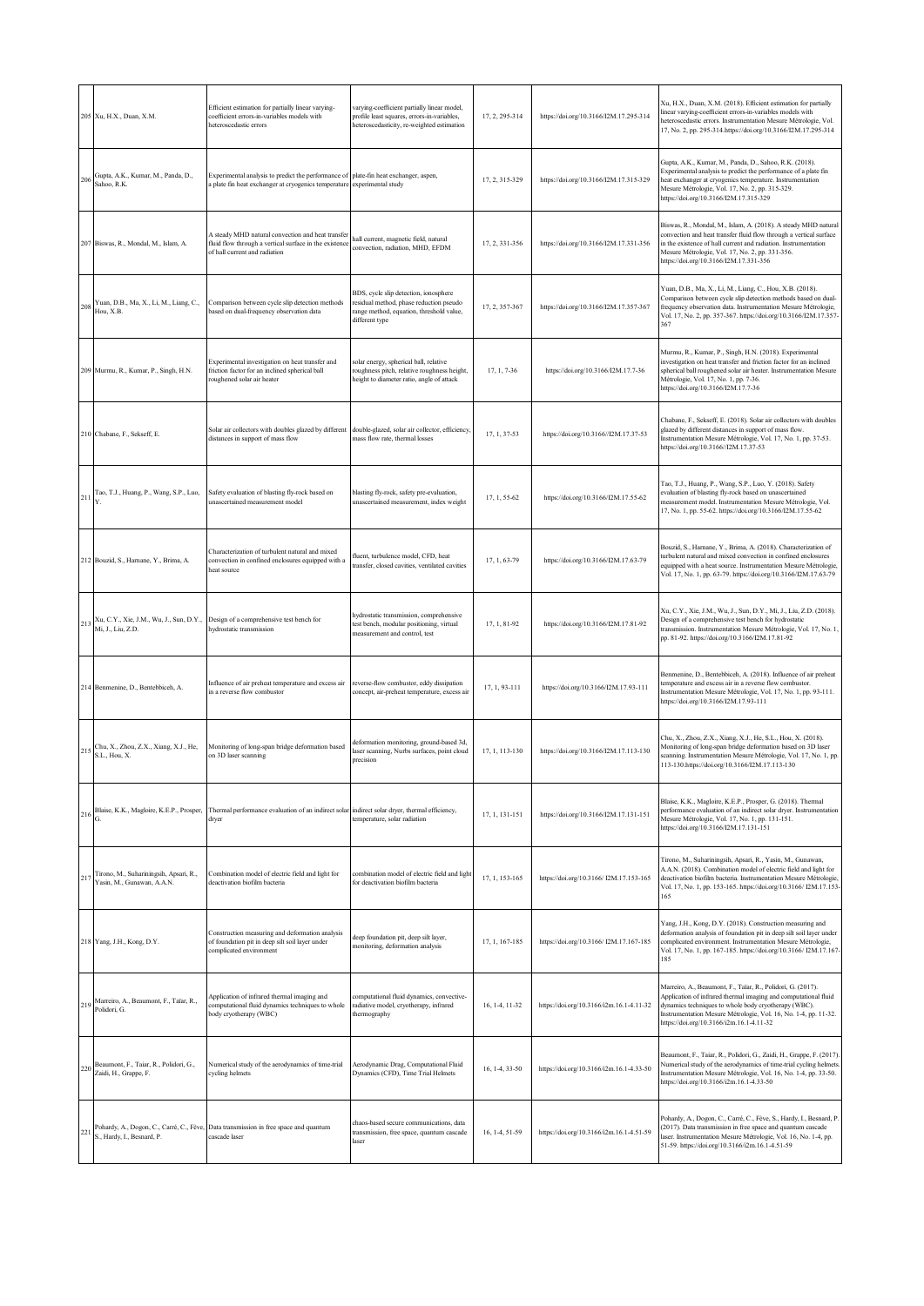|     | 205 Xu, H.X., Duan, X.M.                                             | Efficient estimation for partially linear varying-<br>coefficient errors-in-variables models with<br>heteroscedastic errors                                     | varying-coefficient partially linear model,<br>profile least squares, errors-in-variables,<br>heteroscedasticity, re-weighted estimation       | 17, 2, 295-314 | https://doi.org/10.3166/I2M.17.295-314   | Xu, H.X., Duan, X.M. (2018). Efficient estimation for partially<br>linear varying-coefficient errors-in-variables models with<br>heteroscedastic errors. Instrumentation Mesure Métrologie, Vol.<br>17, No. 2, pp. 295-314.https://doi.org/10.3166/I2M.17.295-314                                     |
|-----|----------------------------------------------------------------------|-----------------------------------------------------------------------------------------------------------------------------------------------------------------|------------------------------------------------------------------------------------------------------------------------------------------------|----------------|------------------------------------------|-------------------------------------------------------------------------------------------------------------------------------------------------------------------------------------------------------------------------------------------------------------------------------------------------------|
| 206 | Gupta, A.K., Kumar, M., Panda, D.,<br>Sahoo, R.K.                    | Experimental analysis to predict the performance of plate-fin heat exchanger, aspen,<br>a plate fin heat exchanger at cryogenics temperature experimental study |                                                                                                                                                | 17, 2, 315-329 | https://doi.org/10.3166/I2M.17.315-329   | Gupta, A.K., Kumar, M., Panda, D., Sahoo, R.K. (2018).<br>Experimental analysis to predict the performance of a plate fin<br>heat exchanger at cryogenics temperature. Instrumentation<br>Mesure Métrologie, Vol. 17, No. 2, pp. 315-329.<br>https://doi.org/10.3166/I2M.17.315-329                   |
|     | 207 Biswas, R., Mondal, M., Islam, A.                                | A steady MHD natural convection and heat transfer<br>fluid flow through a vertical surface in the existence<br>of hall current and radiation                    | hall current, magnetic field, natural<br>convection, radiation, MHD, EFDM                                                                      | 17, 2, 331-356 | https://doi.org/10.3166/I2M.17.331-356   | Biswas, R., Mondal, M., Islam, A. (2018). A steady MHD natural<br>convection and heat transfer fluid flow through a vertical surface<br>in the existence of hall current and radiation. Instrumentation<br>Mesure Métrologie, Vol. 17, No. 2, pp. 331-356.<br>https://doi.org/10.3166/I2M.17.331-356  |
| 208 | Yuan, D.B., Ma, X., Li, M., Liang, C.,<br>Hou, X.B.                  | Comparison between cycle slip detection methods<br>based on dual-frequency observation data                                                                     | BDS, cycle slip detection, ionosphere<br>residual method, phase reduction pseudo<br>range method, equation, threshold value,<br>different type | 17, 2, 357-367 | https://doi.org/10.3166/I2M.17.357-367   | Yuan, D.B., Ma, X., Li, M., Liang, C., Hou, X.B. (2018).<br>Comparison between cycle slip detection methods based on dual-<br>frequency observation data. Instrumentation Mesure Métrologie,<br>Vol. 17, No. 2, pp. 357-367. https://doi.org/10.3166/12M.17.357-<br>367                               |
|     | 209 Murmu, R., Kumar, P., Singh, H.N.                                | Experimental investigation on heat transfer and<br>friction factor for an inclined spherical ball<br>roughened solar air heater                                 | solar energy, spherical ball, relative<br>roughness pitch, relative roughness height,<br>neight to diameter ratio, angle of attack             | 17, 1, 7-36    | https://doi.org/10.3166/I2M.17.7-36      | Murmu, R., Kumar, P., Singh, H.N. (2018). Experimental<br>investigation on heat transfer and friction factor for an inclined<br>spherical ball roughened solar air heater. Instrumentation Mesure<br>Métrologie, Vol. 17, No. 1, pp. 7-36.<br>https://doi.org/10.3166/I2M.17.7-36                     |
|     | 210 Chabane, F., Sekseff, E.                                         | Solar air collectors with doubles glazed by different<br>distances in support of mass flow                                                                      | double-glazed, solar air collector, efficiency,<br>mass flow rate, thermal losses                                                              | 17, 1, 37-53   | https://doi.org/10.3166//I2M.17.37-53    | Chabane, F., Sekseff, E. (2018). Solar air collectors with doubles<br>glazed by different distances in support of mass flow.<br>Instrumentation Mesure Métrologie, Vol. 17, No. 1, pp. 37-53.<br>https://doi.org/10.3166//I2M.17.37-53                                                                |
|     | Tao, T.J., Huang, P., Wang, S.P., Luo,                               | Safety evaluation of blasting fly-rock based on<br>unascertained measurement model                                                                              | blasting fly-rock, safety pre-evaluation,<br>unascertained measurement, index weight                                                           | 17, 1, 55-62   | https://doi.org/10.3166/I2M.17.55-62     | Tao, T.J., Huang, P., Wang, S.P., Luo, Y. (2018). Safety<br>evaluation of blasting fly-rock based on unascertained<br>measurement model. Instrumentation Mesure Métrologie, Vol.<br>17, No. 1, pp. 55-62. https://doi.org/10.3166/12M.17.55-62                                                        |
|     | 212 Bouzid, S., Harnane, Y., Brima, A.                               | Characterization of turbulent natural and mixed<br>convection in confined enclosures equipped with a<br>heat source                                             | fluent, turbulence model, CFD, heat<br>transfer, closed cavities, ventilated cavities                                                          | 17, 1, 63-79   | https://doi.org/10.3166/I2M.17.63-79     | Bouzid, S., Harnane, Y., Brima, A. (2018). Characterization of<br>turbulent natural and mixed convection in confined enclosures<br>equipped with a heat source. Instrumentation Mesure Métrologie,<br>Vol. 17, No. 1, pp. 63-79. https://doi.org/10.3166/I2M.17.63-79                                 |
| 213 | Xu, C.Y., Xie, J.M., Wu, J., Sun, D.Y.,<br>Mi, J., Liu, Z.D.         | Design of a comprehensive test bench for<br>hydrostatic transmission                                                                                            | hydrostatic transmission, comprehensive<br>test bench, modular positioning, virtual<br>measurement and control, test                           | 17, 1, 81-92   | https://doi.org/10.3166/I2M.17.81-92     | Xu, C.Y., Xie, J.M., Wu, J., Sun, D.Y., Mi, J., Liu, Z.D. (2018).<br>Design of a comprehensive test bench for hydrostatic<br>transmission. Instrumentation Mesure Métrologie, Vol. 17, No. 1,<br>pp. 81-92. https://doi.org/10.3166/I2M.17.81-92                                                      |
|     | 214 Benmenine, D., Bentebbiceh, A.                                   | Influence of air preheat temperature and excess air<br>in a reverse flow combustor                                                                              | reverse-flow combustor, eddy dissipation<br>concept, air-preheat temperature, excess air                                                       | 17, 1, 93-111  | https://doi.org/10.3166/I2M.17.93-111    | Benmenine, D., Bentebbiceh, A. (2018). Influence of air preheat<br>temperature and excess air in a reverse flow combustor.<br>Instrumentation Mesure Métrologie, Vol. 17, No. 1, pp. 93-111.<br>https://doi.org/10.3166/I2M.17.93-111                                                                 |
|     | Chu, X., Zhou, Z.X., Xiang, X.J., He,<br>S.L., Hou, X.               | Monitoring of long-span bridge deformation based<br>on 3D laser scanning                                                                                        | leformation monitoring, ground-based 3d,<br>laser scanning, Nurbs surfaces, point cloud<br>precision                                           | 17, 1, 113-130 | https://doi.org/10.3166/I2M.17.113-130   | Chu, X., Zhou, Z.X., Xiang, X.J., He, S.L., Hou, X. (2018).<br>Monitoring of long-span bridge deformation based on 3D laser<br>scanning. Instrumentation Mesure Métrologie, Vol. 17, No. 1, pp.<br>113-130.https://doi.org/10.3166/I2M.17.113-130                                                     |
| 216 | G.                                                                   | Blaise, K.K., Magloire, K.E.P., Prosper, Thermal performance evaluation of an indirect solar indirect solar dryer, thermal efficiency,<br>dryer                 | temperature, solar radiation                                                                                                                   | 17, 1, 131-151 | https://doi.org/10.3166/I2M.17.131-151   | Blaise, K.K., Magloire, K.E.P., Prosper, G. (2018). Thermal<br>performance evaluation of an indirect solar dryer. Instrumentation<br>Mesure Métrologie, Vol. 17, No. 1, pp. 131-151.<br>https://doi.org/10.3166/I2M.17.131-151                                                                        |
| 217 | Tirono, M., Suhariningsih, Apsari, R.,<br>Yasin, M., Gunawan, A.A.N. | Combination model of electric field and light for<br>deactivation biofilm bacteria                                                                              | combination model of electric field and light<br>for deactivation biofilm bacteria                                                             | 17, 1, 153-165 | https://doi.org/10.3166/12M.17.153-165   | Tirono, M., Suhariningsih, Apsari, R., Yasin, M., Gunawan,<br>A.A.N. (2018). Combination model of electric field and light for<br>deactivation biofilm bacteria. Instrumentation Mesure Métrologie,<br>Vol. 17, No. 1, pp. 153-165. https://doi.org/10.3166/12M.17.153-<br>165                        |
|     | 218 Yang, J.H., Kong, D.Y.                                           | Construction measuring and deformation analysis<br>of foundation pit in deep silt soil layer under<br>complicated environment                                   | deep foundation pit, deep silt layer,<br>monitoring, deformation analysis                                                                      | 17, 1, 167-185 | https://doi.org/10.3166/12M.17.167-185   | Yang, J.H., Kong, D.Y. (2018). Construction measuring and<br>deformation analysis of foundation pit in deep silt soil layer under<br>complicated environment. Instrumentation Mesure Métrologie,<br>Vol. 17, No. 1, pp. 167-185. https://doi.org/10.3166/12M.17.167-<br>185                           |
| 219 | Marreiro, A., Beaumont, F., Taïar, R.,<br>Polidori, G.               | Application of infrared thermal imaging and<br>computational fluid dynamics techniques to whole<br>body cryotherapy (WBC)                                       | computational fluid dynamics, convective-<br>radiative model, cryotherapy, infrared<br>thermography                                            | 16, 1-4, 11-32 | https://doi.org/10.3166/i2m.16.1-4.11-32 | Marreiro, A., Beaumont, F., Taïar, R., Polidori, G. (2017).<br>Application of infrared thermal imaging and computational fluid<br>dynamics techniques to whole body cryotherapy (WBC).<br>Instrumentation Mesure Métrologie, Vol. 16, No. 1-4, pp. 11-32.<br>https://doi.org/10.3166/i2m.16.1-4.11-32 |
| 220 | Beaumont, F., Taiar, R., Polidori, G.,<br>Zaidi, H., Grappe, F.      | Numerical study of the aerodynamics of time-trial<br>cycling helmets                                                                                            | Aerodynamic Drag, Computational Fluid<br>Dynamics (CFD), Time Trial Helmets                                                                    | 16, 1-4, 33-50 | https://doi.org/10.3166/i2m.16.1-4.33-50 | Beaumont, F., Taiar, R., Polidori, G., Zaidi, H., Grappe, F. (2017).<br>Numerical study of the aerodynamics of time-trial cycling helmets<br>Instrumentation Mesure Métrologie, Vol. 16, No. 1-4, pp. 33-50.<br>https://doi.org/10.3166/i2m.16.1-4.33-50                                              |
| 221 | S., Hardy, I., Besnard, P.                                           | Pohardy, A., Dogon, C., Carré, C., Fève, Data transmission in free space and quantum<br>cascade laser                                                           | chaos-based secure communications, data<br>transmission, free space, quantum cascade<br>laser                                                  | 16, 1-4, 51-59 | https://doi.org/10.3166/i2m.16.1-4.51-59 | Pohardy, A., Dogon, C., Carré, C., Fève, S., Hardy, I., Besnard, P.<br>(2017). Data transmission in free space and quantum cascade<br>laser. Instrumentation Mesure Métrologie, Vol. 16, No. 1-4, pp.<br>51-59. https://doi.org/10.3166/i2m.16.1-4.51-59                                              |